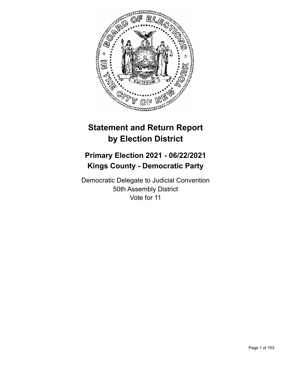

# **Statement and Return Report by Election District**

## **Primary Election 2021 - 06/22/2021 Kings County - Democratic Party**

Democratic Delegate to Judicial Convention 50th Assembly District Vote for 11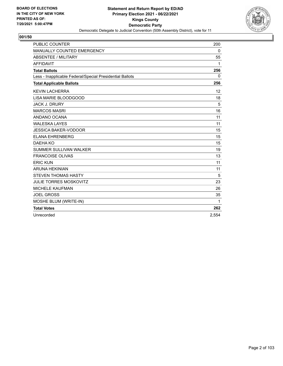

| <b>PUBLIC COUNTER</b>                                    | 200          |
|----------------------------------------------------------|--------------|
| MANUALLY COUNTED EMERGENCY                               | 0            |
| <b>ABSENTEE / MILITARY</b>                               | 55           |
| <b>AFFIDAVIT</b>                                         | 1            |
| <b>Total Ballots</b>                                     | 256          |
| Less - Inapplicable Federal/Special Presidential Ballots | $\mathbf{0}$ |
| <b>Total Applicable Ballots</b>                          | 256          |
| <b>KEVIN LACHERRA</b>                                    | 12           |
| LISA MARIE BLOODGOOD                                     | 18           |
| <b>JACK J. DRURY</b>                                     | 5            |
| <b>MARCOS MASRI</b>                                      | 16           |
| ANDANO OCANA                                             | 11           |
| <b>WALESKA LAYES</b>                                     | 11           |
| <b>JESSICA BAKER-VODOOR</b>                              | 15           |
| <b>ELANA EHRENBERG</b>                                   | 15           |
| DAEHA KO                                                 | 15           |
| <b>SUMMER SULLIVAN WALKER</b>                            | 19           |
| <b>FRANCOISE OLIVAS</b>                                  | 13           |
| <b>ERIC KUN</b>                                          | 11           |
| <b>ARUNA HEKINIAN</b>                                    | 11           |
| <b>STEVEN THOMAS HASTY</b>                               | 5            |
| <b>JULIE TORRES MOSKOVITZ</b>                            | 23           |
| <b>MICHELE KAUFMAN</b>                                   | 26           |
| <b>JOEL GROSS</b>                                        | 35           |
| MOSHE BLUM (WRITE-IN)                                    | 1            |
| <b>Total Votes</b>                                       | 262          |
| Unrecorded                                               | 2,554        |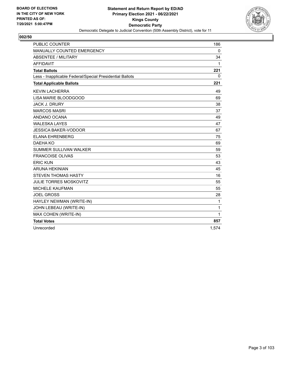

| <b>PUBLIC COUNTER</b>                                    | 186         |
|----------------------------------------------------------|-------------|
| MANUALLY COUNTED EMERGENCY                               | $\mathbf 0$ |
| ABSENTEE / MILITARY                                      | 34          |
| <b>AFFIDAVIT</b>                                         | 1           |
| <b>Total Ballots</b>                                     | 221         |
| Less - Inapplicable Federal/Special Presidential Ballots | 0           |
| <b>Total Applicable Ballots</b>                          | 221         |
| <b>KEVIN LACHERRA</b>                                    | 49          |
| LISA MARIE BLOODGOOD                                     | 69          |
| <b>JACK J. DRURY</b>                                     | 38          |
| <b>MARCOS MASRI</b>                                      | 37          |
| ANDANO OCANA                                             | 49          |
| <b>WALESKA LAYES</b>                                     | 47          |
| <b>JESSICA BAKER-VODOOR</b>                              | 67          |
| <b>ELANA EHRENBERG</b>                                   | 75          |
| DAEHA KO                                                 | 69          |
| <b>SUMMER SULLIVAN WALKER</b>                            | 59          |
| <b>FRANCOISE OLIVAS</b>                                  | 53          |
| <b>ERIC KUN</b>                                          | 43          |
| <b>ARUNA HEKINIAN</b>                                    | 45          |
| <b>STEVEN THOMAS HASTY</b>                               | 16          |
| <b>JULIE TORRES MOSKOVITZ</b>                            | 55          |
| <b>MICHELE KAUFMAN</b>                                   | 55          |
| <b>JOEL GROSS</b>                                        | 28          |
| HAYLEY NEWMAN (WRITE-IN)                                 | 1           |
| JOHN LEBEAU (WRITE-IN)                                   | 1           |
| MAX COHEN (WRITE-IN)                                     | 1           |
| <b>Total Votes</b>                                       | 857         |
| Unrecorded                                               | 1,574       |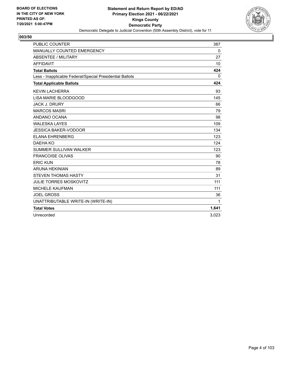

| <b>PUBLIC COUNTER</b>                                    | 387          |
|----------------------------------------------------------|--------------|
| MANUALLY COUNTED EMERGENCY                               | 0            |
| <b>ABSENTEE / MILITARY</b>                               | 27           |
| <b>AFFIDAVIT</b>                                         | 10           |
| <b>Total Ballots</b>                                     | 424          |
| Less - Inapplicable Federal/Special Presidential Ballots | $\mathbf{0}$ |
| <b>Total Applicable Ballots</b>                          | 424          |
| <b>KEVIN LACHERRA</b>                                    | 93           |
| LISA MARIE BLOODGOOD                                     | 145          |
| <b>JACK J. DRURY</b>                                     | 66           |
| <b>MARCOS MASRI</b>                                      | 79           |
| ANDANO OCANA                                             | 98           |
| <b>WALESKA LAYES</b>                                     | 109          |
| <b>JESSICA BAKER-VODOOR</b>                              | 134          |
| <b>ELANA EHRENBERG</b>                                   | 123          |
| DAEHA KO                                                 | 124          |
| SUMMER SULLIVAN WALKER                                   | 123          |
| <b>FRANCOISE OLIVAS</b>                                  | 90           |
| <b>ERIC KUN</b>                                          | 78           |
| <b>ARUNA HEKINIAN</b>                                    | 89           |
| <b>STEVEN THOMAS HASTY</b>                               | 31           |
| <b>JULIE TORRES MOSKOVITZ</b>                            | 111          |
| <b>MICHELE KAUFMAN</b>                                   | 111          |
| <b>JOEL GROSS</b>                                        | 36           |
| UNATTRIBUTABLE WRITE-IN (WRITE-IN)                       | 1            |
| <b>Total Votes</b>                                       | 1,641        |
| Unrecorded                                               | 3.023        |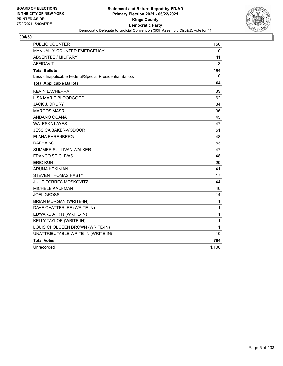

| <b>PUBLIC COUNTER</b>                                    | 150   |
|----------------------------------------------------------|-------|
| MANUALLY COUNTED EMERGENCY                               | 0     |
| <b>ABSENTEE / MILITARY</b>                               | 11    |
| <b>AFFIDAVIT</b>                                         | 3     |
| <b>Total Ballots</b>                                     | 164   |
| Less - Inapplicable Federal/Special Presidential Ballots | 0     |
| <b>Total Applicable Ballots</b>                          | 164   |
| <b>KEVIN LACHERRA</b>                                    | 33    |
| LISA MARIE BLOODGOOD                                     | 62    |
| <b>JACK J. DRURY</b>                                     | 34    |
| <b>MARCOS MASRI</b>                                      | 36    |
| ANDANO OCANA                                             | 45    |
| <b>WALESKA LAYES</b>                                     | 47    |
| <b>JESSICA BAKER-VODOOR</b>                              | 51    |
| ELANA EHRENBERG                                          | 48    |
| DAFHA KO                                                 | 53    |
| <b>SUMMER SULLIVAN WALKER</b>                            | 47    |
| <b>FRANCOISE OLIVAS</b>                                  | 48    |
| <b>ERIC KUN</b>                                          | 29    |
| <b>ARUNA HEKINIAN</b>                                    | 41    |
| <b>STEVEN THOMAS HASTY</b>                               | 17    |
| <b>JULIE TORRES MOSKOVITZ</b>                            | 44    |
| MICHELE KAUFMAN                                          | 40    |
| <b>JOEL GROSS</b>                                        | 14    |
| <b>BRIAN MORGAN (WRITE-IN)</b>                           | 1     |
| DAVE CHATTERJEE (WRITE-IN)                               | 1     |
| EDWARD ATKIN (WRITE-IN)                                  | 1     |
| KELLY TAYLOR (WRITE-IN)                                  | 1     |
| LOUIS CHOLOEEN BROWN (WRITE-IN)                          | 1     |
| UNATTRIBUTABLE WRITE-IN (WRITE-IN)                       | 10    |
| <b>Total Votes</b>                                       | 704   |
| Unrecorded                                               | 1.100 |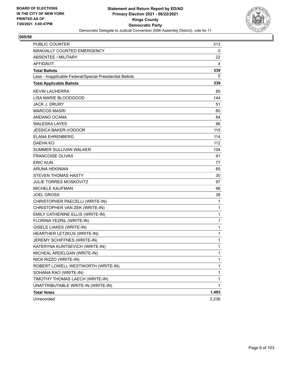

| <b>PUBLIC COUNTER</b>                                    | 313          |
|----------------------------------------------------------|--------------|
| MANUALLY COUNTED EMERGENCY                               | 0            |
| ABSENTEE / MILITARY                                      | 22           |
| AFFIDAVIT                                                | 4            |
| <b>Total Ballots</b>                                     | 339          |
| Less - Inapplicable Federal/Special Presidential Ballots | 0            |
| <b>Total Applicable Ballots</b>                          | 339          |
| <b>KEVIN LACHERRA</b>                                    | 85           |
| LISA MARIE BLOODGOOD                                     | 144          |
| <b>JACK J. DRURY</b>                                     | 51           |
| <b>MARCOS MASRI</b>                                      | 60           |
| ANDANO OCANA                                             | 84           |
| <b>WALESKA LAYES</b>                                     | 96           |
| <b>JESSICA BAKER-VODOOR</b>                              | 115          |
| <b>ELANA EHRENBERG</b>                                   | 114          |
| <b>DAEHA KO</b>                                          | 112          |
| <b>SUMMER SULLIVAN WALKER</b>                            | 104          |
| <b>FRANCOISE OLIVAS</b>                                  | 91           |
| <b>ERIC KUN</b>                                          | 77           |
| <b>ARUNA HEKINIAN</b>                                    | 85           |
| <b>STEVEN THOMAS HASTY</b>                               | 30           |
| <b>JULIE TORRES MOSKOVITZ</b>                            | 97           |
| <b>MICHELE KAUFMAN</b>                                   | 96           |
| <b>JOEL GROSS</b>                                        | 38           |
| CHRISTOPHER PAECELLI (WRITE-IN)                          | 1            |
| CHRISTOPHER VAN ZEK (WRITE-IN)                           | $\mathbf{1}$ |
| EMILY CATHERINE ELLIS (WRITE-IN)                         | 1            |
| FLORINA YEZRIL (WRITE-IN)                                | 1            |
| <b>GISELE LIAKES (WRITE-IN)</b>                          | $\mathbf{1}$ |
| HEARTHER LETZKUS (WRITE-IN)                              | 1            |
| JEREMY SCHIFFNES (WRITE-IN)                              | 1            |
| KATERYNA KUNTSEVICH (WRITE-IN)                           | 1            |
| MICHEAL ARDELGAN (WRITE-IN)                              | 1            |
| NICK RIZZO (WRITE-IN)                                    | $\mathbf{1}$ |
| ROBERT LOWELL WESTWORTH (WRITE-IN)                       | 1            |
| SOHANA RAO (WRITE-IN)                                    | 1            |
| TIMOTHY THOMAS LAECH (WRITE-IN)                          | 1            |
| UNATTRIBUTABLE WRITE-IN (WRITE-IN)                       | 1            |
| <b>Total Votes</b>                                       | 1,493        |
| Unrecorded                                               | 2,236        |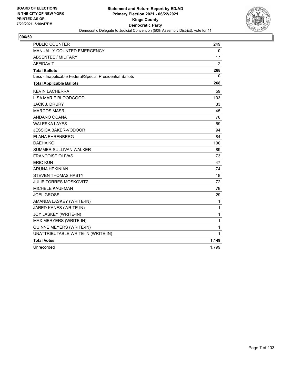

| PUBLIC COUNTER                                           | 249            |
|----------------------------------------------------------|----------------|
| MANUALLY COUNTED EMERGENCY                               | 0              |
| <b>ABSENTEE / MILITARY</b>                               | 17             |
| <b>AFFIDAVIT</b>                                         | $\overline{2}$ |
| <b>Total Ballots</b>                                     | 268            |
| Less - Inapplicable Federal/Special Presidential Ballots | 0              |
| <b>Total Applicable Ballots</b>                          | 268            |
| <b>KEVIN LACHERRA</b>                                    | 59             |
| LISA MARIE BLOODGOOD                                     | 103            |
| <b>JACK J. DRURY</b>                                     | 33             |
| <b>MARCOS MASRI</b>                                      | 45             |
| ANDANO OCANA                                             | 76             |
| <b>WALESKA LAYES</b>                                     | 69             |
| <b>JESSICA BAKER-VODOOR</b>                              | 94             |
| <b>ELANA EHRENBERG</b>                                   | 84             |
| <b>DAEHA KO</b>                                          | 100            |
| <b>SUMMER SULLIVAN WALKER</b>                            | 89             |
| <b>FRANCOISE OLIVAS</b>                                  | 73             |
| <b>ERIC KUN</b>                                          | 47             |
| <b>ARUNA HEKINIAN</b>                                    | 74             |
| <b>STEVEN THOMAS HASTY</b>                               | 18             |
| <b>JULIE TORRES MOSKOVITZ</b>                            | 72             |
| <b>MICHELE KAUFMAN</b>                                   | 78             |
| <b>JOEL GROSS</b>                                        | 29             |
| AMANDA LASKEY (WRITE-IN)                                 | 1              |
| JARED KANES (WRITE-IN)                                   | 1              |
| JOY LASKEY (WRITE-IN)                                    | 1              |
| MAX MERYERS (WRITE-IN)                                   | 1              |
| QUINNE MEYERS (WRITE-IN)                                 | 1              |
| UNATTRIBUTABLE WRITE-IN (WRITE-IN)                       | 1              |
| <b>Total Votes</b>                                       | 1,149          |
| Unrecorded                                               | 1.799          |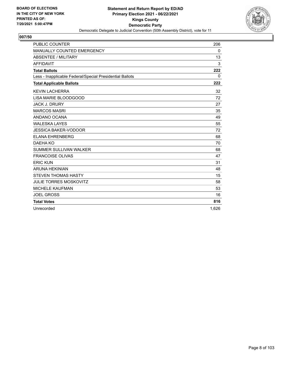

| <b>PUBLIC COUNTER</b>                                    | 206   |
|----------------------------------------------------------|-------|
| MANUALLY COUNTED EMERGENCY                               | 0     |
| <b>ABSENTEE / MILITARY</b>                               | 13    |
| <b>AFFIDAVIT</b>                                         | 3     |
| <b>Total Ballots</b>                                     | 222   |
| Less - Inapplicable Federal/Special Presidential Ballots | 0     |
| <b>Total Applicable Ballots</b>                          | 222   |
| <b>KEVIN LACHERRA</b>                                    | 32    |
| LISA MARIE BLOODGOOD                                     | 72    |
| <b>JACK J. DRURY</b>                                     | 27    |
| <b>MARCOS MASRI</b>                                      | 35    |
| ANDANO OCANA                                             | 49    |
| <b>WALESKA LAYES</b>                                     | 55    |
| <b>JESSICA BAKER-VODOOR</b>                              | 72    |
| <b>ELANA EHRENBERG</b>                                   | 68    |
| DAEHA KO                                                 | 70    |
| SUMMER SULLIVAN WALKER                                   | 68    |
| <b>FRANCOISE OLIVAS</b>                                  | 47    |
| <b>ERIC KUN</b>                                          | 31    |
| <b>ARUNA HEKINIAN</b>                                    | 48    |
| <b>STEVEN THOMAS HASTY</b>                               | 15    |
| <b>JULIE TORRES MOSKOVITZ</b>                            | 58    |
| <b>MICHELE KAUFMAN</b>                                   | 53    |
| <b>JOEL GROSS</b>                                        | 16    |
| <b>Total Votes</b>                                       | 816   |
| Unrecorded                                               | 1.626 |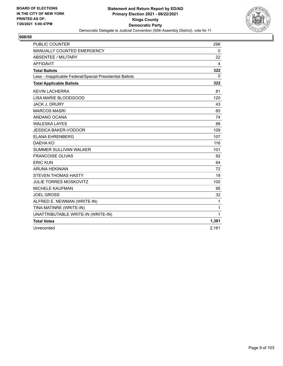

| <b>PUBLIC COUNTER</b>                                    | 296         |
|----------------------------------------------------------|-------------|
| <b>MANUALLY COUNTED EMERGENCY</b>                        | $\mathbf 0$ |
| ABSENTEE / MILITARY                                      | 22          |
| <b>AFFIDAVIT</b>                                         | 4           |
| <b>Total Ballots</b>                                     | 322         |
| Less - Inapplicable Federal/Special Presidential Ballots | 0           |
| <b>Total Applicable Ballots</b>                          | 322         |
| <b>KEVIN LACHERRA</b>                                    | 81          |
| LISA MARIE BLOODGOOD                                     | 120         |
| <b>JACK J. DRURY</b>                                     | 43          |
| <b>MARCOS MASRI</b>                                      | 65          |
| ANDANO OCANA                                             | 74          |
| <b>WALESKA LAYES</b>                                     | 88          |
| <b>JESSICA BAKER-VODOOR</b>                              | 109         |
| <b>ELANA EHRENBERG</b>                                   | 107         |
| DAEHA KO                                                 | 116         |
| <b>SUMMER SULLIVAN WALKER</b>                            | 101         |
| <b>FRANCOISE OLIVAS</b>                                  | 92          |
| <b>ERIC KUN</b>                                          | 64          |
| <b>ARUNA HEKINIAN</b>                                    | 72          |
| <b>STEVEN THOMAS HASTY</b>                               | 19          |
| <b>JULIE TORRES MOSKOVITZ</b>                            | 100         |
| <b>MICHELE KAUFMAN</b>                                   | 95          |
| <b>JOEL GROSS</b>                                        | 32          |
| ALFRED E. NEWMAN (WRITE-IN)                              | 1           |
| TINA MATINRE (WRITE-IN)                                  | 1           |
| UNATTRIBUTABLE WRITE-IN (WRITE-IN)                       | 1           |
| <b>Total Votes</b>                                       | 1,381       |
| Unrecorded                                               | 2,161       |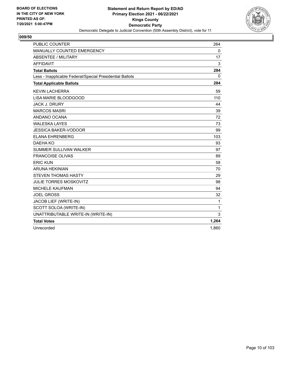

| <b>PUBLIC COUNTER</b>                                    | 264          |
|----------------------------------------------------------|--------------|
| MANUALLY COUNTED EMERGENCY                               | $\mathbf{0}$ |
| <b>ABSENTEE / MILITARY</b>                               | 17           |
| <b>AFFIDAVIT</b>                                         | 3            |
| <b>Total Ballots</b>                                     | 284          |
| Less - Inapplicable Federal/Special Presidential Ballots | 0            |
| <b>Total Applicable Ballots</b>                          | 284          |
| <b>KEVIN LACHERRA</b>                                    | 59           |
| LISA MARIE BLOODGOOD                                     | 110          |
| <b>JACK J. DRURY</b>                                     | 44           |
| <b>MARCOS MASRI</b>                                      | 39           |
| ANDANO OCANA                                             | 72           |
| <b>WALESKA LAYES</b>                                     | 73           |
| <b>JESSICA BAKER-VODOOR</b>                              | 99           |
| <b>ELANA EHRENBERG</b>                                   | 103          |
| DAEHA KO                                                 | 93           |
| <b>SUMMER SULLIVAN WALKER</b>                            | 97           |
| <b>FRANCOISE OLIVAS</b>                                  | 89           |
| <b>ERIC KUN</b>                                          | 58           |
| <b>ARUNA HEKINIAN</b>                                    | 70           |
| <b>STEVEN THOMAS HASTY</b>                               | 29           |
| <b>JULIE TORRES MOSKOVITZ</b>                            | 98           |
| <b>MICHELE KAUFMAN</b>                                   | 94           |
| <b>JOEL GROSS</b>                                        | 32           |
| JACOB LIEF (WRITE-IN)                                    | 1            |
| SCOTT SOLOA (WRITE-IN)                                   | 1            |
| UNATTRIBUTABLE WRITE-IN (WRITE-IN)                       | 3            |
| <b>Total Votes</b>                                       | 1,264        |
| Unrecorded                                               | 1,860        |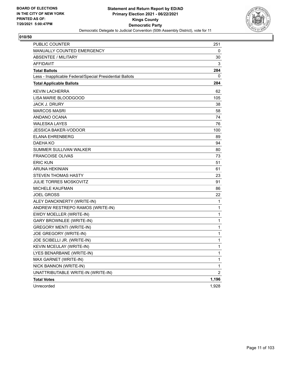

| <b>PUBLIC COUNTER</b>                                    | 251            |
|----------------------------------------------------------|----------------|
| MANUALLY COUNTED EMERGENCY                               | 0              |
| ABSENTEE / MILITARY                                      | 30             |
| AFFIDAVIT                                                | 3              |
| <b>Total Ballots</b>                                     | 284            |
| Less - Inapplicable Federal/Special Presidential Ballots | 0              |
| <b>Total Applicable Ballots</b>                          | 284            |
| <b>KEVIN LACHERRA</b>                                    | 62             |
| LISA MARIE BLOODGOOD                                     | 105            |
| <b>JACK J. DRURY</b>                                     | 38             |
| <b>MARCOS MASRI</b>                                      | 58             |
| ANDANO OCANA                                             | 74             |
| WALESKA LAYES                                            | 76             |
| <b>JESSICA BAKER-VODOOR</b>                              | 100            |
| <b>ELANA EHRENBERG</b>                                   | 89             |
| DAEHA KO                                                 | 94             |
| SUMMER SULLIVAN WALKER                                   | 80             |
| <b>FRANCOISE OLIVAS</b>                                  | 73             |
| <b>ERIC KUN</b>                                          | 51             |
| <b>ARUNA HEKINIAN</b>                                    | 61             |
| <b>STEVEN THOMAS HASTY</b>                               | 23             |
| JULIE TORRES MOSKOVITZ                                   | 91             |
| <b>MICHELE KAUFMAN</b>                                   | 86             |
| <b>JOEL GROSS</b>                                        | 22             |
| ALEY DANCKNERTY (WRITE-IN)                               | 1              |
| ANDREW RESTREPO RAMOS (WRITE-IN)                         | 1              |
| EWDY MOELLER (WRITE-IN)                                  | 1              |
| <b>GARY BROWNLEE (WRITE-IN)</b>                          | 1              |
| <b>GREGORY MENTI (WRITE-IN)</b>                          | 1              |
| JOE GREGORY (WRITE-IN)                                   | 1              |
| JOE SCIBELLI JR. (WRITE-IN)                              | 1              |
| KEVIN MCEULAY (WRITE-IN)                                 | 1              |
| LYES BENARBANE (WRITE-IN)                                | 1              |
| MAX GARNET (WRITE-IN)                                    | $\mathbf{1}$   |
| NICK BANNON (WRITE-IN)                                   | 1              |
| UNATTRIBUTABLE WRITE-IN (WRITE-IN)                       | $\overline{c}$ |
| <b>Total Votes</b>                                       | 1,196          |
| Unrecorded                                               | 1,928          |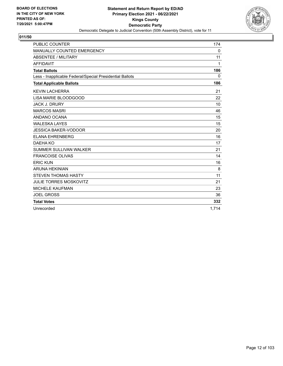

| <b>PUBLIC COUNTER</b>                                    | 174          |
|----------------------------------------------------------|--------------|
| <b>MANUALLY COUNTED EMERGENCY</b>                        | $\mathbf{0}$ |
| <b>ABSENTEE / MILITARY</b>                               | 11           |
| <b>AFFIDAVIT</b>                                         | 1            |
| <b>Total Ballots</b>                                     | 186          |
| Less - Inapplicable Federal/Special Presidential Ballots | $\mathbf{0}$ |
| <b>Total Applicable Ballots</b>                          | 186          |
| <b>KEVIN LACHERRA</b>                                    | 21           |
| LISA MARIE BLOODGOOD                                     | 22           |
| <b>JACK J. DRURY</b>                                     | 10           |
| <b>MARCOS MASRI</b>                                      | 46           |
| ANDANO OCANA                                             | 15           |
| <b>WALESKA LAYES</b>                                     | 15           |
| <b>JESSICA BAKER-VODOOR</b>                              | 20           |
| <b>ELANA EHRENBERG</b>                                   | 16           |
| DAEHA KO                                                 | 17           |
| <b>SUMMER SULLIVAN WALKER</b>                            | 21           |
| <b>FRANCOISE OLIVAS</b>                                  | 14           |
| <b>ERIC KUN</b>                                          | 16           |
| <b>ARUNA HEKINIAN</b>                                    | 8            |
| <b>STEVEN THOMAS HASTY</b>                               | 11           |
| <b>JULIE TORRES MOSKOVITZ</b>                            | 21           |
| <b>MICHELE KAUFMAN</b>                                   | 23           |
| <b>JOEL GROSS</b>                                        | 36           |
| <b>Total Votes</b>                                       | 332          |
| Unrecorded                                               | 1.714        |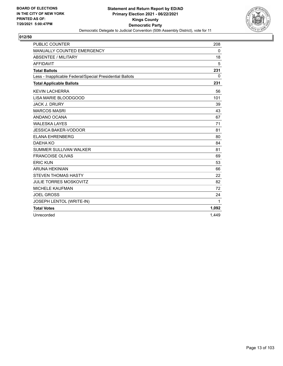

| <b>PUBLIC COUNTER</b>                                    | 208          |
|----------------------------------------------------------|--------------|
| MANUALLY COUNTED EMERGENCY                               | 0            |
| <b>ABSENTEE / MILITARY</b>                               | 18           |
| <b>AFFIDAVIT</b>                                         | 5            |
| <b>Total Ballots</b>                                     | 231          |
| Less - Inapplicable Federal/Special Presidential Ballots | $\mathbf{0}$ |
| <b>Total Applicable Ballots</b>                          | 231          |
| <b>KEVIN LACHERRA</b>                                    | 56           |
| LISA MARIE BLOODGOOD                                     | 101          |
| <b>JACK J. DRURY</b>                                     | 39           |
| <b>MARCOS MASRI</b>                                      | 43           |
| ANDANO OCANA                                             | 67           |
| <b>WALESKA LAYES</b>                                     | 71           |
| <b>JESSICA BAKER-VODOOR</b>                              | 81           |
| <b>ELANA EHRENBERG</b>                                   | 80           |
| DAEHA KO                                                 | 84           |
| <b>SUMMER SULLIVAN WALKER</b>                            | 81           |
| <b>FRANCOISE OLIVAS</b>                                  | 69           |
| <b>ERIC KUN</b>                                          | 53           |
| <b>ARUNA HEKINIAN</b>                                    | 66           |
| <b>STEVEN THOMAS HASTY</b>                               | 22           |
| <b>JULIE TORRES MOSKOVITZ</b>                            | 82           |
| <b>MICHELE KAUFMAN</b>                                   | 72           |
| <b>JOEL GROSS</b>                                        | 24           |
| JOSEPH LENTOL (WRITE-IN)                                 | 1            |
| <b>Total Votes</b>                                       | 1,092        |
| Unrecorded                                               | 1.449        |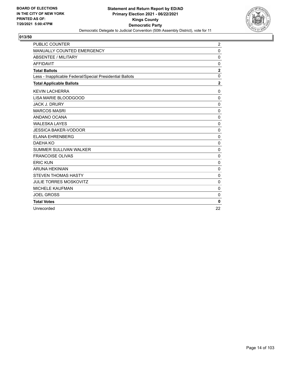

| <b>PUBLIC COUNTER</b>                                    | $\overline{2}$ |
|----------------------------------------------------------|----------------|
| MANUALLY COUNTED EMERGENCY                               | 0              |
| <b>ABSENTEE / MILITARY</b>                               | 0              |
| <b>AFFIDAVIT</b>                                         | $\mathbf 0$    |
| <b>Total Ballots</b>                                     | $\overline{2}$ |
| Less - Inapplicable Federal/Special Presidential Ballots | $\mathbf 0$    |
| <b>Total Applicable Ballots</b>                          | $\overline{2}$ |
| <b>KEVIN LACHERRA</b>                                    | 0              |
| <b>LISA MARIE BLOODGOOD</b>                              | 0              |
| <b>JACK J. DRURY</b>                                     | $\mathbf 0$    |
| <b>MARCOS MASRI</b>                                      | 0              |
| ANDANO OCANA                                             | $\mathbf 0$    |
| <b>WALESKA LAYES</b>                                     | 0              |
| <b>JESSICA BAKER-VODOOR</b>                              | 0              |
| <b>ELANA EHRENBERG</b>                                   | $\mathbf 0$    |
| DAEHA KO                                                 | 0              |
| <b>SUMMER SULLIVAN WALKER</b>                            | $\mathbf 0$    |
| <b>FRANCOISE OLIVAS</b>                                  | 0              |
| <b>ERIC KUN</b>                                          | $\mathbf{0}$   |
| <b>ARUNA HEKINIAN</b>                                    | 0              |
| <b>STEVEN THOMAS HASTY</b>                               | 0              |
| <b>JULIE TORRES MOSKOVITZ</b>                            | 0              |
| MICHELE KAUFMAN                                          | 0              |
| <b>JOEL GROSS</b>                                        | $\mathbf 0$    |
| <b>Total Votes</b>                                       | $\mathbf{0}$   |
| Unrecorded                                               | 22             |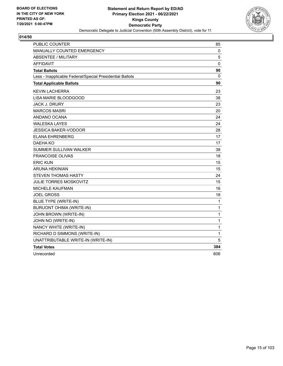

| PUBLIC COUNTER                                           | 85  |
|----------------------------------------------------------|-----|
| MANUALLY COUNTED EMERGENCY                               | 0   |
| <b>ABSENTEE / MILITARY</b>                               | 5   |
| <b>AFFIDAVIT</b>                                         | 0   |
| <b>Total Ballots</b>                                     | 90  |
| Less - Inapplicable Federal/Special Presidential Ballots | 0   |
| <b>Total Applicable Ballots</b>                          | 90  |
| <b>KEVIN LACHERRA</b>                                    | 23  |
| LISA MARIE BLOODGOOD                                     | 38  |
| <b>JACK J. DRURY</b>                                     | 23  |
| <b>MARCOS MASRI</b>                                      | 20  |
| ANDANO OCANA                                             | 24  |
| <b>WALESKA LAYES</b>                                     | 24  |
| JESSICA BAKER-VODOOR                                     | 28  |
| <b>ELANA EHRENBERG</b>                                   | 17  |
| DAEHA KO                                                 | 17  |
| SUMMER SULLIVAN WALKER                                   | 38  |
| <b>FRANCOISE OLIVAS</b>                                  | 18  |
| <b>ERIC KUN</b>                                          | 15  |
| <b>ARUNA HEKINIAN</b>                                    | 15  |
| <b>STEVEN THOMAS HASTY</b>                               | 24  |
| <b>JULIE TORRES MOSKOVITZ</b>                            | 15  |
| MICHELE KAUFMAN                                          | 16  |
| <b>JOEL GROSS</b>                                        | 18  |
| <b>BLUE TYPE (WRITE-IN)</b>                              | 1   |
| <b>BURUONT OHIMA (WRITE-IN)</b>                          | 1   |
| JOHN BROWN (WRITE-IN)                                    | 1   |
| JOHN NO (WRITE-IN)                                       | 1   |
| NANCY WHITE (WRITE-IN)                                   | 1   |
| RICHARD D SIMMONS (WRITE-IN)                             | 1   |
| UNATTRIBUTABLE WRITE-IN (WRITE-IN)                       | 5   |
| <b>Total Votes</b>                                       | 384 |
| Unrecorded                                               | 606 |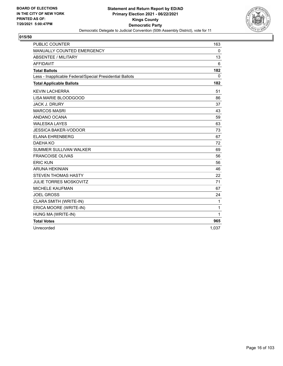

| <b>PUBLIC COUNTER</b>                                    | 163         |
|----------------------------------------------------------|-------------|
| MANUALLY COUNTED EMERGENCY                               | $\mathbf 0$ |
| ABSENTEE / MILITARY                                      | 13          |
| <b>AFFIDAVIT</b>                                         | 6           |
| <b>Total Ballots</b>                                     | 182         |
| Less - Inapplicable Federal/Special Presidential Ballots | $\mathbf 0$ |
| <b>Total Applicable Ballots</b>                          | 182         |
| <b>KEVIN LACHERRA</b>                                    | 51          |
| LISA MARIE BLOODGOOD                                     | 86          |
| <b>JACK J. DRURY</b>                                     | 37          |
| <b>MARCOS MASRI</b>                                      | 43          |
| ANDANO OCANA                                             | 59          |
| <b>WALESKA LAYES</b>                                     | 63          |
| <b>JESSICA BAKER-VODOOR</b>                              | 73          |
| <b>ELANA EHRENBERG</b>                                   | 67          |
| DAEHA KO                                                 | 72          |
| <b>SUMMER SULLIVAN WALKER</b>                            | 69          |
| <b>FRANCOISE OLIVAS</b>                                  | 56          |
| <b>ERIC KUN</b>                                          | 56          |
| <b>ARUNA HEKINIAN</b>                                    | 46          |
| <b>STEVEN THOMAS HASTY</b>                               | 22          |
| <b>JULIE TORRES MOSKOVITZ</b>                            | 71          |
| <b>MICHELE KAUFMAN</b>                                   | 67          |
| <b>JOEL GROSS</b>                                        | 24          |
| CLARA SMITH (WRITE-IN)                                   | 1           |
| ERICA MOORE (WRITE-IN)                                   | 1           |
| HUNG MA (WRITE-IN)                                       | 1           |
| <b>Total Votes</b>                                       | 965         |
| Unrecorded                                               | 1,037       |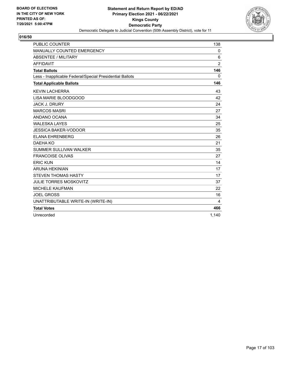

| <b>PUBLIC COUNTER</b>                                    | 138            |
|----------------------------------------------------------|----------------|
| MANUALLY COUNTED EMERGENCY                               | 0              |
| <b>ABSENTEE / MILITARY</b>                               | 6              |
| <b>AFFIDAVIT</b>                                         | $\overline{2}$ |
| <b>Total Ballots</b>                                     | 146            |
| Less - Inapplicable Federal/Special Presidential Ballots | $\mathbf{0}$   |
| <b>Total Applicable Ballots</b>                          | 146            |
| <b>KEVIN LACHERRA</b>                                    | 43             |
| LISA MARIE BLOODGOOD                                     | 42             |
| <b>JACK J. DRURY</b>                                     | 24             |
| <b>MARCOS MASRI</b>                                      | 27             |
| ANDANO OCANA                                             | 34             |
| <b>WALESKA LAYES</b>                                     | 25             |
| <b>JESSICA BAKER-VODOOR</b>                              | 35             |
| <b>ELANA EHRENBERG</b>                                   | 26             |
| DAEHA KO                                                 | 21             |
| <b>SUMMER SULLIVAN WALKER</b>                            | 35             |
| <b>FRANCOISE OLIVAS</b>                                  | 27             |
| <b>ERIC KUN</b>                                          | 14             |
| <b>ARUNA HEKINIAN</b>                                    | 17             |
| <b>STEVEN THOMAS HASTY</b>                               | 17             |
| <b>JULIE TORRES MOSKOVITZ</b>                            | 37             |
| <b>MICHELE KAUFMAN</b>                                   | 22             |
| <b>JOEL GROSS</b>                                        | 16             |
| UNATTRIBUTABLE WRITE-IN (WRITE-IN)                       | 4              |
| <b>Total Votes</b>                                       | 466            |
| Unrecorded                                               | 1.140          |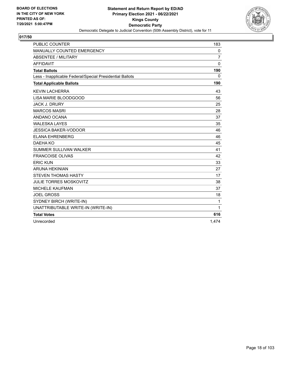

| <b>PUBLIC COUNTER</b>                                    | 183            |
|----------------------------------------------------------|----------------|
| MANUALLY COUNTED EMERGENCY                               | 0              |
| <b>ABSENTEE / MILITARY</b>                               | $\overline{7}$ |
| <b>AFFIDAVIT</b>                                         | $\mathbf{0}$   |
| <b>Total Ballots</b>                                     | 190            |
| Less - Inapplicable Federal/Special Presidential Ballots | $\mathbf{0}$   |
| <b>Total Applicable Ballots</b>                          | 190            |
| <b>KEVIN LACHERRA</b>                                    | 43             |
| LISA MARIE BLOODGOOD                                     | 56             |
| <b>JACK J. DRURY</b>                                     | 25             |
| <b>MARCOS MASRI</b>                                      | 28             |
| ANDANO OCANA                                             | 37             |
| <b>WALESKA LAYES</b>                                     | 35             |
| <b>JESSICA BAKER-VODOOR</b>                              | 46             |
| <b>ELANA EHRENBERG</b>                                   | 46             |
| DAEHA KO                                                 | 45             |
| <b>SUMMER SULLIVAN WALKER</b>                            | 41             |
| <b>FRANCOISE OLIVAS</b>                                  | 42             |
| <b>ERIC KUN</b>                                          | 33             |
| <b>ARUNA HEKINIAN</b>                                    | 27             |
| <b>STEVEN THOMAS HASTY</b>                               | 17             |
| <b>JULIE TORRES MOSKOVITZ</b>                            | 38             |
| <b>MICHELE KAUFMAN</b>                                   | 37             |
| <b>JOEL GROSS</b>                                        | 18             |
| SYDNEY BIRCH (WRITE-IN)                                  | 1              |
| UNATTRIBUTABLE WRITE-IN (WRITE-IN)                       | 1              |
| <b>Total Votes</b>                                       | 616            |
| Unrecorded                                               | 1,474          |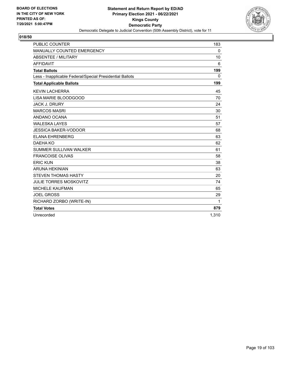

| <b>PUBLIC COUNTER</b>                                    | 183          |
|----------------------------------------------------------|--------------|
| MANUALLY COUNTED EMERGENCY                               | 0            |
| <b>ABSENTEE / MILITARY</b>                               | 10           |
| <b>AFFIDAVIT</b>                                         | 6            |
| <b>Total Ballots</b>                                     | 199          |
| Less - Inapplicable Federal/Special Presidential Ballots | $\mathbf{0}$ |
| <b>Total Applicable Ballots</b>                          | 199          |
| <b>KEVIN LACHERRA</b>                                    | 45           |
| LISA MARIE BLOODGOOD                                     | 70           |
| <b>JACK J. DRURY</b>                                     | 24           |
| <b>MARCOS MASRI</b>                                      | 30           |
| ANDANO OCANA                                             | 51           |
| <b>WALESKA LAYES</b>                                     | 57           |
| <b>JESSICA BAKER-VODOOR</b>                              | 68           |
| <b>ELANA EHRENBERG</b>                                   | 63           |
| DAEHA KO                                                 | 62           |
| SUMMER SULLIVAN WALKER                                   | 61           |
| <b>FRANCOISE OLIVAS</b>                                  | 58           |
| <b>ERIC KUN</b>                                          | 38           |
| <b>ARUNA HEKINIAN</b>                                    | 63           |
| <b>STEVEN THOMAS HASTY</b>                               | 20           |
| <b>JULIE TORRES MOSKOVITZ</b>                            | 74           |
| <b>MICHELE KAUFMAN</b>                                   | 65           |
| <b>JOEL GROSS</b>                                        | 29           |
| RICHARD ZORBO (WRITE-IN)                                 | 1            |
| <b>Total Votes</b>                                       | 879          |
| Unrecorded                                               | 1.310        |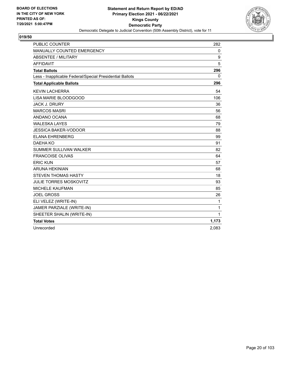

| <b>PUBLIC COUNTER</b>                                    | 282         |
|----------------------------------------------------------|-------------|
| MANUALLY COUNTED EMERGENCY                               | $\mathbf 0$ |
| ABSENTEE / MILITARY                                      | 9           |
| <b>AFFIDAVIT</b>                                         | 5           |
| <b>Total Ballots</b>                                     | 296         |
| Less - Inapplicable Federal/Special Presidential Ballots | 0           |
| <b>Total Applicable Ballots</b>                          | 296         |
| <b>KEVIN LACHERRA</b>                                    | 54          |
| LISA MARIE BLOODGOOD                                     | 106         |
| <b>JACK J. DRURY</b>                                     | 36          |
| <b>MARCOS MASRI</b>                                      | 56          |
| ANDANO OCANA                                             | 68          |
| <b>WALESKA LAYES</b>                                     | 79          |
| <b>JESSICA BAKER-VODOOR</b>                              | 88          |
| <b>ELANA EHRENBERG</b>                                   | 99          |
| DAEHA KO                                                 | 91          |
| <b>SUMMER SULLIVAN WALKER</b>                            | 82          |
| <b>FRANCOISE OLIVAS</b>                                  | 64          |
| <b>ERIC KUN</b>                                          | 57          |
| <b>ARUNA HEKINIAN</b>                                    | 68          |
| <b>STEVEN THOMAS HASTY</b>                               | 18          |
| <b>JULIE TORRES MOSKOVITZ</b>                            | 93          |
| <b>MICHELE KAUFMAN</b>                                   | 85          |
| <b>JOEL GROSS</b>                                        | 26          |
| ELI VELEZ (WRITE-IN)                                     | 1           |
| JAMER PARZIALE (WRITE-IN)                                | 1           |
| SHEETER SHALIN (WRITE-IN)                                | 1           |
| <b>Total Votes</b>                                       | 1,173       |
| Unrecorded                                               | 2,083       |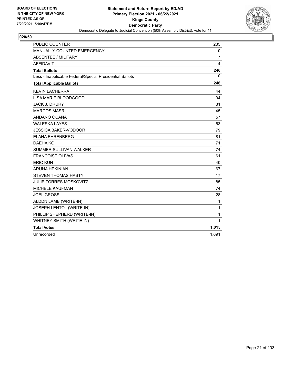

| <b>PUBLIC COUNTER</b>                                    | 235            |
|----------------------------------------------------------|----------------|
| MANUALLY COUNTED EMERGENCY                               | 0              |
| <b>ABSENTEE / MILITARY</b>                               | $\overline{7}$ |
| <b>AFFIDAVIT</b>                                         | 4              |
| <b>Total Ballots</b>                                     | 246            |
| Less - Inapplicable Federal/Special Presidential Ballots | 0              |
| <b>Total Applicable Ballots</b>                          | 246            |
| <b>KEVIN LACHERRA</b>                                    | 44             |
| LISA MARIE BLOODGOOD                                     | 94             |
| <b>JACK J. DRURY</b>                                     | 31             |
| <b>MARCOS MASRI</b>                                      | 45             |
| ANDANO OCANA                                             | 57             |
| <b>WALESKA LAYES</b>                                     | 63             |
| <b>JESSICA BAKER-VODOOR</b>                              | 79             |
| <b>ELANA EHRENBERG</b>                                   | 81             |
| DAEHA KO                                                 | 71             |
| <b>SUMMER SULLIVAN WALKER</b>                            | 74             |
| <b>FRANCOISE OLIVAS</b>                                  | 61             |
| <b>ERIC KUN</b>                                          | 40             |
| <b>ARUNA HEKINIAN</b>                                    | 67             |
| <b>STEVEN THOMAS HASTY</b>                               | 17             |
| <b>JULIE TORRES MOSKOVITZ</b>                            | 85             |
| <b>MICHELE KAUFMAN</b>                                   | 74             |
| <b>JOEL GROSS</b>                                        | 28             |
| ALDDN LAMB (WRITE-IN)                                    | 1              |
| JOSEPH LENTOL (WRITE-IN)                                 | 1              |
| PHILLIP SHEPHERD (WRITE-IN)                              | 1              |
| WHITNEY SMITH (WRITE-IN)                                 | 1              |
| <b>Total Votes</b>                                       | 1,015          |
| Unrecorded                                               | 1,691          |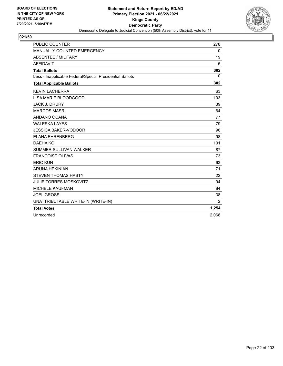

| <b>PUBLIC COUNTER</b>                                    | 278            |
|----------------------------------------------------------|----------------|
| MANUALLY COUNTED EMERGENCY                               | 0              |
| <b>ABSENTEE / MILITARY</b>                               | 19             |
| <b>AFFIDAVIT</b>                                         | 5              |
| <b>Total Ballots</b>                                     | 302            |
| Less - Inapplicable Federal/Special Presidential Ballots | $\mathbf{0}$   |
| <b>Total Applicable Ballots</b>                          | 302            |
| <b>KEVIN LACHERRA</b>                                    | 63             |
| LISA MARIE BLOODGOOD                                     | 103            |
| <b>JACK J. DRURY</b>                                     | 39             |
| <b>MARCOS MASRI</b>                                      | 64             |
| ANDANO OCANA                                             | 77             |
| <b>WALESKA LAYES</b>                                     | 79             |
| <b>JESSICA BAKER-VODOOR</b>                              | 96             |
| <b>ELANA EHRENBERG</b>                                   | 98             |
| DAEHA KO                                                 | 101            |
| SUMMER SULLIVAN WALKER                                   | 87             |
| <b>FRANCOISE OLIVAS</b>                                  | 73             |
| <b>ERIC KUN</b>                                          | 63             |
| <b>ARUNA HEKINIAN</b>                                    | 71             |
| <b>STEVEN THOMAS HASTY</b>                               | 22             |
| <b>JULIE TORRES MOSKOVITZ</b>                            | 94             |
| <b>MICHELE KAUFMAN</b>                                   | 84             |
| <b>JOEL GROSS</b>                                        | 38             |
| UNATTRIBUTABLE WRITE-IN (WRITE-IN)                       | $\overline{2}$ |
| <b>Total Votes</b>                                       | 1,254          |
| Unrecorded                                               | 2.068          |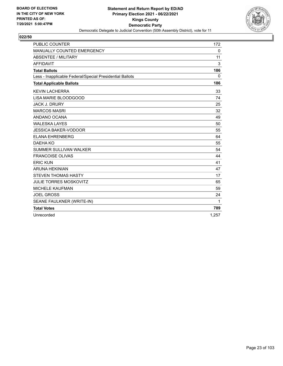

| <b>PUBLIC COUNTER</b>                                    | 172          |
|----------------------------------------------------------|--------------|
| MANUALLY COUNTED EMERGENCY                               | 0            |
| <b>ABSENTEE / MILITARY</b>                               | 11           |
| <b>AFFIDAVIT</b>                                         | 3            |
| <b>Total Ballots</b>                                     | 186          |
| Less - Inapplicable Federal/Special Presidential Ballots | $\mathbf{0}$ |
| <b>Total Applicable Ballots</b>                          | 186          |
| <b>KEVIN LACHERRA</b>                                    | 33           |
| LISA MARIE BLOODGOOD                                     | 74           |
| <b>JACK J. DRURY</b>                                     | 25           |
| <b>MARCOS MASRI</b>                                      | 32           |
| ANDANO OCANA                                             | 49           |
| <b>WALESKA LAYES</b>                                     | 50           |
| <b>JESSICA BAKER-VODOOR</b>                              | 55           |
| <b>ELANA EHRENBERG</b>                                   | 64           |
| DAEHA KO                                                 | 55           |
| <b>SUMMER SULLIVAN WALKER</b>                            | 54           |
| <b>FRANCOISE OLIVAS</b>                                  | 44           |
| <b>ERIC KUN</b>                                          | 41           |
| <b>ARUNA HEKINIAN</b>                                    | 47           |
| <b>STEVEN THOMAS HASTY</b>                               | 17           |
| <b>JULIE TORRES MOSKOVITZ</b>                            | 65           |
| <b>MICHELE KAUFMAN</b>                                   | 59           |
| <b>JOEL GROSS</b>                                        | 24           |
| SEANE FAULKNER (WRITE-IN)                                | 1            |
| <b>Total Votes</b>                                       | 789          |
| Unrecorded                                               | 1.257        |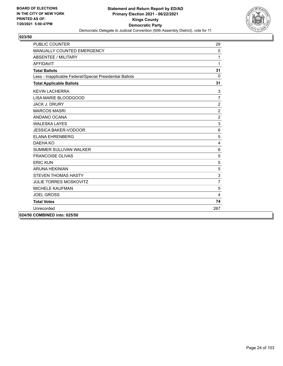

| <b>PUBLIC COUNTER</b>                                    | 29             |
|----------------------------------------------------------|----------------|
| MANUALLY COUNTED EMERGENCY                               | $\mathbf{0}$   |
| <b>ABSENTEE / MILITARY</b>                               | 1              |
| <b>AFFIDAVIT</b>                                         | 1              |
| <b>Total Ballots</b>                                     | 31             |
| Less - Inapplicable Federal/Special Presidential Ballots | $\Omega$       |
| <b>Total Applicable Ballots</b>                          | 31             |
| <b>KEVIN LACHERRA</b>                                    | 3              |
| LISA MARIE BLOODGOOD                                     | $\overline{7}$ |
| <b>JACK J. DRURY</b>                                     | $\overline{2}$ |
| <b>MARCOS MASRI</b>                                      | $\overline{2}$ |
| ANDANO OCANA                                             | $\overline{c}$ |
| <b>WALESKA LAYES</b>                                     | 3              |
| <b>JESSICA BAKER-VODOOR</b>                              | 6              |
| <b>ELANA EHRENBERG</b>                                   | 5              |
| DAEHA KO                                                 | 4              |
| SUMMER SULLIVAN WALKER                                   | 6              |
| <b>FRANCOISE OLIVAS</b>                                  | 5              |
| <b>ERIC KUN</b>                                          | 5              |
| ARUNA HEKINIAN                                           | 5              |
| <b>STEVEN THOMAS HASTY</b>                               | 3              |
| <b>JULIE TORRES MOSKOVITZ</b>                            | $\overline{7}$ |
| <b>MICHELE KAUFMAN</b>                                   | 5              |
| <b>JOEL GROSS</b>                                        | 4              |
| <b>Total Votes</b>                                       | 74             |
| Unrecorded                                               | 267            |
| 024/50 COMBINED into: 025/50                             |                |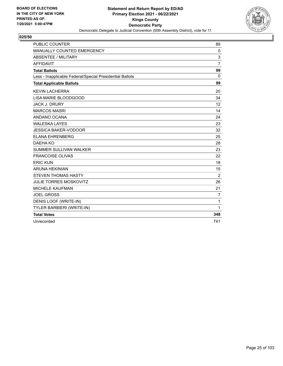

| <b>PUBLIC COUNTER</b>                                    | 89             |
|----------------------------------------------------------|----------------|
| MANUALLY COUNTED EMERGENCY                               | $\mathbf 0$    |
| <b>ABSENTEE / MILITARY</b>                               | 3              |
| <b>AFFIDAVIT</b>                                         | $\overline{7}$ |
| <b>Total Ballots</b>                                     | 99             |
| Less - Inapplicable Federal/Special Presidential Ballots | $\Omega$       |
| <b>Total Applicable Ballots</b>                          | 99             |
| <b>KEVIN LACHERRA</b>                                    | 20             |
| LISA MARIE BLOODGOOD                                     | 34             |
| <b>JACK J. DRURY</b>                                     | 12             |
| <b>MARCOS MASRI</b>                                      | 14             |
| ANDANO OCANA                                             | 24             |
| <b>WALESKA LAYES</b>                                     | 23             |
| <b>JESSICA BAKER-VODOOR</b>                              | 32             |
| <b>ELANA EHRENBERG</b>                                   | 25             |
| DAEHA KO                                                 | 28             |
| SUMMER SULLIVAN WALKER                                   | 23             |
| <b>FRANCOISE OLIVAS</b>                                  | 22             |
| <b>ERIC KUN</b>                                          | 18             |
| <b>ARUNA HEKINIAN</b>                                    | 15             |
| <b>STEVEN THOMAS HASTY</b>                               | $\overline{2}$ |
| <b>JULIE TORRES MOSKOVITZ</b>                            | 26             |
| <b>MICHELE KAUFMAN</b>                                   | 21             |
| <b>JOEL GROSS</b>                                        | $\overline{7}$ |
| DENIS LOOF (WRITE-IN)                                    | 1              |
| TYLER BARBIERI (WRITE-IN)                                | 1              |
| <b>Total Votes</b>                                       | 348            |
| Unrecorded                                               | 741            |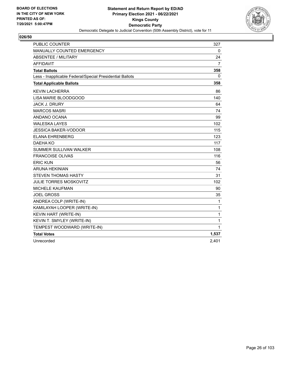

| <b>PUBLIC COUNTER</b>                                    | 327            |
|----------------------------------------------------------|----------------|
| MANUALLY COUNTED EMERGENCY                               | 0              |
| <b>ABSENTEE / MILITARY</b>                               | 24             |
| <b>AFFIDAVIT</b>                                         | $\overline{7}$ |
| <b>Total Ballots</b>                                     | 358            |
| Less - Inapplicable Federal/Special Presidential Ballots | 0              |
| <b>Total Applicable Ballots</b>                          | 358            |
| <b>KEVIN LACHERRA</b>                                    | 86             |
| LISA MARIE BLOODGOOD                                     | 140            |
| <b>JACK J. DRURY</b>                                     | 64             |
| <b>MARCOS MASRI</b>                                      | 74             |
| ANDANO OCANA                                             | 99             |
| <b>WALESKA LAYES</b>                                     | 102            |
| <b>JESSICA BAKER-VODOOR</b>                              | 115            |
| <b>ELANA EHRENBERG</b>                                   | 123            |
| DAEHA KO                                                 | 117            |
| <b>SUMMER SULLIVAN WALKER</b>                            | 108            |
| <b>FRANCOISE OLIVAS</b>                                  | 116            |
| <b>ERIC KUN</b>                                          | 56             |
| <b>ARUNA HEKINIAN</b>                                    | 74             |
| <b>STEVEN THOMAS HASTY</b>                               | 31             |
| <b>JULIE TORRES MOSKOVITZ</b>                            | 102            |
| <b>MICHELE KAUFMAN</b>                                   | 90             |
| <b>JOEL GROSS</b>                                        | 35             |
| ANDREA COLP (WRITE-IN)                                   | 1              |
| KAMILAYAH LOOPER (WRITE-IN)                              | $\mathbf{1}$   |
| KEVIN HART (WRITE-IN)                                    | 1              |
| KEVIN T. SMYLEY (WRITE-IN)                               | 1              |
| TEMPEST WOODWARD (WRITE-IN)                              | 1              |
| <b>Total Votes</b>                                       | 1,537          |
| Unrecorded                                               | 2,401          |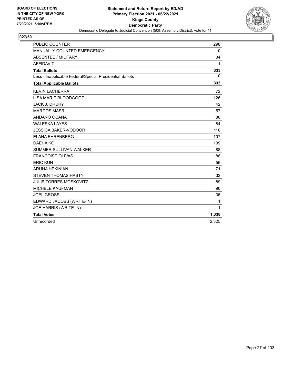

| <b>PUBLIC COUNTER</b>                                    | 298   |
|----------------------------------------------------------|-------|
| <b>MANUALLY COUNTED EMERGENCY</b>                        | 0     |
| <b>ABSENTEE / MILITARY</b>                               | 34    |
| <b>AFFIDAVIT</b>                                         | 1     |
| <b>Total Ballots</b>                                     | 333   |
| Less - Inapplicable Federal/Special Presidential Ballots | 0     |
| <b>Total Applicable Ballots</b>                          | 333   |
| <b>KEVIN LACHERRA</b>                                    | 72    |
| LISA MARIE BLOODGOOD                                     | 126   |
| <b>JACK J. DRURY</b>                                     | 42    |
| <b>MARCOS MASRI</b>                                      | 57    |
| ANDANO OCANA                                             | 80    |
| <b>WALESKA LAYES</b>                                     | 84    |
| <b>JESSICA BAKER-VODOOR</b>                              | 110   |
| <b>ELANA EHRENBERG</b>                                   | 107   |
| DAEHA KO                                                 | 109   |
| <b>SUMMER SULLIVAN WALKER</b>                            | 88    |
| <b>FRANCOISE OLIVAS</b>                                  | 88    |
| <b>ERIC KUN</b>                                          | 56    |
| <b>ARUNA HEKINIAN</b>                                    | 71    |
| <b>STEVEN THOMAS HASTY</b>                               | 32    |
| <b>JULIE TORRES MOSKOVITZ</b>                            | 89    |
| <b>MICHELE KAUFMAN</b>                                   | 90    |
| <b>JOEL GROSS</b>                                        | 35    |
| EDWARD JACOBS (WRITE-IN)                                 | 1     |
| JOE HARRIS (WRITE-IN)                                    | 1     |
| <b>Total Votes</b>                                       | 1,338 |
| Unrecorded                                               | 2,325 |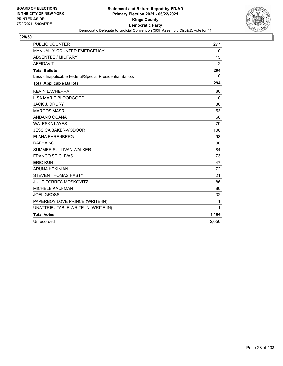

| <b>PUBLIC COUNTER</b>                                    | 277   |
|----------------------------------------------------------|-------|
| MANUALLY COUNTED EMERGENCY                               | 0     |
| <b>ABSENTEE / MILITARY</b>                               | 15    |
| <b>AFFIDAVIT</b>                                         | 2     |
| <b>Total Ballots</b>                                     | 294   |
| Less - Inapplicable Federal/Special Presidential Ballots | 0     |
| <b>Total Applicable Ballots</b>                          | 294   |
| <b>KEVIN LACHERRA</b>                                    | 60    |
| LISA MARIE BLOODGOOD                                     | 110   |
| <b>JACK J. DRURY</b>                                     | 36    |
| <b>MARCOS MASRI</b>                                      | 53    |
| ANDANO OCANA                                             | 66    |
| <b>WALESKA LAYES</b>                                     | 79    |
| <b>JESSICA BAKER-VODOOR</b>                              | 100   |
| <b>ELANA EHRENBERG</b>                                   | 93    |
| DAEHA KO                                                 | 90    |
| <b>SUMMER SULLIVAN WALKER</b>                            | 84    |
| <b>FRANCOISE OLIVAS</b>                                  | 73    |
| <b>ERIC KUN</b>                                          | 47    |
| <b>ARUNA HEKINIAN</b>                                    | 72    |
| <b>STEVEN THOMAS HASTY</b>                               | 21    |
| <b>JULIE TORRES MOSKOVITZ</b>                            | 86    |
| <b>MICHELE KAUFMAN</b>                                   | 80    |
| <b>JOEL GROSS</b>                                        | 32    |
| PAPERBOY LOVE PRINCE (WRITE-IN)                          | 1     |
| UNATTRIBUTABLE WRITE-IN (WRITE-IN)                       | 1     |
| <b>Total Votes</b>                                       | 1,184 |
| Unrecorded                                               | 2,050 |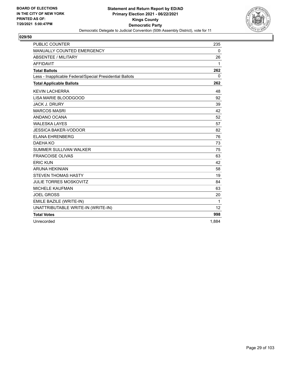

| <b>PUBLIC COUNTER</b>                                    | 235   |
|----------------------------------------------------------|-------|
| MANUALLY COUNTED EMERGENCY                               | 0     |
| <b>ABSENTEE / MILITARY</b>                               | 26    |
| <b>AFFIDAVIT</b>                                         | 1     |
| <b>Total Ballots</b>                                     | 262   |
| Less - Inapplicable Federal/Special Presidential Ballots | 0     |
| <b>Total Applicable Ballots</b>                          | 262   |
| <b>KEVIN LACHERRA</b>                                    | 48    |
| LISA MARIE BLOODGOOD                                     | 92    |
| <b>JACK J. DRURY</b>                                     | 39    |
| <b>MARCOS MASRI</b>                                      | 42    |
| ANDANO OCANA                                             | 52    |
| <b>WALESKA LAYES</b>                                     | 57    |
| <b>JESSICA BAKER-VODOOR</b>                              | 82    |
| <b>ELANA EHRENBERG</b>                                   | 76    |
| DAEHA KO                                                 | 73    |
| SUMMER SULLIVAN WALKER                                   | 75    |
| <b>FRANCOISE OLIVAS</b>                                  | 63    |
| <b>ERIC KUN</b>                                          | 42    |
| <b>ARUNA HEKINIAN</b>                                    | 58    |
| <b>STEVEN THOMAS HASTY</b>                               | 19    |
| <b>JULIE TORRES MOSKOVITZ</b>                            | 84    |
| <b>MICHELE KAUFMAN</b>                                   | 63    |
| <b>JOEL GROSS</b>                                        | 20    |
| EMILE BAZILE (WRITE-IN)                                  | 1     |
| UNATTRIBUTABLE WRITE-IN (WRITE-IN)                       | 12    |
| <b>Total Votes</b>                                       | 998   |
| Unrecorded                                               | 1,884 |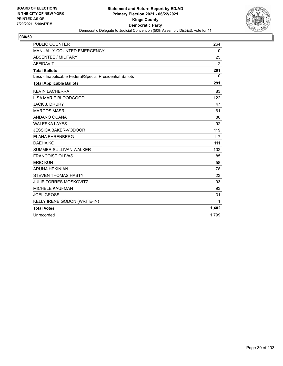

| <b>PUBLIC COUNTER</b>                                    | 264          |
|----------------------------------------------------------|--------------|
| MANUALLY COUNTED EMERGENCY                               | 0            |
| <b>ABSENTEE / MILITARY</b>                               | 25           |
| <b>AFFIDAVIT</b>                                         | 2            |
| <b>Total Ballots</b>                                     | 291          |
| Less - Inapplicable Federal/Special Presidential Ballots | $\mathbf{0}$ |
| <b>Total Applicable Ballots</b>                          | 291          |
| <b>KEVIN LACHERRA</b>                                    | 83           |
| LISA MARIE BLOODGOOD                                     | 122          |
| <b>JACK J. DRURY</b>                                     | 47           |
| <b>MARCOS MASRI</b>                                      | 61           |
| ANDANO OCANA                                             | 86           |
| <b>WALESKA LAYES</b>                                     | 92           |
| <b>JESSICA BAKER-VODOOR</b>                              | 119          |
| <b>ELANA EHRENBERG</b>                                   | 117          |
| DAEHA KO                                                 | 111          |
| SUMMER SULLIVAN WALKER                                   | 102          |
| <b>FRANCOISE OLIVAS</b>                                  | 85           |
| <b>ERIC KUN</b>                                          | 58           |
| <b>ARUNA HEKINIAN</b>                                    | 78           |
| <b>STEVEN THOMAS HASTY</b>                               | 23           |
| <b>JULIE TORRES MOSKOVITZ</b>                            | 93           |
| <b>MICHELE KAUFMAN</b>                                   | 93           |
| <b>JOEL GROSS</b>                                        | 31           |
| KELLY IRENE GODON (WRITE-IN)                             | 1            |
| <b>Total Votes</b>                                       | 1,402        |
| Unrecorded                                               | 1.799        |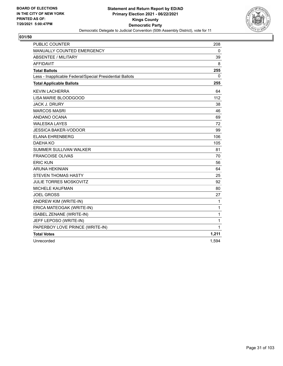

| <b>PUBLIC COUNTER</b>                                    | 208   |
|----------------------------------------------------------|-------|
| <b>MANUALLY COUNTED EMERGENCY</b>                        | 0     |
| ABSENTEE / MILITARY                                      | 39    |
| <b>AFFIDAVIT</b>                                         | 8     |
| <b>Total Ballots</b>                                     | 255   |
| Less - Inapplicable Federal/Special Presidential Ballots | 0     |
| <b>Total Applicable Ballots</b>                          | 255   |
| <b>KEVIN LACHERRA</b>                                    | 64    |
| LISA MARIE BLOODGOOD                                     | 112   |
| <b>JACK J. DRURY</b>                                     | 38    |
| <b>MARCOS MASRI</b>                                      | 46    |
| ANDANO OCANA                                             | 69    |
| <b>WALESKA LAYES</b>                                     | 72    |
| <b>JESSICA BAKER-VODOOR</b>                              | 99    |
| <b>ELANA EHRENBERG</b>                                   | 106   |
| <b>DAEHA KO</b>                                          | 105   |
| SUMMER SULLIVAN WALKER                                   | 81    |
| <b>FRANCOISE OLIVAS</b>                                  | 70    |
| <b>ERIC KUN</b>                                          | 56    |
| <b>ARUNA HEKINIAN</b>                                    | 64    |
| <b>STEVEN THOMAS HASTY</b>                               | 25    |
| <b>JULIE TORRES MOSKOVITZ</b>                            | 92    |
| <b>MICHELE KAUFMAN</b>                                   | 80    |
| <b>JOEL GROSS</b>                                        | 27    |
| ANDREW KIM (WRITE-IN)                                    | 1     |
| ERICA MATEOGAK (WRITE-IN)                                | 1     |
| ISABEL ZENANE (WRITE-IN)                                 | 1     |
| JEFF LEPOSO (WRITE-IN)                                   | 1     |
| PAPERBOY LOVE PRINCE (WRITE-IN)                          | 1     |
| <b>Total Votes</b>                                       | 1,211 |
| Unrecorded                                               | 1,594 |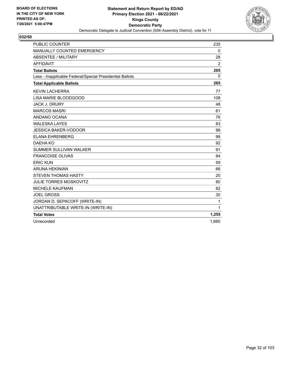

| <b>PUBLIC COUNTER</b>                                    | 235          |
|----------------------------------------------------------|--------------|
| MANUALLY COUNTED EMERGENCY                               | 0            |
| <b>ABSENTEE / MILITARY</b>                               | 28           |
| <b>AFFIDAVIT</b>                                         | 2            |
| <b>Total Ballots</b>                                     | 265          |
| Less - Inapplicable Federal/Special Presidential Ballots | $\mathbf{0}$ |
| <b>Total Applicable Ballots</b>                          | 265          |
| <b>KEVIN LACHERRA</b>                                    | 77           |
| LISA MARIE BLOODGOOD                                     | 108          |
| <b>JACK J. DRURY</b>                                     | 48           |
| <b>MARCOS MASRI</b>                                      | 61           |
| ANDANO OCANA                                             | 76           |
| <b>WALESKA LAYES</b>                                     | 83           |
| <b>JESSICA BAKER-VODOOR</b>                              | 98           |
| <b>ELANA EHRENBERG</b>                                   | 98           |
| DAEHA KO                                                 | 92           |
| <b>SUMMER SULLIVAN WALKER</b>                            | 91           |
| <b>FRANCOISE OLIVAS</b>                                  | 84           |
| <b>ERIC KUN</b>                                          | 59           |
| <b>ARUNA HEKINIAN</b>                                    | 66           |
| <b>STEVEN THOMAS HASTY</b>                               | 20           |
| <b>JULIE TORRES MOSKOVITZ</b>                            | 80           |
| <b>MICHELE KAUFMAN</b>                                   | 82           |
| <b>JOEL GROSS</b>                                        | 30           |
| JORDAN D. SEPACOFF (WRITE-IN)                            | 1            |
| UNATTRIBUTABLE WRITE-IN (WRITE-IN)                       | 1            |
| <b>Total Votes</b>                                       | 1,255        |
| Unrecorded                                               | 1,660        |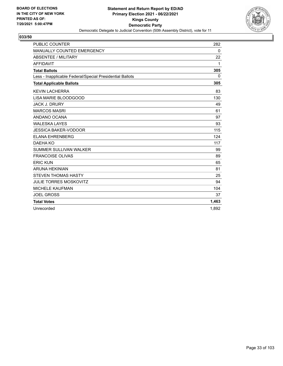

| <b>PUBLIC COUNTER</b>                                    | 282      |
|----------------------------------------------------------|----------|
| MANUALLY COUNTED EMERGENCY                               | 0        |
| <b>ABSENTEE / MILITARY</b>                               | 22       |
| <b>AFFIDAVIT</b>                                         | 1        |
| <b>Total Ballots</b>                                     | 305      |
| Less - Inapplicable Federal/Special Presidential Ballots | $\Omega$ |
| <b>Total Applicable Ballots</b>                          | 305      |
| <b>KEVIN LACHERRA</b>                                    | 83       |
| LISA MARIE BLOODGOOD                                     | 130      |
| <b>JACK J. DRURY</b>                                     | 49       |
| <b>MARCOS MASRI</b>                                      | 61       |
| ANDANO OCANA                                             | 97       |
| <b>WALESKA LAYES</b>                                     | 93       |
| <b>JESSICA BAKER-VODOOR</b>                              | 115      |
| <b>ELANA EHRENBERG</b>                                   | 124      |
| DAEHA KO                                                 | 117      |
| SUMMER SULLIVAN WALKER                                   | 99       |
| <b>FRANCOISE OLIVAS</b>                                  | 89       |
| <b>ERIC KUN</b>                                          | 65       |
| <b>ARUNA HEKINIAN</b>                                    | 81       |
| <b>STEVEN THOMAS HASTY</b>                               | 25       |
| <b>JULIE TORRES MOSKOVITZ</b>                            | 94       |
| <b>MICHELE KAUFMAN</b>                                   | 104      |
| <b>JOEL GROSS</b>                                        | 37       |
| <b>Total Votes</b>                                       | 1,463    |
| Unrecorded                                               | 1.892    |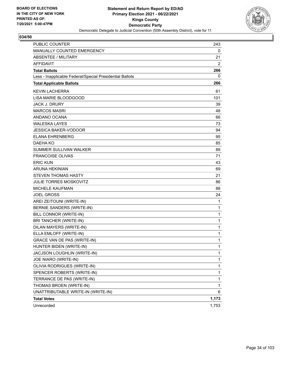

| <b>PUBLIC COUNTER</b>                                    | 243          |
|----------------------------------------------------------|--------------|
| MANUALLY COUNTED EMERGENCY                               | 0            |
| <b>ABSENTEE / MILITARY</b>                               | 21           |
| AFFIDAVIT                                                | 2            |
| <b>Total Ballots</b>                                     | 266          |
| Less - Inapplicable Federal/Special Presidential Ballots | 0            |
| <b>Total Applicable Ballots</b>                          | 266          |
| <b>KEVIN LACHERRA</b>                                    | 61           |
| LISA MARIE BLOODGOOD                                     | 101          |
| <b>JACK J. DRURY</b>                                     | 39           |
| <b>MARCOS MASRI</b>                                      | 48           |
| ANDANO OCANA                                             | 66           |
| <b>WALESKA LAYES</b>                                     | 73           |
| <b>JESSICA BAKER-VODOOR</b>                              | 94           |
| <b>ELANA EHRENBERG</b>                                   | 95           |
| <b>DAEHA KO</b>                                          | 85           |
| <b>SUMMER SULLIVAN WALKER</b>                            | 89           |
| <b>FRANCOISE OLIVAS</b>                                  | 71           |
| <b>ERIC KUN</b>                                          | 43           |
| <b>ARUNA HEKINIAN</b>                                    | 69           |
| <b>STEVEN THOMAS HASTY</b>                               | 21           |
| <b>JULIE TORRES MOSKOVITZ</b>                            | 86           |
| <b>MICHELE KAUFMAN</b>                                   | 88           |
| <b>JOEL GROSS</b>                                        | 24           |
| AREI ZEITOUNI (WRITE-IN)                                 | 1            |
| BERNIE SANDERS (WRITE-IN)                                | $\mathbf{1}$ |
| BILL CONNOR (WRITE-IN)                                   | 1            |
| BRI TANCHER (WRITE-IN)                                   | 1            |
| DILAN MAYERS (WRITE-IN)                                  | $\mathbf{1}$ |
| ELLA EMLOFF (WRITE-IN)                                   | 1            |
| GRACE VAN DE PAS (WRITE-IN)                              | 1            |
| HUNTER BIDEN (WRITE-IN)                                  | 1            |
| JACJSON LOUGHLIN (WRITE-IN)                              | 1            |
| JOE NIARO (WRITE-IN)                                     | 1            |
| OLIVIA RODRIGUES (WRITE-IN)                              | $\mathbf{1}$ |
| SPENCER ROBERTS (WRITE-IN)                               | 1            |
| TERRANCE DE PAS (WRITE-IN)                               | 1            |
| THOMAS BROEN (WRITE-IN)                                  | 1            |
| UNATTRIBUTABLE WRITE-IN (WRITE-IN)                       | 6            |
| <b>Total Votes</b>                                       | 1,173        |
| Unrecorded                                               | 1,753        |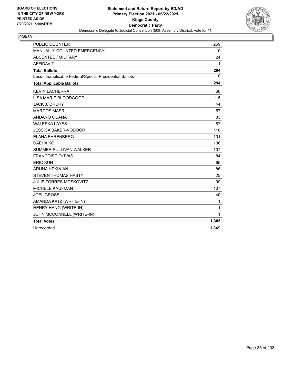

| <b>PUBLIC COUNTER</b>                                    | 269          |
|----------------------------------------------------------|--------------|
| MANUALLY COUNTED EMERGENCY                               | $\mathbf{0}$ |
| <b>ABSENTEE / MILITARY</b>                               | 24           |
| <b>AFFIDAVIT</b>                                         | 1            |
| <b>Total Ballots</b>                                     | 294          |
| Less - Inapplicable Federal/Special Presidential Ballots | 0            |
| <b>Total Applicable Ballots</b>                          | 294          |
| <b>KEVIN LACHERRA</b>                                    | 66           |
| LISA MARIE BLOODGOOD                                     | 115          |
| <b>JACK J. DRURY</b>                                     | 44           |
| <b>MARCOS MASRI</b>                                      | 57           |
| ANDANO OCANA                                             | 83           |
| <b>WALESKA LAYES</b>                                     | 87           |
| <b>JESSICA BAKER-VODOOR</b>                              | 110          |
| <b>ELANA EHRENBERG</b>                                   | 101          |
| DAEHA KO                                                 | 106          |
| <b>SUMMER SULLIVAN WALKER</b>                            | 107          |
| <b>FRANCOISE OLIVAS</b>                                  | 84           |
| <b>ERIC KUN</b>                                          | 65           |
| <b>ARUNA HEKINIAN</b>                                    | 86           |
| <b>STEVEN THOMAS HASTY</b>                               | 25           |
| <b>JULIE TORRES MOSKOVITZ</b>                            | 99           |
| <b>MICHELE KAUFMAN</b>                                   | 107          |
| <b>JOEL GROSS</b>                                        | 40           |
| AMANDA KATZ (WRITE-IN)                                   | 1            |
| HENRY HANG (WRITE-IN)                                    | 1            |
| JOHN MCCONNELL (WRITE-IN)                                | 1            |
| <b>Total Votes</b>                                       | 1,385        |
| Unrecorded                                               | 1,849        |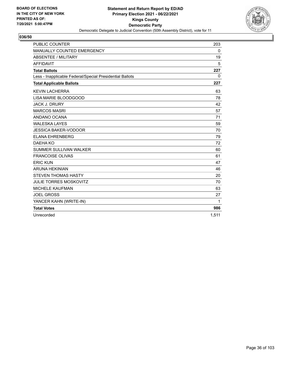

| <b>PUBLIC COUNTER</b>                                    | 203          |
|----------------------------------------------------------|--------------|
| MANUALLY COUNTED EMERGENCY                               | 0            |
| <b>ABSENTEE / MILITARY</b>                               | 19           |
| <b>AFFIDAVIT</b>                                         | 5            |
| <b>Total Ballots</b>                                     | 227          |
| Less - Inapplicable Federal/Special Presidential Ballots | $\mathbf{0}$ |
| <b>Total Applicable Ballots</b>                          | 227          |
| <b>KEVIN LACHERRA</b>                                    | 63           |
| LISA MARIE BLOODGOOD                                     | 78           |
| <b>JACK J. DRURY</b>                                     | 42           |
| <b>MARCOS MASRI</b>                                      | 57           |
| ANDANO OCANA                                             | 71           |
| <b>WALESKA LAYES</b>                                     | 59           |
| <b>JESSICA BAKER-VODOOR</b>                              | 70           |
| <b>ELANA EHRENBERG</b>                                   | 79           |
| DAEHA KO                                                 | 72           |
| SUMMER SULLIVAN WALKER                                   | 60           |
| <b>FRANCOISE OLIVAS</b>                                  | 61           |
| <b>ERIC KUN</b>                                          | 47           |
| <b>ARUNA HEKINIAN</b>                                    | 46           |
| <b>STEVEN THOMAS HASTY</b>                               | 20           |
| <b>JULIE TORRES MOSKOVITZ</b>                            | 70           |
| <b>MICHELE KAUFMAN</b>                                   | 63           |
| <b>JOEL GROSS</b>                                        | 27           |
| YANCER KAHN (WRITE-IN)                                   | 1            |
| <b>Total Votes</b>                                       | 986          |
| Unrecorded                                               | 1.511        |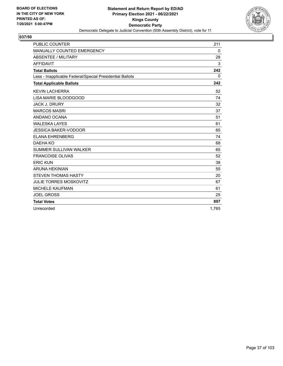

| <b>PUBLIC COUNTER</b>                                    | 211      |
|----------------------------------------------------------|----------|
| <b>MANUALLY COUNTED EMERGENCY</b>                        | 0        |
| <b>ABSENTEE / MILITARY</b>                               | 28       |
| <b>AFFIDAVIT</b>                                         | 3        |
| <b>Total Ballots</b>                                     | 242      |
| Less - Inapplicable Federal/Special Presidential Ballots | $\Omega$ |
| <b>Total Applicable Ballots</b>                          | 242      |
| <b>KEVIN LACHERRA</b>                                    | 52       |
| LISA MARIE BLOODGOOD                                     | 74       |
| <b>JACK J. DRURY</b>                                     | 32       |
| <b>MARCOS MASRI</b>                                      | 37       |
| ANDANO OCANA                                             | 51       |
| <b>WALESKA LAYES</b>                                     | 61       |
| <b>JESSICA BAKER-VODOOR</b>                              | 65       |
| <b>ELANA EHRENBERG</b>                                   | 74       |
| DAEHA KO                                                 | 68       |
| SUMMER SULLIVAN WALKER                                   | 65       |
| <b>FRANCOISE OLIVAS</b>                                  | 52       |
| <b>ERIC KUN</b>                                          | 38       |
| <b>ARUNA HEKINIAN</b>                                    | 55       |
| <b>STEVEN THOMAS HASTY</b>                               | 20       |
| <b>JULIE TORRES MOSKOVITZ</b>                            | 67       |
| <b>MICHELE KAUFMAN</b>                                   | 61       |
| <b>JOEL GROSS</b>                                        | 25       |
| <b>Total Votes</b>                                       | 897      |
| Unrecorded                                               | 1.765    |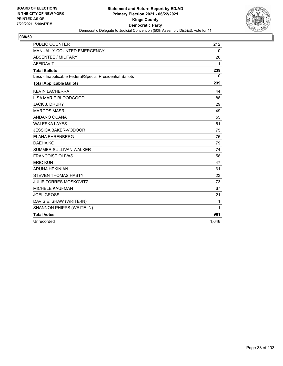

| <b>PUBLIC COUNTER</b>                                    | 212      |
|----------------------------------------------------------|----------|
| MANUALLY COUNTED EMERGENCY                               | 0        |
| <b>ABSENTEE / MILITARY</b>                               | 26       |
| <b>AFFIDAVIT</b>                                         | 1        |
| <b>Total Ballots</b>                                     | 239      |
| Less - Inapplicable Federal/Special Presidential Ballots | $\Omega$ |
| <b>Total Applicable Ballots</b>                          | 239      |
| <b>KEVIN LACHERRA</b>                                    | 44       |
| LISA MARIE BLOODGOOD                                     | 88       |
| <b>JACK J. DRURY</b>                                     | 29       |
| <b>MARCOS MASRI</b>                                      | 49       |
| ANDANO OCANA                                             | 55       |
| <b>WALESKA LAYES</b>                                     | 61       |
| <b>JESSICA BAKER-VODOOR</b>                              | 75       |
| <b>ELANA EHRENBERG</b>                                   | 75       |
| DAEHA KO                                                 | 79       |
| SUMMER SULLIVAN WALKER                                   | 74       |
| <b>FRANCOISE OLIVAS</b>                                  | 58       |
| <b>ERIC KUN</b>                                          | 47       |
| <b>ARUNA HEKINIAN</b>                                    | 61       |
| <b>STEVEN THOMAS HASTY</b>                               | 23       |
| <b>JULIE TORRES MOSKOVITZ</b>                            | 73       |
| <b>MICHELE KAUFMAN</b>                                   | 67       |
| <b>JOEL GROSS</b>                                        | 21       |
| DAVIS E. SHAW (WRITE-IN)                                 | 1        |
| SHANNON PHIPPS (WRITE-IN)                                | 1        |
| <b>Total Votes</b>                                       | 981      |
| Unrecorded                                               | 1,648    |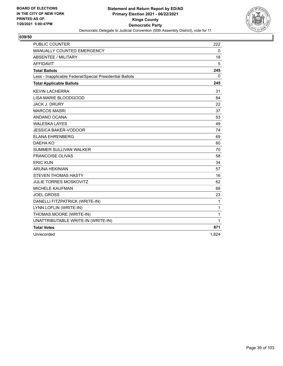

| <b>PUBLIC COUNTER</b>                                    | 222   |
|----------------------------------------------------------|-------|
| <b>MANUALLY COUNTED EMERGENCY</b>                        | 0     |
| <b>ABSENTEE / MILITARY</b>                               | 18    |
| <b>AFFIDAVIT</b>                                         | 5     |
| <b>Total Ballots</b>                                     | 245   |
| Less - Inapplicable Federal/Special Presidential Ballots | 0     |
| <b>Total Applicable Ballots</b>                          | 245   |
| <b>KEVIN LACHERRA</b>                                    | 31    |
| LISA MARIE BLOODGOOD                                     | 84    |
| <b>JACK J. DRURY</b>                                     | 22    |
| <b>MARCOS MASRI</b>                                      | 37    |
| ANDANO OCANA                                             | 53    |
| <b>WALESKA LAYES</b>                                     | 49    |
| <b>JESSICA BAKER-VODOOR</b>                              | 74    |
| <b>ELANA EHRENBERG</b>                                   | 69    |
| DAEHA KO                                                 | 60    |
| SUMMER SULLIVAN WALKER                                   | 70    |
| <b>FRANCOISE OLIVAS</b>                                  | 58    |
| <b>ERIC KUN</b>                                          | 34    |
| <b>ARUNA HEKINIAN</b>                                    | 57    |
| <b>STEVEN THOMAS HASTY</b>                               | 16    |
| <b>JULIE TORRES MOSKOVITZ</b>                            | 62    |
| <b>MICHELE KAUFMAN</b>                                   | 68    |
| <b>JOEL GROSS</b>                                        | 23    |
| DANELLI FITZPATRICK (WRITE-IN)                           | 1     |
| LYNN LOFLIN (WRITE-IN)                                   | 1     |
| THOMAS MOORE (WRITE-IN)                                  | 1     |
| UNATTRIBUTABLE WRITE-IN (WRITE-IN)                       | 1     |
| <b>Total Votes</b>                                       | 871   |
| Unrecorded                                               | 1,824 |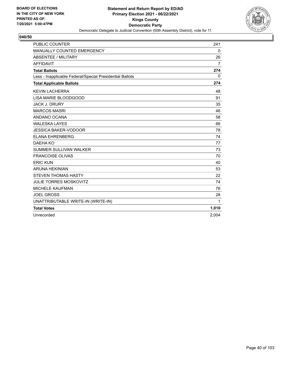

| <b>PUBLIC COUNTER</b>                                    | 241            |
|----------------------------------------------------------|----------------|
| MANUALLY COUNTED EMERGENCY                               | 0              |
| ABSENTEE / MILITARY                                      | 26             |
| <b>AFFIDAVIT</b>                                         | $\overline{7}$ |
| <b>Total Ballots</b>                                     | 274            |
| Less - Inapplicable Federal/Special Presidential Ballots | $\mathbf{0}$   |
| <b>Total Applicable Ballots</b>                          | 274            |
| <b>KEVIN LACHERRA</b>                                    | 48             |
| LISA MARIE BLOODGOOD                                     | 91             |
| <b>JACK J. DRURY</b>                                     | 35             |
| <b>MARCOS MASRI</b>                                      | 46             |
| ANDANO OCANA                                             | 58             |
| <b>WALESKA LAYES</b>                                     | 66             |
| <b>JESSICA BAKER-VODOOR</b>                              | 78             |
| <b>ELANA EHRENBERG</b>                                   | 74             |
| DAEHA KO                                                 | 77             |
| <b>SUMMER SULLIVAN WALKER</b>                            | 73             |
| <b>FRANCOISE OLIVAS</b>                                  | 70             |
| <b>ERIC KUN</b>                                          | 40             |
| <b>ARUNA HEKINIAN</b>                                    | 53             |
| <b>STEVEN THOMAS HASTY</b>                               | 22             |
| <b>JULIE TORRES MOSKOVITZ</b>                            | 74             |
| <b>MICHELE KAUFMAN</b>                                   | 76             |
| <b>JOEL GROSS</b>                                        | 28             |
| UNATTRIBUTABLE WRITE-IN (WRITE-IN)                       | 1              |
| <b>Total Votes</b>                                       | 1,010          |
| Unrecorded                                               | 2.004          |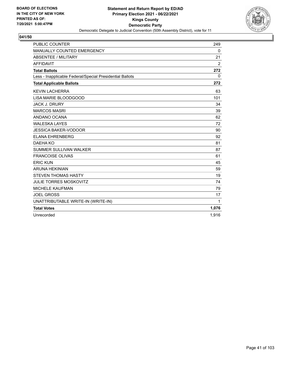

| <b>PUBLIC COUNTER</b>                                    | 249            |
|----------------------------------------------------------|----------------|
| MANUALLY COUNTED EMERGENCY                               | 0              |
| <b>ABSENTEE / MILITARY</b>                               | 21             |
| <b>AFFIDAVIT</b>                                         | $\overline{2}$ |
| <b>Total Ballots</b>                                     | 272            |
| Less - Inapplicable Federal/Special Presidential Ballots | $\mathbf{0}$   |
| <b>Total Applicable Ballots</b>                          | 272            |
| <b>KEVIN LACHERRA</b>                                    | 63             |
| LISA MARIE BLOODGOOD                                     | 101            |
| <b>JACK J. DRURY</b>                                     | 34             |
| <b>MARCOS MASRI</b>                                      | 39             |
| ANDANO OCANA                                             | 62             |
| <b>WALESKA LAYES</b>                                     | 72             |
| <b>JESSICA BAKER-VODOOR</b>                              | 90             |
| <b>ELANA EHRENBERG</b>                                   | 92             |
| DAEHA KO                                                 | 81             |
| SUMMER SULLIVAN WALKER                                   | 87             |
| <b>FRANCOISE OLIVAS</b>                                  | 61             |
| <b>ERIC KUN</b>                                          | 45             |
| <b>ARUNA HEKINIAN</b>                                    | 59             |
| <b>STEVEN THOMAS HASTY</b>                               | 19             |
| <b>JULIE TORRES MOSKOVITZ</b>                            | 74             |
| MICHELE KAUFMAN                                          | 79             |
| <b>JOEL GROSS</b>                                        | 17             |
| UNATTRIBUTABLE WRITE-IN (WRITE-IN)                       | 1              |
| <b>Total Votes</b>                                       | 1,076          |
| Unrecorded                                               | 1,916          |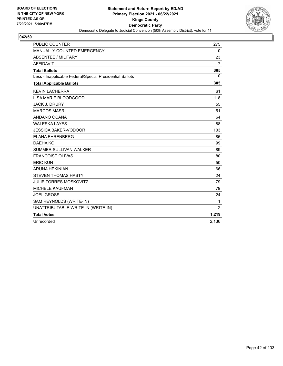

| <b>PUBLIC COUNTER</b>                                    | 275            |
|----------------------------------------------------------|----------------|
| MANUALLY COUNTED EMERGENCY                               | $\mathbf 0$    |
| <b>ABSENTEE / MILITARY</b>                               | 23             |
| <b>AFFIDAVIT</b>                                         | $\overline{7}$ |
| <b>Total Ballots</b>                                     | 305            |
| Less - Inapplicable Federal/Special Presidential Ballots | $\Omega$       |
| <b>Total Applicable Ballots</b>                          | 305            |
| <b>KEVIN LACHERRA</b>                                    | 61             |
| LISA MARIE BLOODGOOD                                     | 118            |
| <b>JACK J. DRURY</b>                                     | 55             |
| <b>MARCOS MASRI</b>                                      | 51             |
| ANDANO OCANA                                             | 64             |
| <b>WALESKA LAYES</b>                                     | 88             |
| <b>JESSICA BAKER-VODOOR</b>                              | 103            |
| <b>ELANA EHRENBERG</b>                                   | 86             |
| DAEHA KO                                                 | 99             |
| <b>SUMMER SULLIVAN WALKER</b>                            | 89             |
| <b>FRANCOISE OLIVAS</b>                                  | 80             |
| <b>ERIC KUN</b>                                          | 50             |
| <b>ARUNA HEKINIAN</b>                                    | 66             |
| <b>STEVEN THOMAS HASTY</b>                               | 24             |
| <b>JULIE TORRES MOSKOVITZ</b>                            | 79             |
| <b>MICHELE KAUFMAN</b>                                   | 79             |
| <b>JOEL GROSS</b>                                        | 24             |
| SAM REYNOLDS (WRITE-IN)                                  | 1              |
| UNATTRIBUTABLE WRITE-IN (WRITE-IN)                       | $\overline{2}$ |
| <b>Total Votes</b>                                       | 1,219          |
| Unrecorded                                               | 2,136          |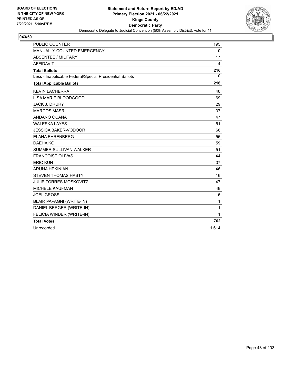

| <b>PUBLIC COUNTER</b>                                    | 195         |
|----------------------------------------------------------|-------------|
| MANUALLY COUNTED EMERGENCY                               | $\mathbf 0$ |
| ABSENTEE / MILITARY                                      | 17          |
| <b>AFFIDAVIT</b>                                         | 4           |
| <b>Total Ballots</b>                                     | 216         |
| Less - Inapplicable Federal/Special Presidential Ballots | 0           |
| <b>Total Applicable Ballots</b>                          | 216         |
| <b>KEVIN LACHERRA</b>                                    | 40          |
| LISA MARIE BLOODGOOD                                     | 69          |
| <b>JACK J. DRURY</b>                                     | 29          |
| <b>MARCOS MASRI</b>                                      | 37          |
| ANDANO OCANA                                             | 47          |
| <b>WALESKA LAYES</b>                                     | 51          |
| <b>JESSICA BAKER-VODOOR</b>                              | 66          |
| <b>ELANA EHRENBERG</b>                                   | 56          |
| DAEHA KO                                                 | 59          |
| <b>SUMMER SULLIVAN WALKER</b>                            | 51          |
| <b>FRANCOISE OLIVAS</b>                                  | 44          |
| <b>ERIC KUN</b>                                          | 37          |
| <b>ARUNA HEKINIAN</b>                                    | 46          |
| <b>STEVEN THOMAS HASTY</b>                               | 16          |
| <b>JULIE TORRES MOSKOVITZ</b>                            | 47          |
| <b>MICHELE KAUFMAN</b>                                   | 48          |
| <b>JOEL GROSS</b>                                        | 16          |
| <b>BLAIR PAPAGNI (WRITE-IN)</b>                          | 1           |
| DANIEL BERGER (WRITE-IN)                                 | 1           |
| FELICIA WINDER (WRITE-IN)                                | 1           |
| <b>Total Votes</b>                                       | 762         |
| Unrecorded                                               | 1,614       |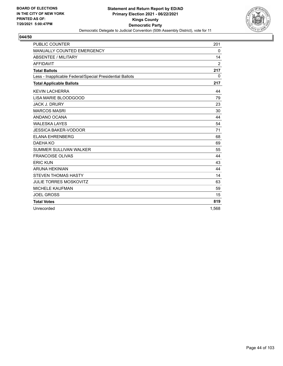

| <b>PUBLIC COUNTER</b>                                    | 201            |
|----------------------------------------------------------|----------------|
| MANUALLY COUNTED EMERGENCY                               | 0              |
| <b>ABSENTEE / MILITARY</b>                               | 14             |
| <b>AFFIDAVIT</b>                                         | $\overline{2}$ |
| <b>Total Ballots</b>                                     | 217            |
| Less - Inapplicable Federal/Special Presidential Ballots | $\Omega$       |
| <b>Total Applicable Ballots</b>                          | 217            |
| <b>KEVIN LACHERRA</b>                                    | 44             |
| LISA MARIE BLOODGOOD                                     | 79             |
| <b>JACK J. DRURY</b>                                     | 23             |
| <b>MARCOS MASRI</b>                                      | 30             |
| ANDANO OCANA                                             | 44             |
| <b>WALESKA LAYES</b>                                     | 54             |
| <b>JESSICA BAKER-VODOOR</b>                              | 71             |
| <b>ELANA EHRENBERG</b>                                   | 68             |
| DAEHA KO                                                 | 69             |
| SUMMER SULLIVAN WALKER                                   | 55             |
| <b>FRANCOISE OLIVAS</b>                                  | 44             |
| <b>ERIC KUN</b>                                          | 43             |
| <b>ARUNA HEKINIAN</b>                                    | 44             |
| <b>STEVEN THOMAS HASTY</b>                               | 14             |
| <b>JULIE TORRES MOSKOVITZ</b>                            | 63             |
| <b>MICHELE KAUFMAN</b>                                   | 59             |
| <b>JOEL GROSS</b>                                        | 15             |
| <b>Total Votes</b>                                       | 819            |
| Unrecorded                                               | 1.568          |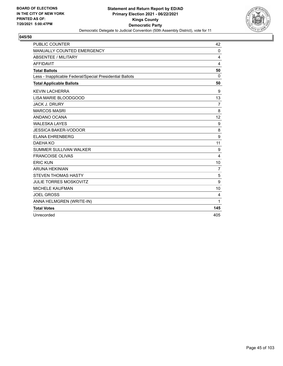

| <b>PUBLIC COUNTER</b>                                    | 42             |
|----------------------------------------------------------|----------------|
| MANUALLY COUNTED EMERGENCY                               | 0              |
| <b>ABSENTEE / MILITARY</b>                               | 4              |
| <b>AFFIDAVIT</b>                                         | 4              |
| <b>Total Ballots</b>                                     | 50             |
| Less - Inapplicable Federal/Special Presidential Ballots | $\Omega$       |
| <b>Total Applicable Ballots</b>                          | 50             |
| <b>KEVIN LACHERRA</b>                                    | 9              |
| LISA MARIE BLOODGOOD                                     | 13             |
| <b>JACK J. DRURY</b>                                     | $\overline{7}$ |
| <b>MARCOS MASRI</b>                                      | 8              |
| ANDANO OCANA                                             | 12             |
| <b>WALESKA LAYES</b>                                     | 9              |
| <b>JESSICA BAKER-VODOOR</b>                              | 8              |
| <b>ELANA EHRENBERG</b>                                   | 9              |
| DAEHA KO                                                 | 11             |
| SUMMER SULLIVAN WALKER                                   | 9              |
| <b>FRANCOISE OLIVAS</b>                                  | 4              |
| <b>ERIC KUN</b>                                          | 10             |
| <b>ARUNA HEKINIAN</b>                                    | $\overline{7}$ |
| <b>STEVEN THOMAS HASTY</b>                               | 5              |
| <b>JULIE TORRES MOSKOVITZ</b>                            | 9              |
| <b>MICHELE KAUFMAN</b>                                   | 10             |
| <b>JOEL GROSS</b>                                        | 4              |
| ANNA HELMGREN (WRITE-IN)                                 | 1              |
| <b>Total Votes</b>                                       | 145            |
| Unrecorded                                               | 405            |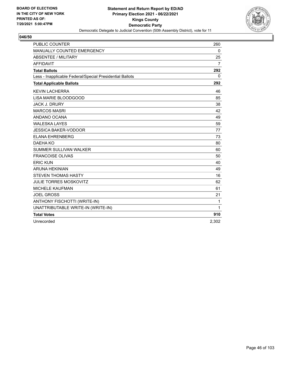

| <b>PUBLIC COUNTER</b>                                    | 260   |
|----------------------------------------------------------|-------|
| MANUALLY COUNTED EMERGENCY                               | 0     |
| <b>ABSENTEE / MILITARY</b>                               | 25    |
| <b>AFFIDAVIT</b>                                         | 7     |
| <b>Total Ballots</b>                                     | 292   |
| Less - Inapplicable Federal/Special Presidential Ballots | 0     |
| <b>Total Applicable Ballots</b>                          | 292   |
| <b>KEVIN LACHERRA</b>                                    | 46    |
| LISA MARIE BLOODGOOD                                     | 85    |
| <b>JACK J. DRURY</b>                                     | 38    |
| <b>MARCOS MASRI</b>                                      | 42    |
| ANDANO OCANA                                             | 49    |
| <b>WALESKA LAYES</b>                                     | 59    |
| <b>JESSICA BAKER-VODOOR</b>                              | 77    |
| <b>ELANA EHRENBERG</b>                                   | 73    |
| DAEHA KO                                                 | 80    |
| <b>SUMMER SULLIVAN WALKER</b>                            | 60    |
| <b>FRANCOISE OLIVAS</b>                                  | 50    |
| <b>ERIC KUN</b>                                          | 40    |
| <b>ARUNA HEKINIAN</b>                                    | 49    |
| <b>STEVEN THOMAS HASTY</b>                               | 16    |
| <b>JULIE TORRES MOSKOVITZ</b>                            | 62    |
| <b>MICHELE KAUFMAN</b>                                   | 61    |
| <b>JOEL GROSS</b>                                        | 21    |
| ANTHONY FISCHOTTI (WRITE-IN)                             | 1     |
| UNATTRIBUTABLE WRITE-IN (WRITE-IN)                       | 1     |
| <b>Total Votes</b>                                       | 910   |
| Unrecorded                                               | 2,302 |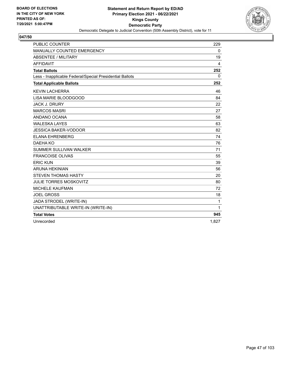

| <b>PUBLIC COUNTER</b>                                    | 229         |
|----------------------------------------------------------|-------------|
| MANUALLY COUNTED EMERGENCY                               | $\mathbf 0$ |
| <b>ABSENTEE / MILITARY</b>                               | 19          |
| <b>AFFIDAVIT</b>                                         | 4           |
| <b>Total Ballots</b>                                     | 252         |
| Less - Inapplicable Federal/Special Presidential Ballots | $\Omega$    |
| <b>Total Applicable Ballots</b>                          | 252         |
| <b>KEVIN LACHERRA</b>                                    | 46          |
| LISA MARIE BLOODGOOD                                     | 84          |
| <b>JACK J. DRURY</b>                                     | 22          |
| <b>MARCOS MASRI</b>                                      | 27          |
| ANDANO OCANA                                             | 58          |
| <b>WALESKA LAYES</b>                                     | 63          |
| <b>JESSICA BAKER-VODOOR</b>                              | 82          |
| <b>ELANA EHRENBERG</b>                                   | 74          |
| DAEHA KO                                                 | 76          |
| <b>SUMMER SULLIVAN WALKER</b>                            | 71          |
| <b>FRANCOISE OLIVAS</b>                                  | 55          |
| <b>ERIC KUN</b>                                          | 39          |
| <b>ARUNA HEKINIAN</b>                                    | 56          |
| <b>STEVEN THOMAS HASTY</b>                               | 20          |
| <b>JULIE TORRES MOSKOVITZ</b>                            | 80          |
| <b>MICHELE KAUFMAN</b>                                   | 72          |
| <b>JOEL GROSS</b>                                        | 18          |
| JADA STRODEL (WRITE-IN)                                  | 1           |
| UNATTRIBUTABLE WRITE-IN (WRITE-IN)                       | 1           |
| <b>Total Votes</b>                                       | 945         |
| Unrecorded                                               | 1,827       |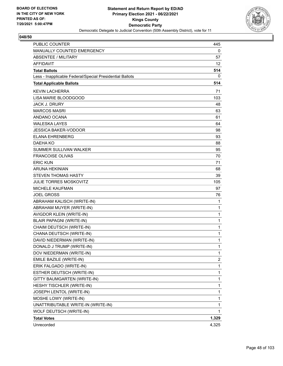

| <b>PUBLIC COUNTER</b>                                    | 445          |
|----------------------------------------------------------|--------------|
| MANUALLY COUNTED EMERGENCY                               | 0            |
| <b>ABSENTEE / MILITARY</b>                               | 57           |
| AFFIDAVIT                                                | 12           |
| <b>Total Ballots</b>                                     | 514          |
| Less - Inapplicable Federal/Special Presidential Ballots | 0            |
| <b>Total Applicable Ballots</b>                          | 514          |
| <b>KEVIN LACHERRA</b>                                    | 71           |
| LISA MARIE BLOODGOOD                                     | 103          |
| <b>JACK J. DRURY</b>                                     | 48           |
| <b>MARCOS MASRI</b>                                      | 63           |
| ANDANO OCANA                                             | 61           |
| WALESKA LAYES                                            | 64           |
| <b>JESSICA BAKER-VODOOR</b>                              | 98           |
| <b>ELANA EHRENBERG</b>                                   | 93           |
| <b>DAEHA KO</b>                                          | 88           |
| <b>SUMMER SULLIVAN WALKER</b>                            | 95           |
| <b>FRANCOISE OLIVAS</b>                                  | 70           |
| <b>ERIC KUN</b>                                          | 71           |
| <b>ARUNA HEKINIAN</b>                                    | 68           |
| <b>STEVEN THOMAS HASTY</b>                               | 39           |
| JULIE TORRES MOSKOVITZ                                   | 105          |
| <b>MICHELE KAUFMAN</b>                                   | 97           |
| <b>JOEL GROSS</b>                                        | 76           |
| ABRAHAM KALISCH (WRITE-IN)                               | 1            |
| ABRAHAM MUYER (WRITE-IN)                                 | 1            |
| AVIGDOR KLEIN (WRITE-IN)                                 | 1            |
| <b>BLAIR PAPAGNI (WRITE-IN)</b>                          | 1            |
| CHAIM DEUTSCH (WRITE-IN)                                 | 1            |
| CHANA DEUTSCH (WRITE-IN)                                 | 1            |
| DAVID NIEDERMAN (WRITE-IN)                               | 1            |
| DONALD J TRUMP (WRITE-IN)                                | 1            |
| DOV NIEDERMAN (WRITE-IN)                                 | 1            |
| EMILE BAZILE (WRITE-IN)                                  | 2            |
| ERIK FALGADO (WRITE-IN)                                  | $\mathbf{1}$ |
| ESTHER DEUTSCH (WRITE-IN)                                | 1            |
| GITTY BAUMGARTEN (WRITE-IN)                              | 1            |
| HESHY TISCHLER (WRITE-IN)                                | 1            |
| JOSEPH LENTOL (WRITE-IN)                                 | 1            |
| MOSHE LOWY (WRITE-IN)                                    | 1            |
| UNATTRIBUTABLE WRITE-IN (WRITE-IN)                       | 1            |
| WOLF DEUTSCH (WRITE-IN)                                  | 1            |
| <b>Total Votes</b>                                       | 1,329        |
| Unrecorded                                               | 4,325        |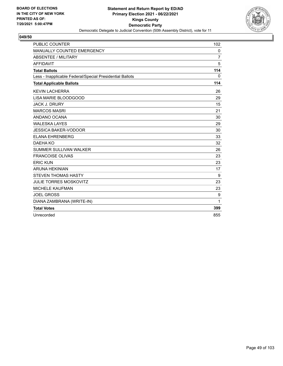

| <b>PUBLIC COUNTER</b>                                    | 102            |
|----------------------------------------------------------|----------------|
| MANUALLY COUNTED EMERGENCY                               | 0              |
| <b>ABSENTEE / MILITARY</b>                               | $\overline{7}$ |
| <b>AFFIDAVIT</b>                                         | 5              |
| <b>Total Ballots</b>                                     | 114            |
| Less - Inapplicable Federal/Special Presidential Ballots | $\mathbf{0}$   |
| <b>Total Applicable Ballots</b>                          | 114            |
| <b>KEVIN LACHERRA</b>                                    | 26             |
| <b>LISA MARIE BLOODGOOD</b>                              | 29             |
| <b>JACK J. DRURY</b>                                     | 15             |
| <b>MARCOS MASRI</b>                                      | 21             |
| ANDANO OCANA                                             | 30             |
| <b>WALESKA LAYES</b>                                     | 29             |
| <b>JESSICA BAKER-VODOOR</b>                              | 30             |
| <b>ELANA EHRENBERG</b>                                   | 33             |
| DAEHA KO                                                 | 32             |
| <b>SUMMER SULLIVAN WALKER</b>                            | 26             |
| <b>FRANCOISE OLIVAS</b>                                  | 23             |
| <b>ERIC KUN</b>                                          | 23             |
| <b>ARUNA HEKINIAN</b>                                    | 17             |
| <b>STEVEN THOMAS HASTY</b>                               | 9              |
| <b>JULIE TORRES MOSKOVITZ</b>                            | 23             |
| <b>MICHELE KAUFMAN</b>                                   | 23             |
| <b>JOEL GROSS</b>                                        | 9              |
| DIANA ZAMBRANA (WRITE-IN)                                | 1              |
| <b>Total Votes</b>                                       | 399            |
| Unrecorded                                               | 855            |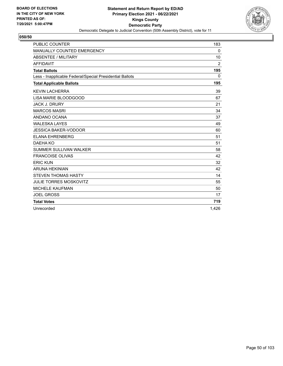

| <b>PUBLIC COUNTER</b>                                    | 183            |
|----------------------------------------------------------|----------------|
| MANUALLY COUNTED EMERGENCY                               | 0              |
| <b>ABSENTEE / MILITARY</b>                               | 10             |
| <b>AFFIDAVIT</b>                                         | $\overline{2}$ |
| <b>Total Ballots</b>                                     | 195            |
| Less - Inapplicable Federal/Special Presidential Ballots | $\Omega$       |
| <b>Total Applicable Ballots</b>                          | 195            |
| <b>KEVIN LACHERRA</b>                                    | 39             |
| LISA MARIE BLOODGOOD                                     | 67             |
| <b>JACK J. DRURY</b>                                     | 21             |
| <b>MARCOS MASRI</b>                                      | 34             |
| ANDANO OCANA                                             | 37             |
| <b>WALESKA LAYES</b>                                     | 49             |
| <b>JESSICA BAKER-VODOOR</b>                              | 60             |
| <b>ELANA EHRENBERG</b>                                   | 51             |
| DAEHA KO                                                 | 51             |
| SUMMER SULLIVAN WALKER                                   | 58             |
| <b>FRANCOISE OLIVAS</b>                                  | 42             |
| <b>ERIC KUN</b>                                          | 32             |
| <b>ARUNA HEKINIAN</b>                                    | 42             |
| <b>STEVEN THOMAS HASTY</b>                               | 14             |
| <b>JULIE TORRES MOSKOVITZ</b>                            | 55             |
| <b>MICHELE KAUFMAN</b>                                   | 50             |
| <b>JOEL GROSS</b>                                        | 17             |
| <b>Total Votes</b>                                       | 719            |
| Unrecorded                                               | 1.426          |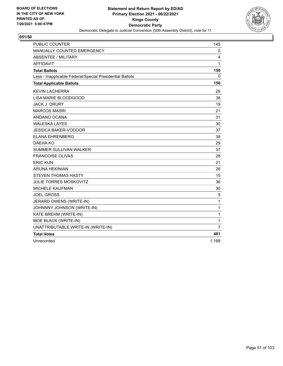

| <b>PUBLIC COUNTER</b>                                    | 145            |
|----------------------------------------------------------|----------------|
| MANUALLY COUNTED EMERGENCY                               | 0              |
| <b>ABSENTEE / MILITARY</b>                               | 4              |
| <b>AFFIDAVIT</b>                                         | 1              |
| <b>Total Ballots</b>                                     | 150            |
| Less - Inapplicable Federal/Special Presidential Ballots | 0              |
| <b>Total Applicable Ballots</b>                          | 150            |
| <b>KEVIN LACHERRA</b>                                    | 29             |
| LISA MARIE BLOODGOOD                                     | 38             |
| <b>JACK J. DRURY</b>                                     | 19             |
| <b>MARCOS MASRI</b>                                      | 21             |
| ANDANO OCANA                                             | 31             |
| <b>WALESKA LAYES</b>                                     | 30             |
| <b>JESSICA BAKER-VODOOR</b>                              | 37             |
| <b>ELANA EHRENBERG</b>                                   | 38             |
| DAEHA KO                                                 | 29             |
| SUMMER SULLIVAN WALKER                                   | 37             |
| <b>FRANCOISE OLIVAS</b>                                  | 28             |
| <b>ERIC KUN</b>                                          | 21             |
| <b>ARUNA HEKINIAN</b>                                    | 26             |
| STEVEN THOMAS HASTY                                      | 15             |
| <b>JULIE TORRES MOSKOVITZ</b>                            | 36             |
| <b>MICHELE KAUFMAN</b>                                   | 30             |
| <b>JOEL GROSS</b>                                        | 5              |
| JERARD OWENS (WRITE-IN)                                  | 1              |
| JOHNNNY JOHNSON (WRITE-IN)                               | 1              |
| KATE BREHM (WRITE-IN)                                    | 1              |
| MOE BLACK (WRITE-IN)                                     | 1              |
| UNATTRIBUTABLE WRITE-IN (WRITE-IN)                       | $\overline{7}$ |
| <b>Total Votes</b>                                       | 481            |
| Unrecorded                                               | 1,169          |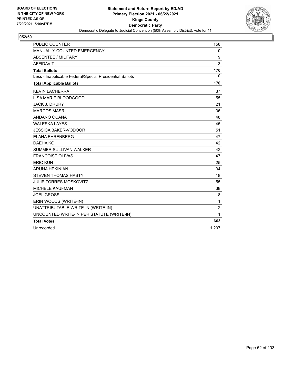

| <b>PUBLIC COUNTER</b>                                    | 158                     |
|----------------------------------------------------------|-------------------------|
| <b>MANUALLY COUNTED EMERGENCY</b>                        | 0                       |
| ABSENTEE / MILITARY                                      | 9                       |
| <b>AFFIDAVIT</b>                                         | 3                       |
| <b>Total Ballots</b>                                     | 170                     |
| Less - Inapplicable Federal/Special Presidential Ballots | $\mathbf{0}$            |
| <b>Total Applicable Ballots</b>                          | 170                     |
| <b>KEVIN LACHERRA</b>                                    | 37                      |
| LISA MARIE BLOODGOOD                                     | 55                      |
| <b>JACK J. DRURY</b>                                     | 21                      |
| <b>MARCOS MASRI</b>                                      | 36                      |
| ANDANO OCANA                                             | 48                      |
| <b>WALESKA LAYES</b>                                     | 45                      |
| <b>JESSICA BAKER-VODOOR</b>                              | 51                      |
| <b>ELANA EHRENBERG</b>                                   | 47                      |
| DAEHA KO                                                 | 42                      |
| SUMMER SULLIVAN WALKER                                   | 42                      |
| <b>FRANCOISE OLIVAS</b>                                  | 47                      |
| <b>ERIC KUN</b>                                          | 25                      |
| <b>ARUNA HEKINIAN</b>                                    | 34                      |
| <b>STEVEN THOMAS HASTY</b>                               | 18                      |
| <b>JULIE TORRES MOSKOVITZ</b>                            | 55                      |
| <b>MICHELE KAUFMAN</b>                                   | 38                      |
| <b>JOEL GROSS</b>                                        | 18                      |
| ERIN WOODS (WRITE-IN)                                    | $\mathbf{1}$            |
| UNATTRIBUTABLE WRITE-IN (WRITE-IN)                       | $\overline{\mathbf{c}}$ |
| UNCOUNTED WRITE-IN PER STATUTE (WRITE-IN)                | 1                       |
| <b>Total Votes</b>                                       | 663                     |
| Unrecorded                                               | 1,207                   |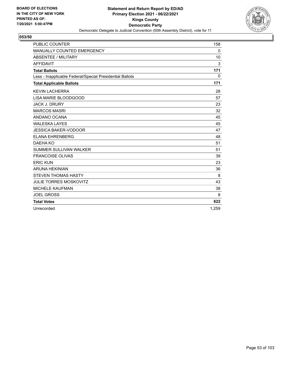

| <b>PUBLIC COUNTER</b>                                    | 158          |
|----------------------------------------------------------|--------------|
| MANUALLY COUNTED EMERGENCY                               | 0            |
| <b>ABSENTEE / MILITARY</b>                               | 10           |
| <b>AFFIDAVIT</b>                                         | 3            |
| <b>Total Ballots</b>                                     | 171          |
| Less - Inapplicable Federal/Special Presidential Ballots | $\mathbf{0}$ |
| <b>Total Applicable Ballots</b>                          | 171          |
| <b>KEVIN LACHERRA</b>                                    | 28           |
| LISA MARIE BLOODGOOD                                     | 57           |
| <b>JACK J. DRURY</b>                                     | 23           |
| <b>MARCOS MASRI</b>                                      | 32           |
| ANDANO OCANA                                             | 45           |
| <b>WALESKA LAYES</b>                                     | 45           |
| <b>JESSICA BAKER-VODOOR</b>                              | 47           |
| <b>ELANA EHRENBERG</b>                                   | 48           |
| DAEHA KO                                                 | 51           |
| SUMMER SULLIVAN WALKER                                   | 51           |
| <b>FRANCOISE OLIVAS</b>                                  | 39           |
| <b>ERIC KUN</b>                                          | 23           |
| <b>ARUNA HEKINIAN</b>                                    | 36           |
| <b>STEVEN THOMAS HASTY</b>                               | 8            |
| <b>JULIE TORRES MOSKOVITZ</b>                            | 43           |
| <b>MICHELE KAUFMAN</b>                                   | 38           |
| <b>JOEL GROSS</b>                                        | 8            |
| <b>Total Votes</b>                                       | 622          |
| Unrecorded                                               | 1,259        |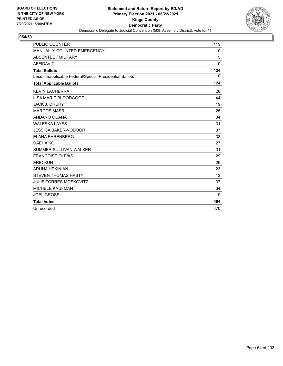

| <b>PUBLIC COUNTER</b>                                    | 119          |
|----------------------------------------------------------|--------------|
| MANUALLY COUNTED EMERGENCY                               | 0            |
| <b>ABSENTEE / MILITARY</b>                               | 5            |
| <b>AFFIDAVIT</b>                                         | $\mathbf{0}$ |
| <b>Total Ballots</b>                                     | 124          |
| Less - Inapplicable Federal/Special Presidential Ballots | $\mathbf{0}$ |
| <b>Total Applicable Ballots</b>                          | 124          |
| <b>KEVIN LACHERRA</b>                                    | 28           |
| LISA MARIE BLOODGOOD                                     | 44           |
| <b>JACK J. DRURY</b>                                     | 19           |
| <b>MARCOS MASRI</b>                                      | 25           |
| ANDANO OCANA                                             | 34           |
| <b>WALESKA LAYES</b>                                     | 31           |
| <b>JESSICA BAKER-VODOOR</b>                              | 37           |
| <b>ELANA EHRENBERG</b>                                   | 38           |
| DAEHA KO                                                 | 27           |
| SUMMER SULLIVAN WALKER                                   | 31           |
| <b>FRANCOISE OLIVAS</b>                                  | 29           |
| <b>ERIC KUN</b>                                          | 26           |
| <b>ARUNA HEKINIAN</b>                                    | 23           |
| <b>STEVEN THOMAS HASTY</b>                               | 12           |
| <b>JULIE TORRES MOSKOVITZ</b>                            | 37           |
| <b>MICHELE KAUFMAN</b>                                   | 34           |
| <b>JOEL GROSS</b>                                        | 19           |
| <b>Total Votes</b>                                       | 494          |
| Unrecorded                                               | 870          |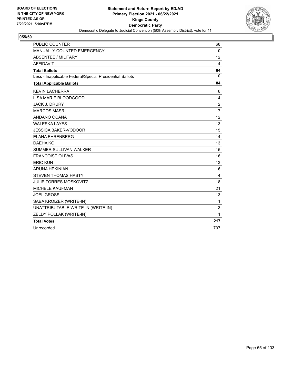

| <b>PUBLIC COUNTER</b>                                    | 68             |
|----------------------------------------------------------|----------------|
| MANUALLY COUNTED EMERGENCY                               | $\mathbf{0}$   |
| <b>ABSENTEE / MILITARY</b>                               | 12             |
| <b>AFFIDAVIT</b>                                         | 4              |
| <b>Total Ballots</b>                                     | 84             |
| Less - Inapplicable Federal/Special Presidential Ballots | 0              |
| <b>Total Applicable Ballots</b>                          | 84             |
| <b>KEVIN LACHERRA</b>                                    | 6              |
| LISA MARIE BLOODGOOD                                     | 14             |
| <b>JACK J. DRURY</b>                                     | 2              |
| <b>MARCOS MASRI</b>                                      | $\overline{7}$ |
| ANDANO OCANA                                             | 12             |
| <b>WALESKA LAYES</b>                                     | 13             |
| <b>JESSICA BAKER-VODOOR</b>                              | 15             |
| <b>ELANA EHRENBERG</b>                                   | 14             |
| DAEHA KO                                                 | 13             |
| <b>SUMMER SULLIVAN WALKER</b>                            | 15             |
| <b>FRANCOISE OLIVAS</b>                                  | 16             |
| <b>ERIC KUN</b>                                          | 13             |
| <b>ARUNA HEKINIAN</b>                                    | 16             |
| <b>STEVEN THOMAS HASTY</b>                               | 4              |
| <b>JULIE TORRES MOSKOVITZ</b>                            | 18             |
| <b>MICHELE KAUFMAN</b>                                   | 21             |
| <b>JOEL GROSS</b>                                        | 13             |
| SABA KROIZER (WRITE-IN)                                  | 1              |
| UNATTRIBUTABLE WRITE-IN (WRITE-IN)                       | 3              |
| ZELDY POLLAK (WRITE-IN)                                  | 1              |
| <b>Total Votes</b>                                       | 217            |
| Unrecorded                                               | 707            |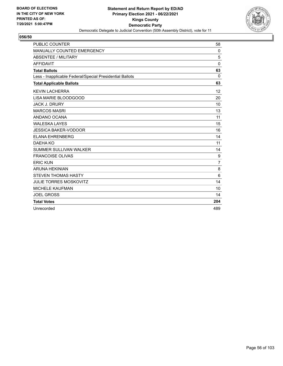

| <b>PUBLIC COUNTER</b>                                    | 58             |
|----------------------------------------------------------|----------------|
| MANUALLY COUNTED EMERGENCY                               | 0              |
| <b>ABSENTEE / MILITARY</b>                               | 5              |
| <b>AFFIDAVIT</b>                                         | $\mathbf{0}$   |
| <b>Total Ballots</b>                                     | 63             |
| Less - Inapplicable Federal/Special Presidential Ballots | $\Omega$       |
| <b>Total Applicable Ballots</b>                          | 63             |
| <b>KEVIN LACHERRA</b>                                    | 12             |
| LISA MARIE BLOODGOOD                                     | 20             |
| <b>JACK J. DRURY</b>                                     | 10             |
| <b>MARCOS MASRI</b>                                      | 13             |
| ANDANO OCANA                                             | 11             |
| <b>WALESKA LAYES</b>                                     | 15             |
| <b>JESSICA BAKER-VODOOR</b>                              | 16             |
| <b>ELANA EHRENBERG</b>                                   | 14             |
| DAEHA KO                                                 | 11             |
| <b>SUMMER SULLIVAN WALKER</b>                            | 14             |
| <b>FRANCOISE OLIVAS</b>                                  | 9              |
| <b>ERIC KUN</b>                                          | $\overline{7}$ |
| <b>ARUNA HEKINIAN</b>                                    | 8              |
| <b>STEVEN THOMAS HASTY</b>                               | 6              |
| <b>JULIE TORRES MOSKOVITZ</b>                            | 14             |
| <b>MICHELE KAUFMAN</b>                                   | 10             |
| <b>JOEL GROSS</b>                                        | 14             |
| <b>Total Votes</b>                                       | 204            |
| Unrecorded                                               | 489            |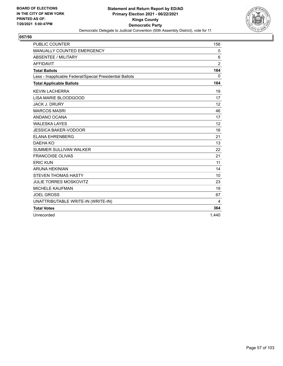

| <b>PUBLIC COUNTER</b>                                    | 156            |
|----------------------------------------------------------|----------------|
| MANUALLY COUNTED EMERGENCY                               | 0              |
| <b>ABSENTEE / MILITARY</b>                               | 6              |
| <b>AFFIDAVIT</b>                                         | $\overline{2}$ |
| <b>Total Ballots</b>                                     | 164            |
| Less - Inapplicable Federal/Special Presidential Ballots | $\mathbf{0}$   |
| <b>Total Applicable Ballots</b>                          | 164            |
| <b>KEVIN LACHERRA</b>                                    | 19             |
| LISA MARIE BLOODGOOD                                     | 17             |
| <b>JACK J. DRURY</b>                                     | 12             |
| <b>MARCOS MASRI</b>                                      | 46             |
| ANDANO OCANA                                             | 17             |
| <b>WALESKA LAYES</b>                                     | 12             |
| <b>JESSICA BAKER-VODOOR</b>                              | 16             |
| <b>ELANA EHRENBERG</b>                                   | 21             |
| DAEHA KO                                                 | 13             |
| <b>SUMMER SULLIVAN WALKER</b>                            | 22             |
| <b>FRANCOISE OLIVAS</b>                                  | 21             |
| <b>ERIC KUN</b>                                          | 11             |
| <b>ARUNA HEKINIAN</b>                                    | 14             |
| <b>STEVEN THOMAS HASTY</b>                               | 10             |
| <b>JULIE TORRES MOSKOVITZ</b>                            | 23             |
| <b>MICHELE KAUFMAN</b>                                   | 19             |
| <b>JOEL GROSS</b>                                        | 67             |
| UNATTRIBUTABLE WRITE-IN (WRITE-IN)                       | 4              |
| <b>Total Votes</b>                                       | 364            |
| Unrecorded                                               | 1.440          |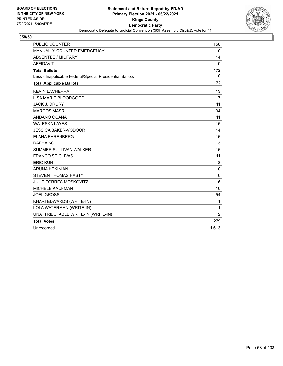

| <b>PUBLIC COUNTER</b>                                    | 158            |
|----------------------------------------------------------|----------------|
| <b>MANUALLY COUNTED EMERGENCY</b>                        | $\mathbf 0$    |
| ABSENTEE / MILITARY                                      | 14             |
| <b>AFFIDAVIT</b>                                         | $\mathbf{0}$   |
| <b>Total Ballots</b>                                     | 172            |
| Less - Inapplicable Federal/Special Presidential Ballots | 0              |
| <b>Total Applicable Ballots</b>                          | 172            |
| <b>KEVIN LACHERRA</b>                                    | 13             |
| LISA MARIE BLOODGOOD                                     | 17             |
| <b>JACK J. DRURY</b>                                     | 11             |
| <b>MARCOS MASRI</b>                                      | 34             |
| ANDANO OCANA                                             | 11             |
| <b>WALESKA LAYES</b>                                     | 15             |
| <b>JESSICA BAKER-VODOOR</b>                              | 14             |
| <b>ELANA EHRENBERG</b>                                   | 16             |
| DAEHA KO                                                 | 13             |
| <b>SUMMER SULLIVAN WALKER</b>                            | 16             |
| <b>FRANCOISE OLIVAS</b>                                  | 11             |
| <b>ERIC KUN</b>                                          | 8              |
| <b>ARUNA HEKINIAN</b>                                    | 10             |
| <b>STEVEN THOMAS HASTY</b>                               | 6              |
| <b>JULIE TORRES MOSKOVITZ</b>                            | 16             |
| <b>MICHELE KAUFMAN</b>                                   | 10             |
| <b>JOEL GROSS</b>                                        | 54             |
| KHARI EDWARDS (WRITE-IN)                                 | 1              |
| LOLA WATERMAN (WRITE-IN)                                 | 1              |
| UNATTRIBUTABLE WRITE-IN (WRITE-IN)                       | $\overline{2}$ |
| <b>Total Votes</b>                                       | 279            |
| Unrecorded                                               | 1,613          |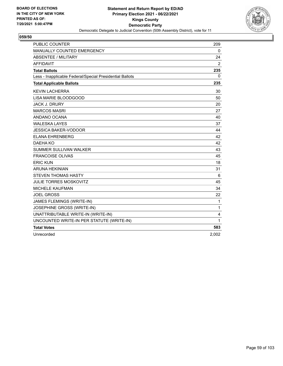

| <b>PUBLIC COUNTER</b>                                    | 209            |
|----------------------------------------------------------|----------------|
| MANUALLY COUNTED EMERGENCY                               | 0              |
| <b>ABSENTEE / MILITARY</b>                               | 24             |
| <b>AFFIDAVIT</b>                                         | $\overline{2}$ |
| <b>Total Ballots</b>                                     | 235            |
| Less - Inapplicable Federal/Special Presidential Ballots | 0              |
| <b>Total Applicable Ballots</b>                          | 235            |
| <b>KEVIN LACHERRA</b>                                    | 30             |
| LISA MARIE BLOODGOOD                                     | 50             |
| <b>JACK J. DRURY</b>                                     | 20             |
| <b>MARCOS MASRI</b>                                      | 27             |
| ANDANO OCANA                                             | 40             |
| <b>WALESKA LAYES</b>                                     | 37             |
| <b>JESSICA BAKER-VODOOR</b>                              | 44             |
| <b>ELANA EHRENBERG</b>                                   | 42             |
| DAEHA KO                                                 | 42             |
| SUMMER SULLIVAN WALKER                                   | 43             |
| <b>FRANCOISE OLIVAS</b>                                  | 45             |
| <b>ERIC KUN</b>                                          | 18             |
| <b>ARUNA HEKINIAN</b>                                    | 31             |
| <b>STEVEN THOMAS HASTY</b>                               | 6              |
| <b>JULIE TORRES MOSKOVITZ</b>                            | 45             |
| <b>MICHELE KAUFMAN</b>                                   | 34             |
| <b>JOEL GROSS</b>                                        | 22             |
| JAMES FLEMINGS (WRITE-IN)                                | 1              |
| JOSEPHINE GROSS (WRITE-IN)                               | 1              |
| UNATTRIBUTABLE WRITE-IN (WRITE-IN)                       | 4              |
| UNCOUNTED WRITE-IN PER STATUTE (WRITE-IN)                | 1              |
| <b>Total Votes</b>                                       | 583            |
| Unrecorded                                               | 2,002          |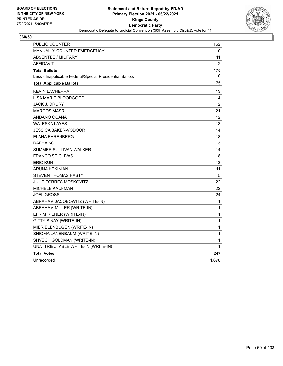

| PUBLIC COUNTER                                           | 162            |
|----------------------------------------------------------|----------------|
| <b>MANUALLY COUNTED EMERGENCY</b>                        | 0              |
| <b>ABSENTEE / MILITARY</b>                               | 11             |
| <b>AFFIDAVIT</b>                                         | $\overline{2}$ |
| <b>Total Ballots</b>                                     | 175            |
| Less - Inapplicable Federal/Special Presidential Ballots | 0              |
| <b>Total Applicable Ballots</b>                          | 175            |
| <b>KEVIN LACHERRA</b>                                    | 13             |
| LISA MARIE BLOODGOOD                                     | 14             |
| <b>JACK J. DRURY</b>                                     | 2              |
| <b>MARCOS MASRI</b>                                      | 21             |
| ANDANO OCANA                                             | 12             |
| <b>WALESKA LAYES</b>                                     | 13             |
| JESSICA BAKER-VODOOR                                     | 14             |
| ELANA EHRENBERG                                          | 18             |
| DAEHA KO                                                 | 13             |
| SUMMER SULLIVAN WALKER                                   | 14             |
| <b>FRANCOISE OLIVAS</b>                                  | 8              |
| <b>ERIC KUN</b>                                          | 13             |
| <b>ARUNA HEKINIAN</b>                                    | 11             |
| STEVEN THOMAS HASTY                                      | 5              |
| <b>JULIE TORRES MOSKOVITZ</b>                            | 22             |
| <b>MICHELE KAUFMAN</b>                                   | 22             |
| <b>JOEL GROSS</b>                                        | 24             |
| ABRAHAM JACOBOWITZ (WRITE-IN)                            | 1              |
| ABRAHAM MILLER (WRITE-IN)                                | $\mathbf{1}$   |
| EFRIM RIENER (WRITE-IN)                                  | 1              |
| GITTY SINAY (WRITE-IN)                                   | 1              |
| MIER ELENBUGEN (WRITE-IN)                                | 1              |
| SHIOMA LANENBAUM (WRITE-IN)                              | 1              |
| SHVECH GOLDMAN (WRITE-IN)                                | 1              |
| UNATTRIBUTABLE WRITE-IN (WRITE-IN)                       | 1              |
| <b>Total Votes</b>                                       | 247            |
| Unrecorded                                               | 1,678          |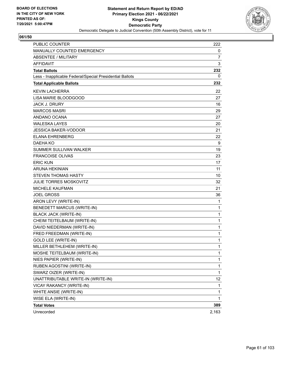

| <b>PUBLIC COUNTER</b>                                    | 222            |
|----------------------------------------------------------|----------------|
| MANUALLY COUNTED EMERGENCY                               | 0              |
| <b>ABSENTEE / MILITARY</b>                               | $\overline{7}$ |
| <b>AFFIDAVIT</b>                                         | 3              |
| <b>Total Ballots</b>                                     | 232            |
| Less - Inapplicable Federal/Special Presidential Ballots | 0              |
| <b>Total Applicable Ballots</b>                          | 232            |
| <b>KEVIN LACHERRA</b>                                    | 22             |
| LISA MARIE BLOODGOOD                                     | 27             |
| <b>JACK J. DRURY</b>                                     | 16             |
| <b>MARCOS MASRI</b>                                      | 29             |
| ANDANO OCANA                                             | 27             |
| <b>WALESKA LAYES</b>                                     | 20             |
| <b>JESSICA BAKER-VODOOR</b>                              | 21             |
| <b>ELANA EHRENBERG</b>                                   | 22             |
| <b>DAEHA KO</b>                                          | 9              |
| <b>SUMMER SULLIVAN WALKER</b>                            | 19             |
| <b>FRANCOISE OLIVAS</b>                                  | 23             |
| <b>ERIC KUN</b>                                          | 17             |
| <b>ARUNA HEKINIAN</b>                                    | 11             |
| <b>STEVEN THOMAS HASTY</b>                               | 10             |
| <b>JULIE TORRES MOSKOVITZ</b>                            | 32             |
| <b>MICHELE KAUFMAN</b>                                   | 21             |
| <b>JOEL GROSS</b>                                        | 36             |
| ARON LEVY (WRITE-IN)                                     | 1              |
| BENEDETT MARCUS (WRITE-IN)                               | 1              |
| <b>BLACK JACK (WRITE-IN)</b>                             | 1              |
| CHEIM TEITELBAUM (WRITE-IN)                              | 1              |
| DAVID NIEDERMAN (WRITE-IN)                               | 1              |
| FRED FREEDMAN (WRITE-IN)                                 | 1              |
| <b>GOLD LEE (WRITE-IN)</b>                               | 1              |
| MILLER BETHLEHEM (WRITE-IN)                              | 1              |
| MOSHE TEITELBAUM (WRITE-IN)                              | 1              |
| NIES PAPIER (WRITE-IN)                                   | 1              |
| RUBEN AGOSTINI (WRITE-IN)                                | 1              |
| SWARZ OIZER (WRITE-IN)                                   | $\mathbf{1}$   |
| UNATTRIBUTABLE WRITE-IN (WRITE-IN)                       | 12             |
| VICAY RAKANCY (WRITE-IN)                                 | 1              |
| WHITE ANSIE (WRITE-IN)                                   | 1              |
| WISE ELA (WRITE-IN)                                      | 1              |
| <b>Total Votes</b>                                       | 389            |
| Unrecorded                                               | 2,163          |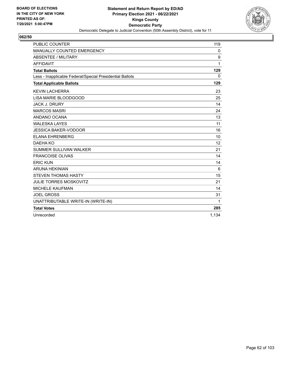

| <b>PUBLIC COUNTER</b>                                    | 119               |
|----------------------------------------------------------|-------------------|
| <b>MANUALLY COUNTED EMERGENCY</b>                        | 0                 |
| <b>ABSENTEE / MILITARY</b>                               | 9                 |
| <b>AFFIDAVIT</b>                                         | 1                 |
| <b>Total Ballots</b>                                     | 129               |
| Less - Inapplicable Federal/Special Presidential Ballots | $\mathbf{0}$      |
| <b>Total Applicable Ballots</b>                          | 129               |
| <b>KEVIN LACHERRA</b>                                    | 23                |
| <b>LISA MARIE BLOODGOOD</b>                              | 25                |
| <b>JACK J. DRURY</b>                                     | 14                |
| <b>MARCOS MASRI</b>                                      | 24                |
| ANDANO OCANA                                             | 13                |
| <b>WALESKA LAYES</b>                                     | 11                |
| <b>JESSICA BAKER-VODOOR</b>                              | 16                |
| <b>ELANA EHRENBERG</b>                                   | 10                |
| DAEHA KO                                                 | $12 \overline{ }$ |
| <b>SUMMER SULLIVAN WALKER</b>                            | 21                |
| <b>FRANCOISE OLIVAS</b>                                  | 14                |
| <b>ERIC KUN</b>                                          | 14                |
| <b>ARUNA HEKINIAN</b>                                    | 6                 |
| <b>STEVEN THOMAS HASTY</b>                               | 15                |
| <b>JULIE TORRES MOSKOVITZ</b>                            | 21                |
| <b>MICHELE KAUFMAN</b>                                   | 14                |
| <b>JOEL GROSS</b>                                        | 31                |
| UNATTRIBUTABLE WRITE-IN (WRITE-IN)                       | 1                 |
| <b>Total Votes</b>                                       | 285               |
| Unrecorded                                               | 1.134             |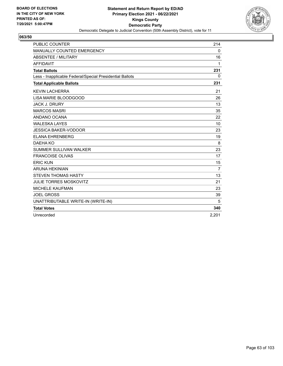

| <b>PUBLIC COUNTER</b>                                    | 214            |
|----------------------------------------------------------|----------------|
| MANUALLY COUNTED EMERGENCY                               | 0              |
| <b>ABSENTEE / MILITARY</b>                               | 16             |
| <b>AFFIDAVIT</b>                                         | 1              |
| <b>Total Ballots</b>                                     | 231            |
| Less - Inapplicable Federal/Special Presidential Ballots | $\mathbf{0}$   |
| <b>Total Applicable Ballots</b>                          | 231            |
| <b>KEVIN LACHERRA</b>                                    | 21             |
| LISA MARIE BLOODGOOD                                     | 26             |
| <b>JACK J. DRURY</b>                                     | 13             |
| <b>MARCOS MASRI</b>                                      | 35             |
| ANDANO OCANA                                             | 22             |
| <b>WALESKA LAYES</b>                                     | 10             |
| <b>JESSICA BAKER-VODOOR</b>                              | 23             |
| <b>ELANA EHRENBERG</b>                                   | 19             |
| DAEHA KO                                                 | 8              |
| SUMMER SULLIVAN WALKER                                   | 23             |
| <b>FRANCOISE OLIVAS</b>                                  | 17             |
| <b>ERIC KUN</b>                                          | 15             |
| <b>ARUNA HEKINIAN</b>                                    | $\overline{7}$ |
| <b>STEVEN THOMAS HASTY</b>                               | 13             |
| <b>JULIE TORRES MOSKOVITZ</b>                            | 21             |
| <b>MICHELE KAUFMAN</b>                                   | 23             |
| <b>JOEL GROSS</b>                                        | 39             |
| UNATTRIBUTABLE WRITE-IN (WRITE-IN)                       | 5              |
| <b>Total Votes</b>                                       | 340            |
| Unrecorded                                               | 2.201          |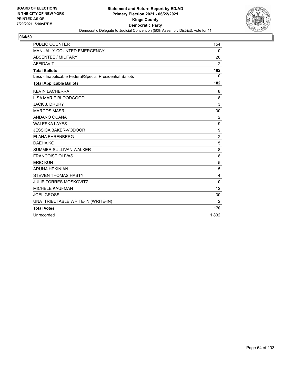

| <b>PUBLIC COUNTER</b>                                    | 154          |
|----------------------------------------------------------|--------------|
| MANUALLY COUNTED EMERGENCY                               | 0            |
| <b>ABSENTEE / MILITARY</b>                               | 26           |
| <b>AFFIDAVIT</b>                                         | 2            |
| <b>Total Ballots</b>                                     | 182          |
| Less - Inapplicable Federal/Special Presidential Ballots | $\mathbf{0}$ |
| <b>Total Applicable Ballots</b>                          | 182          |
| <b>KEVIN LACHERRA</b>                                    | 8            |
| LISA MARIE BLOODGOOD                                     | 8            |
| <b>JACK J. DRURY</b>                                     | 3            |
| <b>MARCOS MASRI</b>                                      | 30           |
| ANDANO OCANA                                             | 2            |
| <b>WALESKA LAYES</b>                                     | 9            |
| <b>JESSICA BAKER-VODOOR</b>                              | 9            |
| <b>ELANA EHRENBERG</b>                                   | 12           |
| DAEHA KO                                                 | 5            |
| <b>SUMMER SULLIVAN WALKER</b>                            | 8            |
| <b>FRANCOISE OLIVAS</b>                                  | 8            |
| <b>ERIC KUN</b>                                          | 5            |
| <b>ARUNA HEKINIAN</b>                                    | 5            |
| <b>STEVEN THOMAS HASTY</b>                               | 4            |
| <b>JULIE TORRES MOSKOVITZ</b>                            | 10           |
| <b>MICHELE KAUFMAN</b>                                   | 12           |
| <b>JOEL GROSS</b>                                        | 30           |
| UNATTRIBUTABLE WRITE-IN (WRITE-IN)                       | 2            |
| <b>Total Votes</b>                                       | 170          |
| Unrecorded                                               | 1.832        |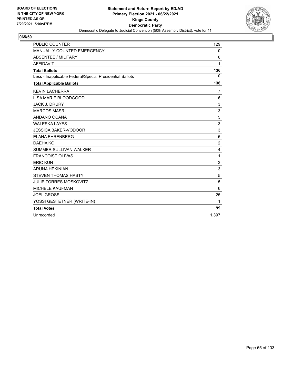

| <b>PUBLIC COUNTER</b>                                    | 129            |
|----------------------------------------------------------|----------------|
| MANUALLY COUNTED EMERGENCY                               | 0              |
| <b>ABSENTEE / MILITARY</b>                               | 6              |
| <b>AFFIDAVIT</b>                                         | 1              |
| <b>Total Ballots</b>                                     | 136            |
| Less - Inapplicable Federal/Special Presidential Ballots | $\mathbf{0}$   |
| <b>Total Applicable Ballots</b>                          | 136            |
| <b>KEVIN LACHERRA</b>                                    | 7              |
| LISA MARIE BLOODGOOD                                     | 6              |
| <b>JACK J. DRURY</b>                                     | 3              |
| <b>MARCOS MASRI</b>                                      | 13             |
| ANDANO OCANA                                             | 5              |
| <b>WALESKA LAYES</b>                                     | 3              |
| <b>JESSICA BAKER-VODOOR</b>                              | 3              |
| <b>ELANA EHRENBERG</b>                                   | 5              |
| DAEHA KO                                                 | $\overline{c}$ |
| SUMMER SULLIVAN WALKER                                   | 4              |
| <b>FRANCOISE OLIVAS</b>                                  | 1              |
| <b>ERIC KUN</b>                                          | $\overline{2}$ |
| <b>ARUNA HEKINIAN</b>                                    | 3              |
| <b>STEVEN THOMAS HASTY</b>                               | 5              |
| <b>JULIE TORRES MOSKOVITZ</b>                            | 5              |
| <b>MICHELE KAUFMAN</b>                                   | 6              |
| <b>JOEL GROSS</b>                                        | 25             |
| YOSSI GESTETNER (WRITE-IN)                               | 1              |
| <b>Total Votes</b>                                       | 99             |
| Unrecorded                                               | 1.397          |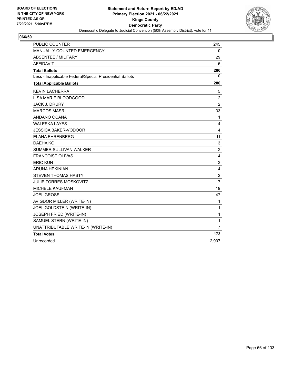

| <b>PUBLIC COUNTER</b>                                    | 245                     |
|----------------------------------------------------------|-------------------------|
| MANUALLY COUNTED EMERGENCY                               | 0                       |
| <b>ABSENTEE / MILITARY</b>                               | 29                      |
| <b>AFFIDAVIT</b>                                         | 6                       |
| <b>Total Ballots</b>                                     | 280                     |
| Less - Inapplicable Federal/Special Presidential Ballots | 0                       |
| <b>Total Applicable Ballots</b>                          | 280                     |
| <b>KEVIN LACHERRA</b>                                    | 5                       |
| LISA MARIE BLOODGOOD                                     | $\overline{2}$          |
| <b>JACK J. DRURY</b>                                     | $\overline{c}$          |
| <b>MARCOS MASRI</b>                                      | 33                      |
| ANDANO OCANA                                             | 1                       |
| <b>WALESKA LAYES</b>                                     | 4                       |
| <b>JESSICA BAKER-VODOOR</b>                              | 4                       |
| <b>ELANA EHRENBERG</b>                                   | 11                      |
| DAEHA KO                                                 | 3                       |
| SUMMER SULLIVAN WALKER                                   | $\overline{c}$          |
| <b>FRANCOISE OLIVAS</b>                                  | $\overline{4}$          |
| <b>ERIC KUN</b>                                          | $\overline{c}$          |
| <b>ARUNA HEKINIAN</b>                                    | $\overline{\mathbf{4}}$ |
| <b>STEVEN THOMAS HASTY</b>                               | $\overline{c}$          |
| <b>JULIE TORRES MOSKOVITZ</b>                            | 17                      |
| <b>MICHELE KAUFMAN</b>                                   | 19                      |
| <b>JOEL GROSS</b>                                        | 47                      |
| AVIGDOR MILLER (WRITE-IN)                                | $\mathbf{1}$            |
| JOEL GOLDSTEIN (WRITE-IN)                                | $\mathbf{1}$            |
| JOSEPH FRIED (WRITE-IN)                                  | 1                       |
| SAMUEL STERN (WRITE-IN)                                  | 1                       |
| UNATTRIBUTABLE WRITE-IN (WRITE-IN)                       | $\overline{7}$          |
| <b>Total Votes</b>                                       | 173                     |
| Unrecorded                                               | 2,907                   |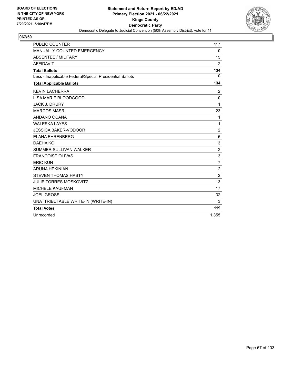

| <b>PUBLIC COUNTER</b>                                    | 117                     |
|----------------------------------------------------------|-------------------------|
| MANUALLY COUNTED EMERGENCY                               | 0                       |
| <b>ABSENTEE / MILITARY</b>                               | 15                      |
| <b>AFFIDAVIT</b>                                         | $\overline{2}$          |
| <b>Total Ballots</b>                                     | 134                     |
| Less - Inapplicable Federal/Special Presidential Ballots | $\mathbf{0}$            |
| <b>Total Applicable Ballots</b>                          | 134                     |
| <b>KEVIN LACHERRA</b>                                    | 2                       |
| LISA MARIE BLOODGOOD                                     | 0                       |
| <b>JACK J. DRURY</b>                                     | 1                       |
| <b>MARCOS MASRI</b>                                      | 23                      |
| ANDANO OCANA                                             | 1                       |
| <b>WALESKA LAYES</b>                                     | 1                       |
| <b>JESSICA BAKER-VODOOR</b>                              | $\overline{c}$          |
| <b>ELANA EHRENBERG</b>                                   | $\sqrt{5}$              |
| DAEHA KO                                                 | $\mathsf 3$             |
| SUMMER SULLIVAN WALKER                                   | $\overline{\mathbf{c}}$ |
| <b>FRANCOISE OLIVAS</b>                                  | 3                       |
| <b>ERIC KUN</b>                                          | $\overline{7}$          |
| <b>ARUNA HEKINIAN</b>                                    | $\overline{2}$          |
| <b>STEVEN THOMAS HASTY</b>                               | $\overline{2}$          |
| <b>JULIE TORRES MOSKOVITZ</b>                            | 13                      |
| <b>MICHELE KAUFMAN</b>                                   | 17                      |
| <b>JOEL GROSS</b>                                        | 32                      |
| UNATTRIBUTABLE WRITE-IN (WRITE-IN)                       | 3                       |
| <b>Total Votes</b>                                       | 119                     |
| Unrecorded                                               | 1.355                   |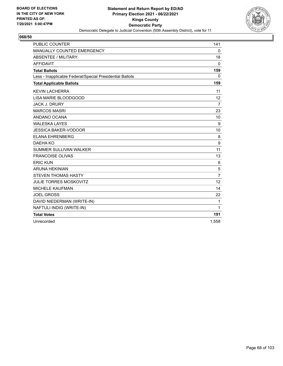

| <b>PUBLIC COUNTER</b>                                    | 141              |
|----------------------------------------------------------|------------------|
| MANUALLY COUNTED EMERGENCY                               | $\mathbf 0$      |
| <b>ABSENTEE / MILITARY</b>                               | 18               |
| <b>AFFIDAVIT</b>                                         | $\mathbf{0}$     |
| <b>Total Ballots</b>                                     | 159              |
| Less - Inapplicable Federal/Special Presidential Ballots | $\Omega$         |
| <b>Total Applicable Ballots</b>                          | 159              |
| <b>KEVIN LACHERRA</b>                                    | 11               |
| LISA MARIE BLOODGOOD                                     | 12               |
| <b>JACK J. DRURY</b>                                     | $\overline{7}$   |
| <b>MARCOS MASRI</b>                                      | 23               |
| ANDANO OCANA                                             | 10               |
| <b>WALESKA LAYES</b>                                     | $\boldsymbol{9}$ |
| <b>JESSICA BAKER-VODOOR</b>                              | 10               |
| <b>ELANA EHRENBERG</b>                                   | 8                |
| DAEHA KO                                                 | 9                |
| <b>SUMMER SULLIVAN WALKER</b>                            | 11               |
| <b>FRANCOISE OLIVAS</b>                                  | 13               |
| <b>ERIC KUN</b>                                          | 6                |
| <b>ARUNA HEKINIAN</b>                                    | 5                |
| <b>STEVEN THOMAS HASTY</b>                               | $\overline{7}$   |
| <b>JULIE TORRES MOSKOVITZ</b>                            | 12               |
| <b>MICHELE KAUFMAN</b>                                   | 14               |
| <b>JOEL GROSS</b>                                        | 22               |
| DAVID NIEDERMAN (WRITE-IN)                               | 1                |
| NAFTULI INDIG (WRITE-IN)                                 | 1                |
| <b>Total Votes</b>                                       | 191              |
| Unrecorded                                               | 1,558            |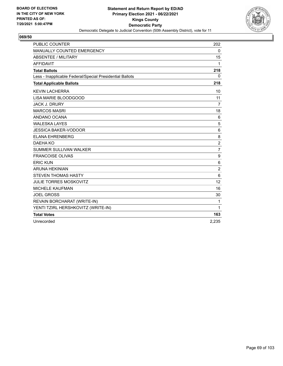

| <b>PUBLIC COUNTER</b>                                    | 202              |
|----------------------------------------------------------|------------------|
| MANUALLY COUNTED EMERGENCY                               | 0                |
| <b>ABSENTEE / MILITARY</b>                               | 15               |
| <b>AFFIDAVIT</b>                                         | 1                |
| <b>Total Ballots</b>                                     | 218              |
| Less - Inapplicable Federal/Special Presidential Ballots | 0                |
| <b>Total Applicable Ballots</b>                          | 218              |
| <b>KEVIN LACHERRA</b>                                    | 10               |
| LISA MARIE BLOODGOOD                                     | 11               |
| <b>JACK J. DRURY</b>                                     | $\overline{7}$   |
| <b>MARCOS MASRI</b>                                      | 18               |
| ANDANO OCANA                                             | 6                |
| <b>WALESKA LAYES</b>                                     | 5                |
| <b>JESSICA BAKER-VODOOR</b>                              | 6                |
| <b>ELANA EHRENBERG</b>                                   | 8                |
| DAEHA KO                                                 | $\overline{c}$   |
| <b>SUMMER SULLIVAN WALKER</b>                            | $\overline{7}$   |
| <b>FRANCOISE OLIVAS</b>                                  | 9                |
| <b>ERIC KUN</b>                                          | $\,6$            |
| <b>ARUNA HEKINIAN</b>                                    | $\boldsymbol{2}$ |
| <b>STEVEN THOMAS HASTY</b>                               | 6                |
| <b>JULIE TORRES MOSKOVITZ</b>                            | 12               |
| <b>MICHELE KAUFMAN</b>                                   | 16               |
| <b>JOEL GROSS</b>                                        | 30               |
| REVAIN BORCHARAT (WRITE-IN)                              | 1                |
| YENTI TZIRL HERSHKOVITZ (WRITE-IN)                       | 1                |
| <b>Total Votes</b>                                       | 163              |
| Unrecorded                                               | 2,235            |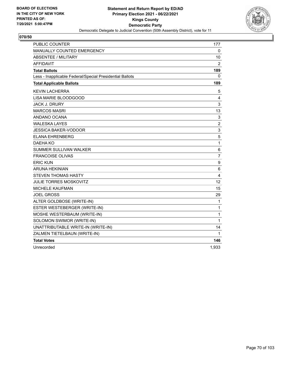

| <b>PUBLIC COUNTER</b>                                    | 177            |
|----------------------------------------------------------|----------------|
| MANUALLY COUNTED EMERGENCY                               | 0              |
| <b>ABSENTEE / MILITARY</b>                               | 10             |
| <b>AFFIDAVIT</b>                                         | $\overline{2}$ |
| <b>Total Ballots</b>                                     | 189            |
| Less - Inapplicable Federal/Special Presidential Ballots | 0              |
| <b>Total Applicable Ballots</b>                          | 189            |
| <b>KEVIN LACHERRA</b>                                    | 5              |
| LISA MARIE BLOODGOOD                                     | 4              |
| <b>JACK J. DRURY</b>                                     | 3              |
| <b>MARCOS MASRI</b>                                      | 13             |
| ANDANO OCANA                                             | 3              |
| <b>WALESKA LAYES</b>                                     | $\overline{c}$ |
| <b>JESSICA BAKER-VODOOR</b>                              | 3              |
| <b>ELANA EHRENBERG</b>                                   | 5              |
| DAEHA KO                                                 | 1              |
| <b>SUMMER SULLIVAN WALKER</b>                            | 6              |
| <b>FRANCOISE OLIVAS</b>                                  | $\overline{7}$ |
| <b>ERIC KUN</b>                                          | 9              |
| ARUNA HEKINIAN                                           | 6              |
| STEVEN THOMAS HASTY                                      | 4              |
| <b>JULIE TORRES MOSKOVITZ</b>                            | 12             |
| <b>MICHELE KAUFMAN</b>                                   | 15             |
| <b>JOEL GROSS</b>                                        | 29             |
| ALTER GOLDBOSE (WRITE-IN)                                | 1              |
| ESTER WESTEBERGER (WRITE-IN)                             | 1              |
| MOSHE WESTERBAUM (WRITE-IN)                              | $\mathbf{1}$   |
| SOLOMON SWIMOR (WRITE-IN)                                | 1              |
| UNATTRIBUTABLE WRITE-IN (WRITE-IN)                       | 14             |
| ZALMEN TIETELBAUN (WRITE-IN)                             | 1              |
| <b>Total Votes</b>                                       | 146            |
| Unrecorded                                               | 1,933          |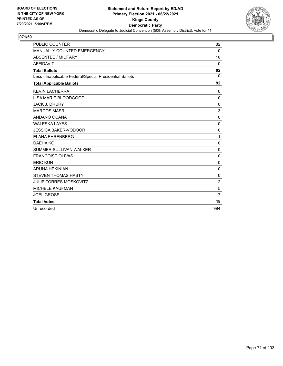

| <b>PUBLIC COUNTER</b>                                    | 82             |
|----------------------------------------------------------|----------------|
| MANUALLY COUNTED EMERGENCY                               | 0              |
| <b>ABSENTEE / MILITARY</b>                               | 10             |
| <b>AFFIDAVIT</b>                                         | $\mathbf{0}$   |
| <b>Total Ballots</b>                                     | 92             |
| Less - Inapplicable Federal/Special Presidential Ballots | $\Omega$       |
| <b>Total Applicable Ballots</b>                          | 92             |
| <b>KEVIN LACHERRA</b>                                    | $\mathbf{0}$   |
| LISA MARIE BLOODGOOD                                     | 0              |
| <b>JACK J. DRURY</b>                                     | $\mathbf 0$    |
| <b>MARCOS MASRI</b>                                      | 3              |
| ANDANO OCANA                                             | $\mathbf{0}$   |
| <b>WALESKA LAYES</b>                                     | 0              |
| <b>JESSICA BAKER-VODOOR</b>                              | $\mathbf{0}$   |
| <b>ELANA EHRENBERG</b>                                   | 1              |
| DAEHA KO                                                 | 0              |
| <b>SUMMER SULLIVAN WALKER</b>                            | $\mathbf 0$    |
| <b>FRANCOISE OLIVAS</b>                                  | $\mathbf{0}$   |
| <b>ERIC KUN</b>                                          | 0              |
| <b>ARUNA HEKINIAN</b>                                    | $\Omega$       |
| <b>STEVEN THOMAS HASTY</b>                               | $\mathbf 0$    |
| <b>JULIE TORRES MOSKOVITZ</b>                            | $\overline{2}$ |
| <b>MICHELE KAUFMAN</b>                                   | 5              |
| <b>JOEL GROSS</b>                                        | $\overline{7}$ |
| <b>Total Votes</b>                                       | 18             |
| Unrecorded                                               | 994            |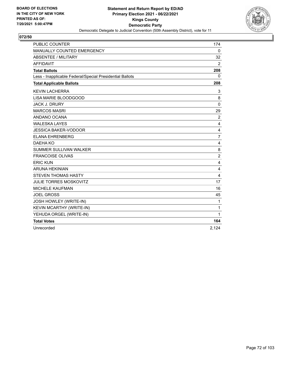

| <b>PUBLIC COUNTER</b>                                    | 174            |
|----------------------------------------------------------|----------------|
| <b>MANUALLY COUNTED EMERGENCY</b>                        | $\mathbf 0$    |
| ABSENTEE / MILITARY                                      | 32             |
| <b>AFFIDAVIT</b>                                         | $\overline{2}$ |
| <b>Total Ballots</b>                                     | 208            |
| Less - Inapplicable Federal/Special Presidential Ballots | 0              |
| <b>Total Applicable Ballots</b>                          | 208            |
| <b>KEVIN LACHERRA</b>                                    | 3              |
| LISA MARIE BLOODGOOD                                     | 8              |
| <b>JACK J. DRURY</b>                                     | $\Omega$       |
| <b>MARCOS MASRI</b>                                      | 29             |
| ANDANO OCANA                                             | $\overline{2}$ |
| <b>WALESKA LAYES</b>                                     | 4              |
| <b>JESSICA BAKER-VODOOR</b>                              | 4              |
| <b>ELANA EHRENBERG</b>                                   | $\overline{7}$ |
| DAEHA KO                                                 | 4              |
| <b>SUMMER SULLIVAN WALKER</b>                            | 8              |
| <b>FRANCOISE OLIVAS</b>                                  | $\overline{c}$ |
| <b>ERIC KUN</b>                                          | 4              |
| <b>ARUNA HEKINIAN</b>                                    | 4              |
| <b>STEVEN THOMAS HASTY</b>                               | 4              |
| <b>JULIE TORRES MOSKOVITZ</b>                            | 17             |
| <b>MICHELE KAUFMAN</b>                                   | 16             |
| <b>JOEL GROSS</b>                                        | 45             |
| JOSH HOWLEY (WRITE-IN)                                   | 1              |
| KEVIN MCARTHY (WRITE-IN)                                 | 1              |
| YEHUDA ORGEL (WRITE-IN)                                  | 1              |
| <b>Total Votes</b>                                       | 164            |
| Unrecorded                                               | 2,124          |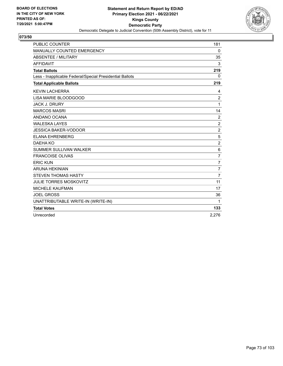

| <b>PUBLIC COUNTER</b>                                    | 181                     |
|----------------------------------------------------------|-------------------------|
| MANUALLY COUNTED EMERGENCY                               | 0                       |
| <b>ABSENTEE / MILITARY</b>                               | 35                      |
| <b>AFFIDAVIT</b>                                         | 3                       |
| <b>Total Ballots</b>                                     | 219                     |
| Less - Inapplicable Federal/Special Presidential Ballots | $\mathbf{0}$            |
| <b>Total Applicable Ballots</b>                          | 219                     |
| <b>KEVIN LACHERRA</b>                                    | 4                       |
| LISA MARIE BLOODGOOD                                     | $\overline{\mathbf{c}}$ |
| <b>JACK J. DRURY</b>                                     | 1                       |
| <b>MARCOS MASRI</b>                                      | 14                      |
| ANDANO OCANA                                             | $\overline{2}$          |
| <b>WALESKA LAYES</b>                                     | $\overline{c}$          |
| <b>JESSICA BAKER-VODOOR</b>                              | $\overline{c}$          |
| <b>ELANA EHRENBERG</b>                                   | 5                       |
| DAEHA KO                                                 | $\overline{c}$          |
| <b>SUMMER SULLIVAN WALKER</b>                            | 6                       |
| <b>FRANCOISE OLIVAS</b>                                  | $\overline{7}$          |
| <b>ERIC KUN</b>                                          | $\overline{7}$          |
| <b>ARUNA HEKINIAN</b>                                    | $\overline{7}$          |
| <b>STEVEN THOMAS HASTY</b>                               | 7                       |
| <b>JULIE TORRES MOSKOVITZ</b>                            | 11                      |
| <b>MICHELE KAUFMAN</b>                                   | 17                      |
| <b>JOEL GROSS</b>                                        | 36                      |
| UNATTRIBUTABLE WRITE-IN (WRITE-IN)                       | 1                       |
| <b>Total Votes</b>                                       | 133                     |
| Unrecorded                                               | 2.276                   |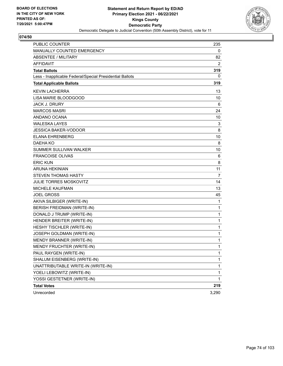

| <b>PUBLIC COUNTER</b>                                    | 235          |
|----------------------------------------------------------|--------------|
| MANUALLY COUNTED EMERGENCY                               | 0            |
| <b>ABSENTEE / MILITARY</b>                               | 82           |
| AFFIDAVIT                                                | 2            |
| <b>Total Ballots</b>                                     | 319          |
| Less - Inapplicable Federal/Special Presidential Ballots | 0            |
| <b>Total Applicable Ballots</b>                          | 319          |
| <b>KEVIN LACHERRA</b>                                    | 13           |
| LISA MARIE BLOODGOOD                                     | 10           |
| <b>JACK J. DRURY</b>                                     | 6            |
| <b>MARCOS MASRI</b>                                      | 24           |
| ANDANO OCANA                                             | 10           |
| <b>WALESKA LAYES</b>                                     | 3            |
| <b>JESSICA BAKER-VODOOR</b>                              | 8            |
| <b>ELANA EHRENBERG</b>                                   | 10           |
| DAEHA KO                                                 | 8            |
| <b>SUMMER SULLIVAN WALKER</b>                            | 10           |
| <b>FRANCOISE OLIVAS</b>                                  | 6            |
| <b>ERIC KUN</b>                                          | 8            |
| <b>ARUNA HEKINIAN</b>                                    | 11           |
| <b>STEVEN THOMAS HASTY</b>                               | 7            |
| <b>JULIE TORRES MOSKOVITZ</b>                            | 14           |
| <b>MICHELE KAUFMAN</b>                                   | 13           |
| <b>JOEL GROSS</b>                                        | 45           |
| AKIVA SILBIGER (WRITE-IN)                                | 1            |
| BERISH FREIDMAN (WRITE-IN)                               | 1            |
| DONALD J TRUMP (WRITE-IN)                                | 1            |
| HENDER BREITER (WRITE-IN)                                | 1            |
| HESHY TISCHLER (WRITE-IN)                                | 1            |
| JOSEPH GOLDMAN (WRITE-IN)                                | 1            |
| MENDY BRANNER (WRITE-IN)                                 | 1            |
| MENDY FRUCHTER (WRITE-IN)                                | 1            |
| PAUL RAYGEN (WRITE-IN)                                   | 1            |
| SHALUM EISENBERG (WRITE-IN)                              | 1            |
| UNATTRIBUTABLE WRITE-IN (WRITE-IN)                       | $\mathbf{1}$ |
| YOELI LEBOWITZ (WRITE-IN)                                | 1            |
| YOSSI GESTETNER (WRITE-IN)                               | 1            |
| <b>Total Votes</b>                                       | 219          |
| Unrecorded                                               | 3,290        |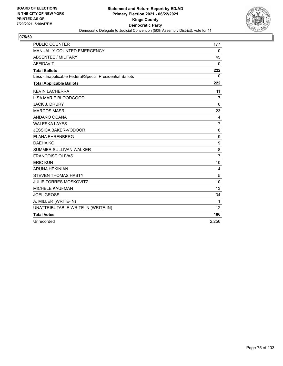

| <b>PUBLIC COUNTER</b>                                    | 177              |
|----------------------------------------------------------|------------------|
| MANUALLY COUNTED EMERGENCY                               | 0                |
| <b>ABSENTEE / MILITARY</b>                               | 45               |
| <b>AFFIDAVIT</b>                                         | $\mathbf{0}$     |
| <b>Total Ballots</b>                                     | 222              |
| Less - Inapplicable Federal/Special Presidential Ballots | 0                |
| <b>Total Applicable Ballots</b>                          | 222              |
| <b>KEVIN LACHERRA</b>                                    | 11               |
| LISA MARIE BLOODGOOD                                     | $\overline{7}$   |
| <b>JACK J. DRURY</b>                                     | 6                |
| <b>MARCOS MASRI</b>                                      | 23               |
| ANDANO OCANA                                             | 4                |
| <b>WALESKA LAYES</b>                                     | $\overline{7}$   |
| <b>JESSICA BAKER-VODOOR</b>                              | 6                |
| <b>ELANA EHRENBERG</b>                                   | 9                |
| DAEHA KO                                                 | $\boldsymbol{9}$ |
| SUMMER SULLIVAN WALKER                                   | 8                |
| <b>FRANCOISE OLIVAS</b>                                  | $\overline{7}$   |
| <b>ERIC KUN</b>                                          | 10               |
| <b>ARUNA HEKINIAN</b>                                    | 4                |
| <b>STEVEN THOMAS HASTY</b>                               | 5                |
| <b>JULIE TORRES MOSKOVITZ</b>                            | 10               |
| <b>MICHELE KAUFMAN</b>                                   | 13               |
| <b>JOEL GROSS</b>                                        | 34               |
| A. MILLER (WRITE-IN)                                     | 1                |
| UNATTRIBUTABLE WRITE-IN (WRITE-IN)                       | 12               |
| <b>Total Votes</b>                                       | 186              |
| Unrecorded                                               | 2,256            |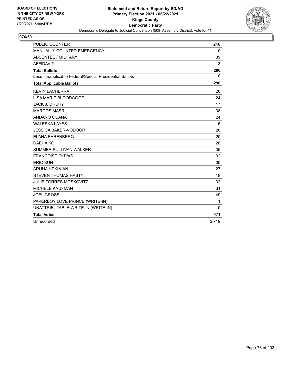

| <b>PUBLIC COUNTER</b>                                    | 248   |
|----------------------------------------------------------|-------|
| <b>MANUALLY COUNTED EMERGENCY</b>                        | 0     |
| ABSENTEE / MILITARY                                      | 39    |
| <b>AFFIDAVIT</b>                                         | 3     |
| <b>Total Ballots</b>                                     | 290   |
| Less - Inapplicable Federal/Special Presidential Ballots | 0     |
| <b>Total Applicable Ballots</b>                          | 290   |
| <b>KEVIN LACHERRA</b>                                    | 20    |
| LISA MARIE BLOODGOOD                                     | 24    |
| <b>JACK J. DRURY</b>                                     | 17    |
| <b>MARCOS MASRI</b>                                      | 38    |
| ANDANO OCANA                                             | 24    |
| <b>WALESKA LAYES</b>                                     | 15    |
| <b>JESSICA BAKER-VODOOR</b>                              | 20    |
| <b>ELANA EHRENBERG</b>                                   | 20    |
| DAEHA KO                                                 | 28    |
| <b>SUMMER SULLIVAN WALKER</b>                            | 35    |
| <b>FRANCOISE OLIVAS</b>                                  | 32    |
| <b>ERIC KUN</b>                                          | 30    |
| <b>ARUNA HEKINIAN</b>                                    | 27    |
| <b>STEVEN THOMAS HASTY</b>                               | 18    |
| <b>JULIE TORRES MOSKOVITZ</b>                            | 32    |
| <b>MICHELE KAUFMAN</b>                                   | 31    |
| <b>JOEL GROSS</b>                                        | 49    |
| PAPERBOY LOVE PRINCE (WRITE-IN)                          | 1     |
| UNATTRIBUTABLE WRITE-IN (WRITE-IN)                       | 10    |
| <b>Total Votes</b>                                       | 471   |
| Unrecorded                                               | 2,719 |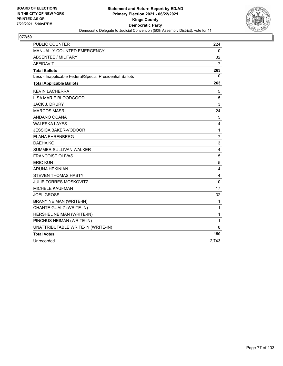

| <b>PUBLIC COUNTER</b>                                    | 224            |
|----------------------------------------------------------|----------------|
| <b>MANUALLY COUNTED EMERGENCY</b>                        | 0              |
| <b>ABSENTEE / MILITARY</b>                               | 32             |
| <b>AFFIDAVIT</b>                                         | 7              |
| <b>Total Ballots</b>                                     | 263            |
| Less - Inapplicable Federal/Special Presidential Ballots | 0              |
| <b>Total Applicable Ballots</b>                          | 263            |
| <b>KEVIN LACHERRA</b>                                    | 5              |
| LISA MARIE BLOODGOOD                                     | 5              |
| <b>JACK J. DRURY</b>                                     | 3              |
| <b>MARCOS MASRI</b>                                      | 24             |
| ANDANO OCANA                                             | 5              |
| <b>WALESKA LAYES</b>                                     | 4              |
| <b>JESSICA BAKER-VODOOR</b>                              | 1              |
| <b>ELANA EHRENBERG</b>                                   | $\overline{7}$ |
| DAEHA KO                                                 | $\mathsf 3$    |
| SUMMER SULLIVAN WALKER                                   | 4              |
| <b>FRANCOISE OLIVAS</b>                                  | 5              |
| <b>ERIC KUN</b>                                          | 5              |
| <b>ARUNA HEKINIAN</b>                                    | 4              |
| <b>STEVEN THOMAS HASTY</b>                               | 4              |
| <b>JULIE TORRES MOSKOVITZ</b>                            | 10             |
| MICHELE KAUFMAN                                          | 17             |
| <b>JOEL GROSS</b>                                        | 32             |
| BRANY NEIMAN (WRITE-IN)                                  | $\mathbf{1}$   |
| CHANTE GUALZ (WRITE-IN)                                  | 1              |
| HERSHEL NEIMAN (WRITE-IN)                                | 1              |
| PINCHUS NEIMAN (WRITE-IN)                                | 1              |
| UNATTRIBUTABLE WRITE-IN (WRITE-IN)                       | 8              |
| <b>Total Votes</b>                                       | 150            |
| Unrecorded                                               | 2,743          |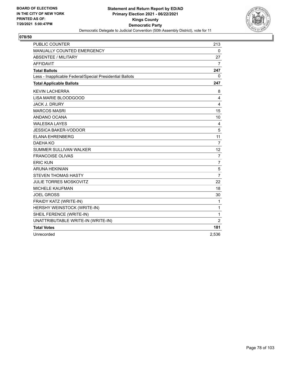

| <b>PUBLIC COUNTER</b>                                    | 213            |
|----------------------------------------------------------|----------------|
| MANUALLY COUNTED EMERGENCY                               | 0              |
| ABSENTEE / MILITARY                                      | 27             |
| <b>AFFIDAVIT</b>                                         | $\overline{7}$ |
| <b>Total Ballots</b>                                     | 247            |
| Less - Inapplicable Federal/Special Presidential Ballots | 0              |
| <b>Total Applicable Ballots</b>                          | 247            |
| <b>KEVIN LACHERRA</b>                                    | 8              |
| LISA MARIE BLOODGOOD                                     | 4              |
| <b>JACK J. DRURY</b>                                     | 4              |
| <b>MARCOS MASRI</b>                                      | 15             |
| ANDANO OCANA                                             | 10             |
| <b>WALESKA LAYES</b>                                     | 4              |
| <b>JESSICA BAKER-VODOOR</b>                              | 5              |
| <b>ELANA EHRENBERG</b>                                   | 11             |
| DAEHA KO                                                 | 7              |
| <b>SUMMER SULLIVAN WALKER</b>                            | 12             |
| <b>FRANCOISE OLIVAS</b>                                  | $\overline{7}$ |
| <b>ERIC KUN</b>                                          | $\overline{7}$ |
| <b>ARUNA HEKINIAN</b>                                    | 5              |
| <b>STEVEN THOMAS HASTY</b>                               | $\overline{7}$ |
| <b>JULIE TORRES MOSKOVITZ</b>                            | 22             |
| <b>MICHELE KAUFMAN</b>                                   | 18             |
| <b>JOEL GROSS</b>                                        | 30             |
| FRAIDY KATZ (WRITE-IN)                                   | 1              |
| HERSHY WEINSTOCK (WRITE-IN)                              | 1              |
| SHEIL FERENCE (WRITE-IN)                                 | $\mathbf{1}$   |
| UNATTRIBUTABLE WRITE-IN (WRITE-IN)                       | $\overline{2}$ |
| <b>Total Votes</b>                                       | 181            |
| Unrecorded                                               | 2,536          |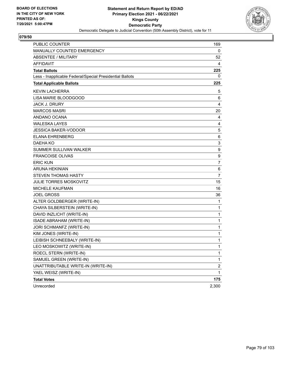

| <b>PUBLIC COUNTER</b>                                    | 169                     |
|----------------------------------------------------------|-------------------------|
| MANUALLY COUNTED EMERGENCY                               | 0                       |
| <b>ABSENTEE / MILITARY</b>                               | 52                      |
| AFFIDAVIT                                                | 4                       |
| <b>Total Ballots</b>                                     | 225                     |
| Less - Inapplicable Federal/Special Presidential Ballots | 0                       |
| <b>Total Applicable Ballots</b>                          | 225                     |
| <b>KEVIN LACHERRA</b>                                    | 5                       |
| LISA MARIE BLOODGOOD                                     | 6                       |
| <b>JACK J. DRURY</b>                                     | 4                       |
| <b>MARCOS MASRI</b>                                      | 20                      |
| ANDANO OCANA                                             | 4                       |
| <b>WALESKA LAYES</b>                                     | 4                       |
| <b>JESSICA BAKER-VODOOR</b>                              | 5                       |
| <b>ELANA EHRENBERG</b>                                   | 6                       |
| DAEHA KO                                                 | 3                       |
| <b>SUMMER SULLIVAN WALKER</b>                            | 9                       |
| <b>FRANCOISE OLIVAS</b>                                  | 9                       |
| <b>ERIC KUN</b>                                          | 7                       |
| <b>ARUNA HEKINIAN</b>                                    | 6                       |
| <b>STEVEN THOMAS HASTY</b>                               | $\overline{7}$          |
| <b>JULIE TORRES MOSKOVITZ</b>                            | 15                      |
| <b>MICHELE KAUFMAN</b>                                   | 16                      |
| <b>JOEL GROSS</b>                                        | 36                      |
| ALTER GOLDBERGER (WRITE-IN)                              | 1                       |
| CHAYA SILBERSTEIN (WRITE-IN)                             | 1                       |
| DAVID INZLICHT (WRITE-IN)                                | 1                       |
| ISADE ABRAHAM (WRITE-IN)                                 | 1                       |
| JORI SCHMANFZ (WRITE-IN)                                 | 1                       |
| KIM JONES (WRITE-IN)                                     | 1                       |
| LEIBISH SCHNEEBALY (WRITE-IN)                            | 1                       |
| LEO MOSKOWITZ (WRITE-IN)                                 | 1                       |
| ROECL STERN (WRITE-IN)                                   | 1                       |
| SAMUEL GREEN (WRITE-IN)                                  | 1                       |
| UNATTRIBUTABLE WRITE-IN (WRITE-IN)                       | $\overline{\mathbf{c}}$ |
| YAEL WEISZ (WRITE-IN)                                    | 1                       |
| <b>Total Votes</b>                                       | 175                     |
| Unrecorded                                               | 2,300                   |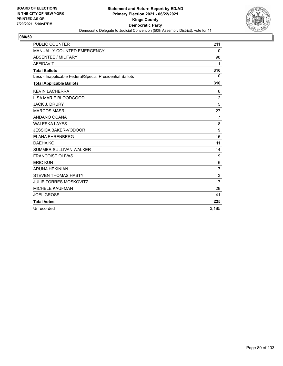

| <b>PUBLIC COUNTER</b>                                    | 211            |
|----------------------------------------------------------|----------------|
| MANUALLY COUNTED EMERGENCY                               | $\mathbf{0}$   |
| <b>ABSENTEE / MILITARY</b>                               | 98             |
| <b>AFFIDAVIT</b>                                         | 1              |
| <b>Total Ballots</b>                                     | 310            |
| Less - Inapplicable Federal/Special Presidential Ballots | $\Omega$       |
| <b>Total Applicable Ballots</b>                          | 310            |
| <b>KEVIN LACHERRA</b>                                    | 6              |
| LISA MARIE BLOODGOOD                                     | 12             |
| <b>JACK J. DRURY</b>                                     | 5              |
| <b>MARCOS MASRI</b>                                      | 27             |
| ANDANO OCANA                                             | $\overline{7}$ |
| <b>WALESKA LAYES</b>                                     | 8              |
| <b>JESSICA BAKER-VODOOR</b>                              | 9              |
| <b>ELANA EHRENBERG</b>                                   | 15             |
| DAEHA KO                                                 | 11             |
| <b>SUMMER SULLIVAN WALKER</b>                            | 14             |
| <b>FRANCOISE OLIVAS</b>                                  | 9              |
| <b>ERIC KUN</b>                                          | 6              |
| <b>ARUNA HEKINIAN</b>                                    | $\overline{7}$ |
| <b>STEVEN THOMAS HASTY</b>                               | 3              |
| <b>JULIE TORRES MOSKOVITZ</b>                            | 17             |
| <b>MICHELE KAUFMAN</b>                                   | 28             |
| <b>JOEL GROSS</b>                                        | 41             |
| <b>Total Votes</b>                                       | 225            |
| Unrecorded                                               | 3.185          |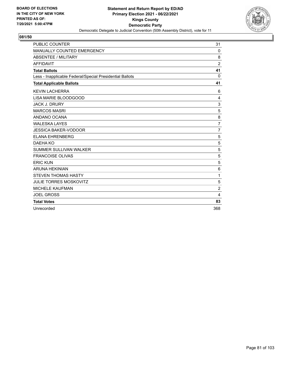

| <b>PUBLIC COUNTER</b>                                    | 31             |
|----------------------------------------------------------|----------------|
| MANUALLY COUNTED EMERGENCY                               | 0              |
| <b>ABSENTEE / MILITARY</b>                               | 8              |
| <b>AFFIDAVIT</b>                                         | $\overline{2}$ |
| <b>Total Ballots</b>                                     | 41             |
| Less - Inapplicable Federal/Special Presidential Ballots | $\Omega$       |
| <b>Total Applicable Ballots</b>                          | 41             |
| <b>KEVIN LACHERRA</b>                                    | 6              |
| LISA MARIE BLOODGOOD                                     | 4              |
| <b>JACK J. DRURY</b>                                     | 3              |
| <b>MARCOS MASRI</b>                                      | 5              |
| ANDANO OCANA                                             | 8              |
| <b>WALESKA LAYES</b>                                     | $\overline{7}$ |
| <b>JESSICA BAKER-VODOOR</b>                              | $\overline{7}$ |
| <b>ELANA EHRENBERG</b>                                   | 5              |
| DAEHA KO                                                 | 5              |
| <b>SUMMER SULLIVAN WALKER</b>                            | 5              |
| <b>FRANCOISE OLIVAS</b>                                  | 5              |
| <b>ERIC KUN</b>                                          | 5              |
| <b>ARUNA HEKINIAN</b>                                    | 6              |
| <b>STEVEN THOMAS HASTY</b>                               | $\mathbf{1}$   |
| <b>JULIE TORRES MOSKOVITZ</b>                            | 5              |
| <b>MICHELE KAUFMAN</b>                                   | $\overline{2}$ |
| <b>JOEL GROSS</b>                                        | 4              |
| <b>Total Votes</b>                                       | 83             |
| Unrecorded                                               | 368            |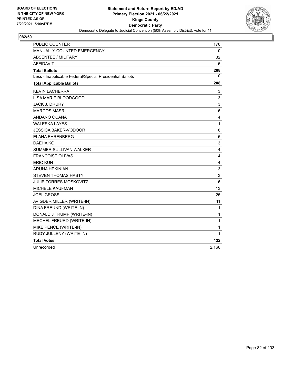

| <b>PUBLIC COUNTER</b>                                    | 170          |
|----------------------------------------------------------|--------------|
| MANUALLY COUNTED EMERGENCY                               | 0            |
| <b>ABSENTEE / MILITARY</b>                               | 32           |
| <b>AFFIDAVIT</b>                                         | 6            |
| <b>Total Ballots</b>                                     | 208          |
| Less - Inapplicable Federal/Special Presidential Ballots | 0            |
| <b>Total Applicable Ballots</b>                          | 208          |
| <b>KEVIN LACHERRA</b>                                    | 3            |
| LISA MARIE BLOODGOOD                                     | 3            |
| <b>JACK J. DRURY</b>                                     | 3            |
| <b>MARCOS MASRI</b>                                      | 16           |
| ANDANO OCANA                                             | 4            |
| <b>WALESKA LAYES</b>                                     | $\mathbf{1}$ |
| <b>JESSICA BAKER-VODOOR</b>                              | 6            |
| ELANA EHRENBERG                                          | 5            |
| <b>DAEHA KO</b>                                          | 3            |
| <b>SUMMER SULLIVAN WALKER</b>                            | 4            |
| <b>FRANCOISE OLIVAS</b>                                  | 4            |
| <b>ERIC KUN</b>                                          | 4            |
| <b>ARUNA HEKINIAN</b>                                    | 3            |
| <b>STEVEN THOMAS HASTY</b>                               | 3            |
| <b>JULIE TORRES MOSKOVITZ</b>                            | 6            |
| MICHELE KAUFMAN                                          | 13           |
| <b>JOEL GROSS</b>                                        | 25           |
| AVIGDER MILLER (WRITE-IN)                                | 11           |
| DINA FREUND (WRITE-IN)                                   | $\mathbf 1$  |
| DONALD J TRUMP (WRITE-IN)                                | $\mathbf{1}$ |
| MECHEL FREURD (WRITE-IN)                                 | $\mathbf{1}$ |
| MIKE PENCE (WRITE-IN)                                    | 1            |
| RUDY JULLENY (WRITE-IN)                                  | 1            |
| <b>Total Votes</b>                                       | 122          |
| Unrecorded                                               | 2.166        |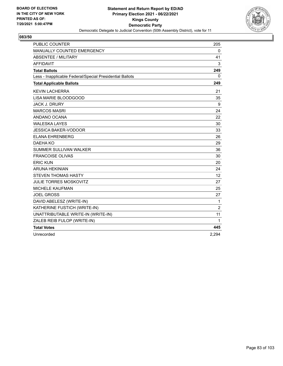

| <b>PUBLIC COUNTER</b>                                    | 205            |
|----------------------------------------------------------|----------------|
| MANUALLY COUNTED EMERGENCY                               | 0              |
| ABSENTEE / MILITARY                                      | 41             |
| <b>AFFIDAVIT</b>                                         | 3              |
| <b>Total Ballots</b>                                     | 249            |
| Less - Inapplicable Federal/Special Presidential Ballots | 0              |
| <b>Total Applicable Ballots</b>                          | 249            |
| <b>KEVIN LACHERRA</b>                                    | 21             |
| LISA MARIE BLOODGOOD                                     | 35             |
| <b>JACK J. DRURY</b>                                     | 9              |
| <b>MARCOS MASRI</b>                                      | 24             |
| ANDANO OCANA                                             | 22             |
| <b>WALESKA LAYES</b>                                     | 30             |
| <b>JESSICA BAKER-VODOOR</b>                              | 33             |
| <b>ELANA EHRENBERG</b>                                   | 26             |
| DAEHA KO                                                 | 29             |
| <b>SUMMER SULLIVAN WALKER</b>                            | 36             |
| <b>FRANCOISE OLIVAS</b>                                  | 30             |
| <b>ERIC KUN</b>                                          | 20             |
| <b>ARUNA HEKINIAN</b>                                    | 24             |
| <b>STEVEN THOMAS HASTY</b>                               | 12             |
| <b>JULIE TORRES MOSKOVITZ</b>                            | 27             |
| <b>MICHELE KAUFMAN</b>                                   | 25             |
| <b>JOEL GROSS</b>                                        | 27             |
| DAVID ABELESZ (WRITE-IN)                                 | 1              |
| KATHERINE FUSTICH (WRITE-IN)                             | $\overline{2}$ |
| UNATTRIBUTABLE WRITE-IN (WRITE-IN)                       | 11             |
| ZALEB REIB FULOP (WRITE-IN)                              | 1              |
| <b>Total Votes</b>                                       | 445            |
| Unrecorded                                               | 2,294          |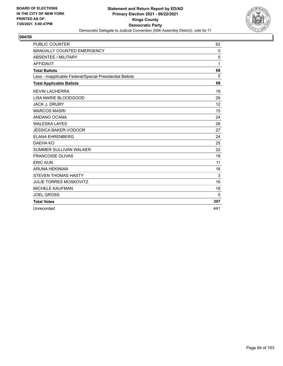

| <b>PUBLIC COUNTER</b>                                    | 62       |
|----------------------------------------------------------|----------|
| MANUALLY COUNTED EMERGENCY                               | 0        |
| ABSENTEE / MILITARY                                      | 5        |
| <b>AFFIDAVIT</b>                                         | 1        |
| <b>Total Ballots</b>                                     | 68       |
| Less - Inapplicable Federal/Special Presidential Ballots | $\Omega$ |
| <b>Total Applicable Ballots</b>                          | 68       |
| <b>KEVIN LACHERRA</b>                                    | 19       |
| LISA MARIE BLOODGOOD                                     | 26       |
| <b>JACK J. DRURY</b>                                     | 12       |
| <b>MARCOS MASRI</b>                                      | 15       |
| ANDANO OCANA                                             | 24       |
| <b>WALESKA LAYES</b>                                     | 26       |
| <b>JESSICA BAKER-VODOOR</b>                              | 27       |
| <b>ELANA EHRENBERG</b>                                   | 24       |
| DAEHA KO                                                 | 25       |
| <b>SUMMER SULLIVAN WALKER</b>                            | 22       |
| <b>FRANCOISE OLIVAS</b>                                  | 18       |
| <b>ERIC KUN</b>                                          | 11       |
| <b>ARUNA HEKINIAN</b>                                    | 16       |
| <b>STEVEN THOMAS HASTY</b>                               | 3        |
| <b>JULIE TORRES MOSKOVITZ</b>                            | 16       |
| <b>MICHELE KAUFMAN</b>                                   | 18       |
| <b>JOEL GROSS</b>                                        | 5        |
| <b>Total Votes</b>                                       | 307      |
| Unrecorded                                               | 441      |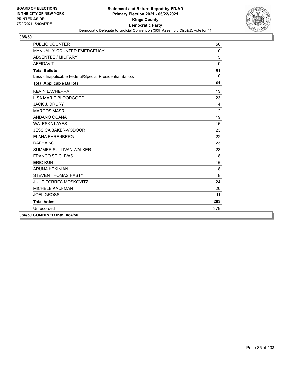

| <b>PUBLIC COUNTER</b>                                    | 56       |
|----------------------------------------------------------|----------|
| MANUALLY COUNTED EMERGENCY                               | $\Omega$ |
| <b>ABSENTEE / MILITARY</b>                               | 5        |
| <b>AFFIDAVIT</b>                                         | $\Omega$ |
| <b>Total Ballots</b>                                     | 61       |
| Less - Inapplicable Federal/Special Presidential Ballots | $\Omega$ |
| <b>Total Applicable Ballots</b>                          | 61       |
| <b>KEVIN LACHERRA</b>                                    | 13       |
| LISA MARIE BLOODGOOD                                     | 23       |
| <b>JACK J. DRURY</b>                                     | 4        |
| <b>MARCOS MASRI</b>                                      | 12       |
| ANDANO OCANA                                             | 19       |
| <b>WALESKA LAYES</b>                                     | 16       |
| <b>JESSICA BAKER-VODOOR</b>                              | 23       |
| <b>ELANA EHRENBERG</b>                                   | 22       |
| DAEHA KO                                                 | 23       |
| <b>SUMMER SULLIVAN WALKER</b>                            | 23       |
| <b>FRANCOISE OLIVAS</b>                                  | 18       |
| <b>ERIC KUN</b>                                          | 16       |
| <b>ARUNA HEKINIAN</b>                                    | 18       |
| <b>STEVEN THOMAS HASTY</b>                               | 8        |
| JULIE TORRES MOSKOVITZ                                   | 24       |
| <b>MICHELE KAUFMAN</b>                                   | 20       |
| <b>JOEL GROSS</b>                                        | 11       |
| <b>Total Votes</b>                                       | 293      |
| Unrecorded                                               | 378      |
| 086/50 COMBINED into: 084/50                             |          |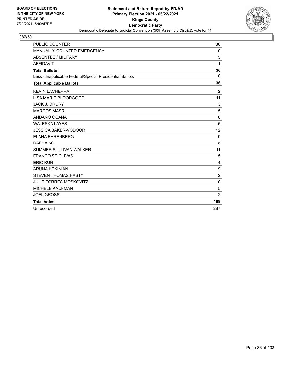

| <b>PUBLIC COUNTER</b>                                    | 30             |
|----------------------------------------------------------|----------------|
| MANUALLY COUNTED EMERGENCY                               | 0              |
| <b>ABSENTEE / MILITARY</b>                               | 5              |
| <b>AFFIDAVIT</b>                                         | 1              |
| <b>Total Ballots</b>                                     | 36             |
| Less - Inapplicable Federal/Special Presidential Ballots | $\Omega$       |
| <b>Total Applicable Ballots</b>                          | 36             |
| <b>KEVIN LACHERRA</b>                                    | $\overline{2}$ |
| LISA MARIE BLOODGOOD                                     | 11             |
| <b>JACK J. DRURY</b>                                     | 3              |
| <b>MARCOS MASRI</b>                                      | 5              |
| ANDANO OCANA                                             | 6              |
| <b>WALESKA LAYES</b>                                     | 5              |
| <b>JESSICA BAKER-VODOOR</b>                              | 12             |
| <b>ELANA EHRENBERG</b>                                   | 9              |
| DAEHA KO                                                 | 8              |
| <b>SUMMER SULLIVAN WALKER</b>                            | 11             |
| <b>FRANCOISE OLIVAS</b>                                  | 5              |
| <b>ERIC KUN</b>                                          | 4              |
| <b>ARUNA HEKINIAN</b>                                    | 9              |
| <b>STEVEN THOMAS HASTY</b>                               | $\overline{2}$ |
| <b>JULIE TORRES MOSKOVITZ</b>                            | 10             |
| <b>MICHELE KAUFMAN</b>                                   | 5              |
| <b>JOEL GROSS</b>                                        | $\overline{2}$ |
| <b>Total Votes</b>                                       | 109            |
| Unrecorded                                               | 287            |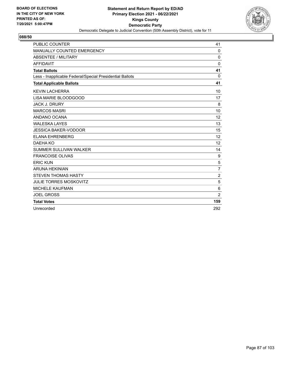

| <b>PUBLIC COUNTER</b>                                    | 41                |
|----------------------------------------------------------|-------------------|
| MANUALLY COUNTED EMERGENCY                               | 0                 |
| <b>ABSENTEE / MILITARY</b>                               | $\mathbf{0}$      |
| <b>AFFIDAVIT</b>                                         | $\mathbf{0}$      |
| <b>Total Ballots</b>                                     | 41                |
| Less - Inapplicable Federal/Special Presidential Ballots | $\Omega$          |
| <b>Total Applicable Ballots</b>                          | 41                |
| <b>KEVIN LACHERRA</b>                                    | 10                |
| LISA MARIE BLOODGOOD                                     | 17                |
| <b>JACK J. DRURY</b>                                     | 8                 |
| <b>MARCOS MASRI</b>                                      | 10                |
| ANDANO OCANA                                             | 12                |
| <b>WALESKA LAYES</b>                                     | 13                |
| <b>JESSICA BAKER-VODOOR</b>                              | 15                |
| <b>ELANA EHRENBERG</b>                                   | 12                |
| DAEHA KO                                                 | $12 \overline{ }$ |
| <b>SUMMER SULLIVAN WALKER</b>                            | 14                |
| <b>FRANCOISE OLIVAS</b>                                  | 9                 |
| <b>ERIC KUN</b>                                          | 5                 |
| <b>ARUNA HEKINIAN</b>                                    | $\overline{7}$    |
| <b>STEVEN THOMAS HASTY</b>                               | $\overline{2}$    |
| <b>JULIE TORRES MOSKOVITZ</b>                            | 5                 |
| <b>MICHELE KAUFMAN</b>                                   | 6                 |
| <b>JOEL GROSS</b>                                        | $\overline{2}$    |
| <b>Total Votes</b>                                       | 159               |
| Unrecorded                                               | 292               |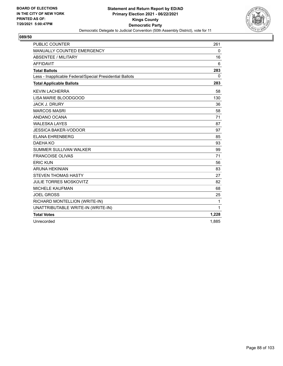

| <b>PUBLIC COUNTER</b>                                    | 261          |
|----------------------------------------------------------|--------------|
| MANUALLY COUNTED EMERGENCY                               | 0            |
| <b>ABSENTEE / MILITARY</b>                               | 16           |
| <b>AFFIDAVIT</b>                                         | 6            |
| <b>Total Ballots</b>                                     | 283          |
| Less - Inapplicable Federal/Special Presidential Ballots | $\mathbf{0}$ |
| <b>Total Applicable Ballots</b>                          | 283          |
| <b>KEVIN LACHERRA</b>                                    | 58           |
| LISA MARIE BLOODGOOD                                     | 130          |
| <b>JACK J. DRURY</b>                                     | 36           |
| <b>MARCOS MASRI</b>                                      | 58           |
| ANDANO OCANA                                             | 71           |
| <b>WALESKA LAYES</b>                                     | 87           |
| <b>JESSICA BAKER-VODOOR</b>                              | 97           |
| <b>ELANA EHRENBERG</b>                                   | 85           |
| DAEHA KO                                                 | 93           |
| <b>SUMMER SULLIVAN WALKER</b>                            | 99           |
| <b>FRANCOISE OLIVAS</b>                                  | 71           |
| <b>ERIC KUN</b>                                          | 56           |
| <b>ARUNA HEKINIAN</b>                                    | 83           |
| <b>STEVEN THOMAS HASTY</b>                               | 27           |
| <b>JULIE TORRES MOSKOVITZ</b>                            | 82           |
| MICHELE KAUFMAN                                          | 68           |
| <b>JOEL GROSS</b>                                        | 25           |
| RICHARD MONTELLION (WRITE-IN)                            | 1            |
| UNATTRIBUTABLE WRITE-IN (WRITE-IN)                       | 1            |
| <b>Total Votes</b>                                       | 1,228        |
| Unrecorded                                               | 1,885        |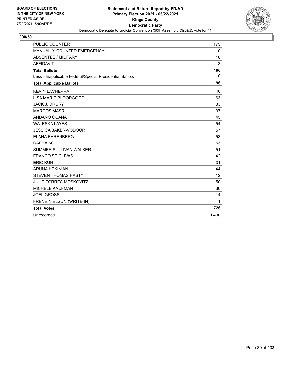

| <b>PUBLIC COUNTER</b>                                    | 175          |
|----------------------------------------------------------|--------------|
| <b>MANUALLY COUNTED EMERGENCY</b>                        | 0            |
| <b>ABSENTEE / MILITARY</b>                               | 18           |
| <b>AFFIDAVIT</b>                                         | 3            |
| <b>Total Ballots</b>                                     | 196          |
| Less - Inapplicable Federal/Special Presidential Ballots | $\mathbf{0}$ |
| <b>Total Applicable Ballots</b>                          | 196          |
| <b>KEVIN LACHERRA</b>                                    | 40           |
| LISA MARIE BLOODGOOD                                     | 63           |
| <b>JACK J. DRURY</b>                                     | 33           |
| <b>MARCOS MASRI</b>                                      | 37           |
| ANDANO OCANA                                             | 45           |
| <b>WALESKA LAYES</b>                                     | 54           |
| <b>JESSICA BAKER-VODOOR</b>                              | 57           |
| <b>ELANA EHRENBERG</b>                                   | 53           |
| DAEHA KO                                                 | 63           |
| <b>SUMMER SULLIVAN WALKER</b>                            | 51           |
| <b>FRANCOISE OLIVAS</b>                                  | 42           |
| <b>ERIC KUN</b>                                          | 31           |
| <b>ARUNA HEKINIAN</b>                                    | 44           |
| <b>STEVEN THOMAS HASTY</b>                               | 12           |
| <b>JULIE TORRES MOSKOVITZ</b>                            | 50           |
| <b>MICHELE KAUFMAN</b>                                   | 36           |
| <b>JOEL GROSS</b>                                        | 14           |
| FRENE NIELSON (WRITE-IN)                                 | 1            |
| <b>Total Votes</b>                                       | 726          |
| Unrecorded                                               | 1.430        |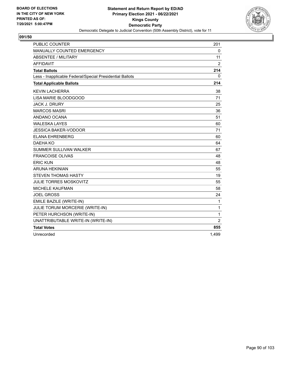

| <b>PUBLIC COUNTER</b>                                    | 201            |
|----------------------------------------------------------|----------------|
| MANUALLY COUNTED EMERGENCY                               | $\mathbf 0$    |
| <b>ABSENTEE / MILITARY</b>                               | 11             |
| <b>AFFIDAVIT</b>                                         | 2              |
| <b>Total Ballots</b>                                     | 214            |
| Less - Inapplicable Federal/Special Presidential Ballots | 0              |
| <b>Total Applicable Ballots</b>                          | 214            |
| <b>KEVIN LACHERRA</b>                                    | 38             |
| LISA MARIE BLOODGOOD                                     | 71             |
| <b>JACK J. DRURY</b>                                     | 25             |
| <b>MARCOS MASRI</b>                                      | 36             |
| ANDANO OCANA                                             | 51             |
| <b>WALESKA LAYES</b>                                     | 60             |
| <b>JESSICA BAKER-VODOOR</b>                              | 71             |
| <b>ELANA EHRENBERG</b>                                   | 60             |
| DAEHA KO                                                 | 64             |
| SUMMER SULLIVAN WALKER                                   | 67             |
| <b>FRANCOISE OLIVAS</b>                                  | 48             |
| <b>ERIC KUN</b>                                          | 48             |
| <b>ARUNA HEKINIAN</b>                                    | 55             |
| <b>STEVEN THOMAS HASTY</b>                               | 19             |
| <b>JULIE TORRES MOSKOVITZ</b>                            | 55             |
| <b>MICHELE KAUFMAN</b>                                   | 58             |
| <b>JOEL GROSS</b>                                        | 24             |
| EMILE BAZILE (WRITE-IN)                                  | 1              |
| JULIE TORUM MORCERIE (WRITE-IN)                          | 1              |
| PETER HURCHSON (WRITE-IN)                                | 1              |
| UNATTRIBUTABLE WRITE-IN (WRITE-IN)                       | $\overline{2}$ |
| <b>Total Votes</b>                                       | 855            |
| Unrecorded                                               | 1,499          |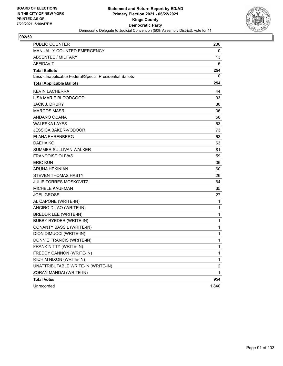

| <b>PUBLIC COUNTER</b>                                    | 236                     |
|----------------------------------------------------------|-------------------------|
| MANUALLY COUNTED EMERGENCY                               | 0                       |
| <b>ABSENTEE / MILITARY</b>                               | 13                      |
| AFFIDAVIT                                                | 5                       |
| <b>Total Ballots</b>                                     | 254                     |
| Less - Inapplicable Federal/Special Presidential Ballots | 0                       |
| <b>Total Applicable Ballots</b>                          | 254                     |
| <b>KEVIN LACHERRA</b>                                    | 44                      |
| LISA MARIE BLOODGOOD                                     | 93                      |
| <b>JACK J. DRURY</b>                                     | 30                      |
| <b>MARCOS MASRI</b>                                      | 36                      |
| ANDANO OCANA                                             | 58                      |
| <b>WALESKA LAYES</b>                                     | 63                      |
| <b>JESSICA BAKER-VODOOR</b>                              | 73                      |
| <b>ELANA EHRENBERG</b>                                   | 63                      |
| DAEHA KO                                                 | 63                      |
| <b>SUMMER SULLIVAN WALKER</b>                            | 81                      |
| <b>FRANCOISE OLIVAS</b>                                  | 59                      |
| <b>ERIC KUN</b>                                          | 36                      |
| <b>ARUNA HEKINIAN</b>                                    | 60                      |
| <b>STEVEN THOMAS HASTY</b>                               | 26                      |
| <b>JULIE TORRES MOSKOVITZ</b>                            | 64                      |
| <b>MICHELE KAUFMAN</b>                                   | 65                      |
| <b>JOEL GROSS</b>                                        | 27                      |
| AL CAPONE (WRITE-IN)                                     | 1                       |
| ANCIRO DILAO (WRITE-IN)                                  | 1                       |
| BREDDR LEE (WRITE-IN)                                    | 1                       |
| <b>BUBBY RYEDER (WRITE-IN)</b>                           | 1                       |
| <b>CONANTY BASSIL (WRITE-IN)</b>                         | 1                       |
| DION DIMUCCI (WRITE-IN)                                  | 1                       |
| DONNIE FRANCIS (WRITE-IN)                                | 1                       |
| FRANK NITTY (WRITE-IN)                                   | 1                       |
| FREDDY CANNON (WRITE-IN)                                 | 1                       |
| RICH M NIXON (WRITE-IN)                                  | 1                       |
| UNATTRIBUTABLE WRITE-IN (WRITE-IN)                       | $\overline{\mathbf{c}}$ |
| ZORAN MANDAI (WRITE-IN)                                  | 1                       |
| <b>Total Votes</b>                                       | 954                     |
| Unrecorded                                               | 1,840                   |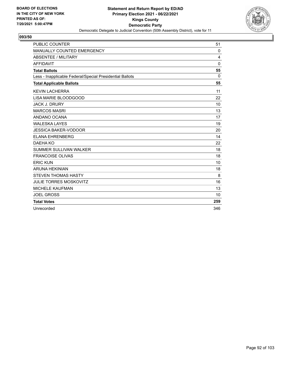

| <b>PUBLIC COUNTER</b>                                    | 51           |
|----------------------------------------------------------|--------------|
| MANUALLY COUNTED EMERGENCY                               | 0            |
| ABSENTEE / MILITARY                                      | 4            |
| <b>AFFIDAVIT</b>                                         | $\mathbf{0}$ |
| <b>Total Ballots</b>                                     | 55           |
| Less - Inapplicable Federal/Special Presidential Ballots | $\Omega$     |
| <b>Total Applicable Ballots</b>                          | 55           |
| <b>KEVIN LACHERRA</b>                                    | 11           |
| LISA MARIE BLOODGOOD                                     | 22           |
| <b>JACK J. DRURY</b>                                     | 10           |
| <b>MARCOS MASRI</b>                                      | 13           |
| ANDANO OCANA                                             | 17           |
| <b>WALESKA LAYES</b>                                     | 19           |
| <b>JESSICA BAKER-VODOOR</b>                              | 20           |
| <b>ELANA EHRENBERG</b>                                   | 14           |
| DAEHA KO                                                 | 22           |
| SUMMER SULLIVAN WALKER                                   | 18           |
| <b>FRANCOISE OLIVAS</b>                                  | 18           |
| <b>ERIC KUN</b>                                          | 10           |
| <b>ARUNA HEKINIAN</b>                                    | 18           |
| <b>STEVEN THOMAS HASTY</b>                               | 8            |
| <b>JULIE TORRES MOSKOVITZ</b>                            | 16           |
| <b>MICHELE KAUFMAN</b>                                   | 13           |
| <b>JOEL GROSS</b>                                        | 10           |
| <b>Total Votes</b>                                       | 259          |
| Unrecorded                                               | 346          |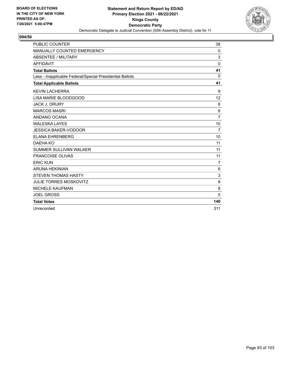

| <b>PUBLIC COUNTER</b>                                    | 38             |
|----------------------------------------------------------|----------------|
| MANUALLY COUNTED EMERGENCY                               | $\mathbf{0}$   |
| ABSENTEE / MILITARY                                      | 3              |
| <b>AFFIDAVIT</b>                                         | $\mathbf 0$    |
| <b>Total Ballots</b>                                     | 41             |
| Less - Inapplicable Federal/Special Presidential Ballots | $\Omega$       |
| <b>Total Applicable Ballots</b>                          | 41             |
| <b>KEVIN LACHERRA</b>                                    | 9              |
| LISA MARIE BLOODGOOD                                     | 12             |
| <b>JACK J. DRURY</b>                                     | 8              |
| <b>MARCOS MASRI</b>                                      | 6              |
| ANDANO OCANA                                             | $\overline{7}$ |
| <b>WALESKA LAYES</b>                                     | 10             |
| <b>JESSICA BAKER-VODOOR</b>                              | 7              |
| <b>ELANA EHRENBERG</b>                                   | 10             |
| DAEHA KO                                                 | 11             |
| <b>SUMMER SULLIVAN WALKER</b>                            | 11             |
| <b>FRANCOISE OLIVAS</b>                                  | 11             |
| <b>ERIC KUN</b>                                          | $\overline{7}$ |
| <b>ARUNA HEKINIAN</b>                                    | 6              |
| <b>STEVEN THOMAS HASTY</b>                               | 3              |
| <b>JULIE TORRES MOSKOVITZ</b>                            | 9              |
| <b>MICHELE KAUFMAN</b>                                   | 8              |
| <b>JOEL GROSS</b>                                        | 5              |
| <b>Total Votes</b>                                       | 140            |
| Unrecorded                                               | 311            |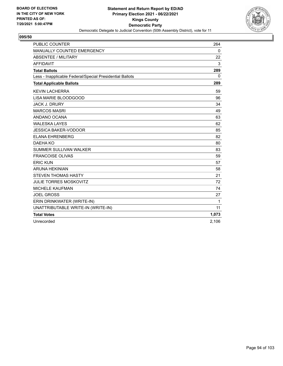

| <b>PUBLIC COUNTER</b>                                    | 264         |
|----------------------------------------------------------|-------------|
| MANUALLY COUNTED EMERGENCY                               | $\mathbf 0$ |
| <b>ABSENTEE / MILITARY</b>                               | 22          |
| <b>AFFIDAVIT</b>                                         | 3           |
| <b>Total Ballots</b>                                     | 289         |
| Less - Inapplicable Federal/Special Presidential Ballots | $\Omega$    |
| <b>Total Applicable Ballots</b>                          | 289         |
| <b>KEVIN LACHERRA</b>                                    | 59          |
| LISA MARIE BLOODGOOD                                     | 96          |
| <b>JACK J. DRURY</b>                                     | 34          |
| <b>MARCOS MASRI</b>                                      | 49          |
| ANDANO OCANA                                             | 63          |
| <b>WALESKA LAYES</b>                                     | 62          |
| <b>JESSICA BAKER-VODOOR</b>                              | 85          |
| <b>ELANA EHRENBERG</b>                                   | 82          |
| DAEHA KO                                                 | 80          |
| <b>SUMMER SULLIVAN WALKER</b>                            | 83          |
| <b>FRANCOISE OLIVAS</b>                                  | 59          |
| <b>ERIC KUN</b>                                          | 57          |
| <b>ARUNA HEKINIAN</b>                                    | 58          |
| <b>STEVEN THOMAS HASTY</b>                               | 21          |
| <b>JULIE TORRES MOSKOVITZ</b>                            | 72          |
| <b>MICHELE KAUFMAN</b>                                   | 74          |
| <b>JOEL GROSS</b>                                        | 27          |
| ERIN DRINKWATER (WRITE-IN)                               | 1           |
| UNATTRIBUTABLE WRITE-IN (WRITE-IN)                       | 11          |
| <b>Total Votes</b>                                       | 1,073       |
| Unrecorded                                               | 2,106       |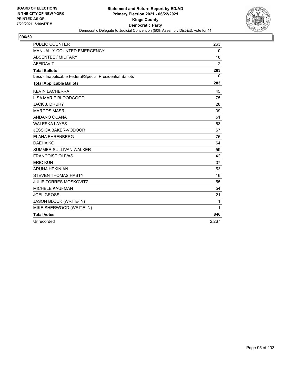

| <b>PUBLIC COUNTER</b>                                    | 263            |
|----------------------------------------------------------|----------------|
| MANUALLY COUNTED EMERGENCY                               | $\mathbf 0$    |
| <b>ABSENTEE / MILITARY</b>                               | 18             |
| <b>AFFIDAVIT</b>                                         | $\overline{2}$ |
| <b>Total Ballots</b>                                     | 283            |
| Less - Inapplicable Federal/Special Presidential Ballots | $\Omega$       |
| <b>Total Applicable Ballots</b>                          | 283            |
| <b>KEVIN LACHERRA</b>                                    | 45             |
| LISA MARIE BLOODGOOD                                     | 75             |
| <b>JACK J. DRURY</b>                                     | 28             |
| <b>MARCOS MASRI</b>                                      | 39             |
| ANDANO OCANA                                             | 51             |
| <b>WALESKA LAYES</b>                                     | 63             |
| <b>JESSICA BAKER-VODOOR</b>                              | 67             |
| <b>ELANA EHRENBERG</b>                                   | 75             |
| DAEHA KO                                                 | 64             |
| <b>SUMMER SULLIVAN WALKER</b>                            | 59             |
| <b>FRANCOISE OLIVAS</b>                                  | 42             |
| <b>ERIC KUN</b>                                          | 37             |
| <b>ARUNA HEKINIAN</b>                                    | 53             |
| <b>STEVEN THOMAS HASTY</b>                               | 16             |
| <b>JULIE TORRES MOSKOVITZ</b>                            | 55             |
| <b>MICHELE KAUFMAN</b>                                   | 54             |
| <b>JOEL GROSS</b>                                        | 21             |
| JASON BLOCK (WRITE-IN)                                   | 1              |
| MIKE SHERWOOD (WRITE-IN)                                 | 1              |
| <b>Total Votes</b>                                       | 846            |
| Unrecorded                                               | 2,267          |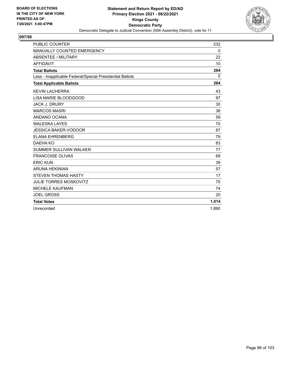

| <b>PUBLIC COUNTER</b>                                    | 232      |
|----------------------------------------------------------|----------|
| MANUALLY COUNTED EMERGENCY                               | 0        |
| <b>ABSENTEE / MILITARY</b>                               | 22       |
| <b>AFFIDAVIT</b>                                         | 10       |
| <b>Total Ballots</b>                                     | 264      |
| Less - Inapplicable Federal/Special Presidential Ballots | $\Omega$ |
| <b>Total Applicable Ballots</b>                          | 264      |
| <b>KEVIN LACHERRA</b>                                    | 43       |
| LISA MARIE BLOODGOOD                                     | 97       |
| <b>JACK J. DRURY</b>                                     | 30       |
| <b>MARCOS MASRI</b>                                      | 38       |
| ANDANO OCANA                                             | 59       |
| <b>WALESKA LAYES</b>                                     | 70       |
| <b>JESSICA BAKER-VODOOR</b>                              | 87       |
| <b>ELANA EHRENBERG</b>                                   | 79       |
| DAEHA KO                                                 | 83       |
| <b>SUMMER SULLIVAN WALKER</b>                            | 77       |
| <b>FRANCOISE OLIVAS</b>                                  | 69       |
| <b>ERIC KUN</b>                                          | 39       |
| <b>ARUNA HEKINIAN</b>                                    | 57       |
| <b>STEVEN THOMAS HASTY</b>                               | 17       |
| <b>JULIE TORRES MOSKOVITZ</b>                            | 75       |
| <b>MICHELE KAUFMAN</b>                                   | 74       |
| <b>JOEL GROSS</b>                                        | 20       |
| <b>Total Votes</b>                                       | 1,014    |
| Unrecorded                                               | 1.890    |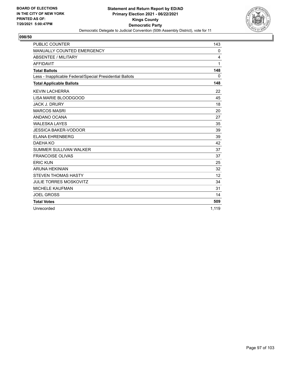

| <b>PUBLIC COUNTER</b>                                    | 143      |
|----------------------------------------------------------|----------|
| MANUALLY COUNTED EMERGENCY                               | 0        |
| <b>ABSENTEE / MILITARY</b>                               | 4        |
| <b>AFFIDAVIT</b>                                         | 1        |
| <b>Total Ballots</b>                                     | 148      |
| Less - Inapplicable Federal/Special Presidential Ballots | $\Omega$ |
| <b>Total Applicable Ballots</b>                          | 148      |
| <b>KEVIN LACHERRA</b>                                    | 22       |
| LISA MARIE BLOODGOOD                                     | 45       |
| <b>JACK J. DRURY</b>                                     | 18       |
| <b>MARCOS MASRI</b>                                      | 20       |
| ANDANO OCANA                                             | 27       |
| <b>WALESKA LAYES</b>                                     | 35       |
| <b>JESSICA BAKER-VODOOR</b>                              | 39       |
| <b>ELANA EHRENBERG</b>                                   | 39       |
| DAEHA KO                                                 | 42       |
| <b>SUMMER SULLIVAN WALKER</b>                            | 37       |
| <b>FRANCOISE OLIVAS</b>                                  | 37       |
| <b>ERIC KUN</b>                                          | 25       |
| <b>ARUNA HEKINIAN</b>                                    | 32       |
| <b>STEVEN THOMAS HASTY</b>                               | 12       |
| <b>JULIE TORRES MOSKOVITZ</b>                            | 34       |
| <b>MICHELE KAUFMAN</b>                                   | 31       |
| <b>JOEL GROSS</b>                                        | 14       |
| <b>Total Votes</b>                                       | 509      |
| Unrecorded                                               | 1.119    |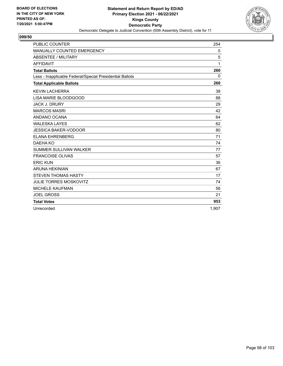

| <b>PUBLIC COUNTER</b>                                    | 254      |
|----------------------------------------------------------|----------|
| MANUALLY COUNTED EMERGENCY                               | 0        |
| <b>ABSENTEE / MILITARY</b>                               | 5        |
| <b>AFFIDAVIT</b>                                         | 1        |
| <b>Total Ballots</b>                                     | 260      |
| Less - Inapplicable Federal/Special Presidential Ballots | $\Omega$ |
| <b>Total Applicable Ballots</b>                          | 260      |
| <b>KEVIN LACHERRA</b>                                    | 38       |
| LISA MARIE BLOODGOOD                                     | 88       |
| <b>JACK J. DRURY</b>                                     | 29       |
| <b>MARCOS MASRI</b>                                      | 42       |
| ANDANO OCANA                                             | 64       |
| <b>WALESKA LAYES</b>                                     | 62       |
| <b>JESSICA BAKER-VODOOR</b>                              | 80       |
| <b>ELANA EHRENBERG</b>                                   | 71       |
| DAEHA KO                                                 | 74       |
| <b>SUMMER SULLIVAN WALKER</b>                            | 77       |
| <b>FRANCOISE OLIVAS</b>                                  | 57       |
| <b>ERIC KUN</b>                                          | 36       |
| <b>ARUNA HEKINIAN</b>                                    | 67       |
| <b>STEVEN THOMAS HASTY</b>                               | 17       |
| <b>JULIE TORRES MOSKOVITZ</b>                            | 74       |
| <b>MICHELE KAUFMAN</b>                                   | 56       |
| <b>JOEL GROSS</b>                                        | 21       |
| <b>Total Votes</b>                                       | 953      |
| Unrecorded                                               | 1.907    |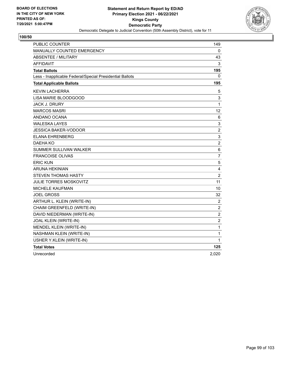

| <b>PUBLIC COUNTER</b>                                    | 149            |
|----------------------------------------------------------|----------------|
| MANUALLY COUNTED EMERGENCY                               | 0              |
| <b>ABSENTEE / MILITARY</b>                               | 43             |
| AFFIDAVIT                                                | 3              |
| <b>Total Ballots</b>                                     | 195            |
| Less - Inapplicable Federal/Special Presidential Ballots | 0              |
| <b>Total Applicable Ballots</b>                          | 195            |
| <b>KEVIN LACHERRA</b>                                    | 5              |
| LISA MARIE BLOODGOOD                                     | 3              |
| JACK J. DRURY                                            | 1              |
| <b>MARCOS MASRI</b>                                      | 12             |
| ANDANO OCANA                                             | 6              |
| <b>WALESKA LAYES</b>                                     | 3              |
| JESSICA BAKER-VODOOR                                     | $\overline{2}$ |
| <b>ELANA EHRENBERG</b>                                   | 3              |
| DAEHA KO                                                 | $\overline{c}$ |
| SUMMER SULLIVAN WALKER                                   | 6              |
| <b>FRANCOISE OLIVAS</b>                                  | $\overline{7}$ |
| <b>ERIC KUN</b>                                          | 5              |
| ARUNA HEKINIAN                                           | 4              |
| <b>STEVEN THOMAS HASTY</b>                               | $\overline{c}$ |
| JULIE TORRES MOSKOVITZ                                   | 11             |
| MICHELE KAUFMAN                                          | 10             |
| <b>JOEL GROSS</b>                                        | 32             |
| ARTHUR L. KLEIN (WRITE-IN)                               | $\overline{c}$ |
| CHAIM GREENFELD (WRITE-IN)                               | $\overline{c}$ |
| DAVID NIEDERMAN (WRITE-IN)                               | $\overline{2}$ |
| JOAL KLEIN (WRITE-IN)                                    | $\overline{c}$ |
| MENDEL KLEIN (WRITE-IN)                                  | 1              |
| NASHMAN KLEIN (WRITE-IN)                                 | 1              |
| USHER Y.KLEIN (WRITE-IN)                                 | 1              |
| <b>Total Votes</b>                                       | 125            |
| Unrecorded                                               | 2,020          |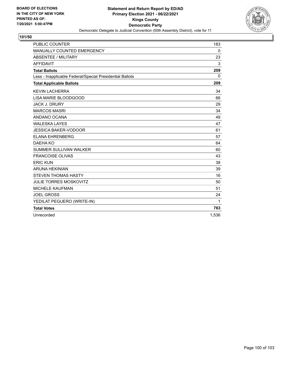

| <b>PUBLIC COUNTER</b>                                    | 183          |
|----------------------------------------------------------|--------------|
| MANUALLY COUNTED EMERGENCY                               | 0            |
| <b>ABSENTEE / MILITARY</b>                               | 23           |
| <b>AFFIDAVIT</b>                                         | 3            |
| <b>Total Ballots</b>                                     | 209          |
| Less - Inapplicable Federal/Special Presidential Ballots | $\mathbf{0}$ |
| <b>Total Applicable Ballots</b>                          | 209          |
| <b>KEVIN LACHERRA</b>                                    | 34           |
| LISA MARIE BLOODGOOD                                     | 66           |
| <b>JACK J. DRURY</b>                                     | 29           |
| <b>MARCOS MASRI</b>                                      | 34           |
| ANDANO OCANA                                             | 49           |
| <b>WALESKA LAYES</b>                                     | 47           |
| <b>JESSICA BAKER-VODOOR</b>                              | 61           |
| <b>ELANA EHRENBERG</b>                                   | 57           |
| DAEHA KO                                                 | 64           |
| <b>SUMMER SULLIVAN WALKER</b>                            | 60           |
| <b>FRANCOISE OLIVAS</b>                                  | 43           |
| <b>ERIC KUN</b>                                          | 38           |
| <b>ARUNA HEKINIAN</b>                                    | 39           |
| <b>STEVEN THOMAS HASTY</b>                               | 16           |
| <b>JULIE TORRES MOSKOVITZ</b>                            | 50           |
| <b>MICHELE KAUFMAN</b>                                   | 51           |
| <b>JOEL GROSS</b>                                        | 24           |
| YEDILAT PEGUERO (WRITE-IN)                               | 1            |
| <b>Total Votes</b>                                       | 763          |
| Unrecorded                                               | 1.536        |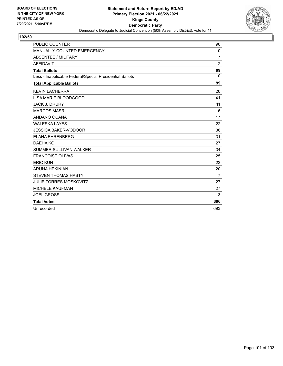

| <b>PUBLIC COUNTER</b>                                    | 90             |
|----------------------------------------------------------|----------------|
| MANUALLY COUNTED EMERGENCY                               | 0              |
| ABSENTEE / MILITARY                                      | $\overline{7}$ |
| <b>AFFIDAVIT</b>                                         | $\overline{2}$ |
| <b>Total Ballots</b>                                     | 99             |
| Less - Inapplicable Federal/Special Presidential Ballots | $\Omega$       |
| <b>Total Applicable Ballots</b>                          | 99             |
| <b>KEVIN LACHERRA</b>                                    | 20             |
| LISA MARIE BLOODGOOD                                     | 41             |
| <b>JACK J. DRURY</b>                                     | 11             |
| <b>MARCOS MASRI</b>                                      | 16             |
| ANDANO OCANA                                             | 17             |
| <b>WALESKA LAYES</b>                                     | 22             |
| <b>JESSICA BAKER-VODOOR</b>                              | 36             |
| <b>ELANA EHRENBERG</b>                                   | 31             |
| DAEHA KO                                                 | 27             |
| SUMMER SULLIVAN WALKER                                   | 34             |
| <b>FRANCOISE OLIVAS</b>                                  | 25             |
| <b>ERIC KUN</b>                                          | 22             |
| <b>ARUNA HEKINIAN</b>                                    | 20             |
| <b>STEVEN THOMAS HASTY</b>                               | 7              |
| <b>JULIE TORRES MOSKOVITZ</b>                            | 27             |
| <b>MICHELE KAUFMAN</b>                                   | 27             |
| <b>JOEL GROSS</b>                                        | 13             |
| <b>Total Votes</b>                                       | 396            |
| Unrecorded                                               | 693            |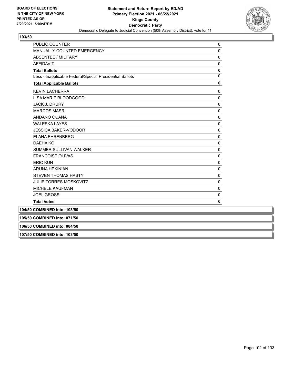

| <b>PUBLIC COUNTER</b>                                    | 0           |
|----------------------------------------------------------|-------------|
| <b>MANUALLY COUNTED EMERGENCY</b>                        | $\mathbf 0$ |
| <b>ABSENTEE / MILITARY</b>                               | $\mathbf 0$ |
| <b>AFFIDAVIT</b>                                         | $\Omega$    |
| <b>Total Ballots</b>                                     | $\mathbf 0$ |
| Less - Inapplicable Federal/Special Presidential Ballots | $\Omega$    |
| <b>Total Applicable Ballots</b>                          | 0           |
| <b>KEVIN LACHERRA</b>                                    | 0           |
| LISA MARIE BLOODGOOD                                     | $\Omega$    |
| <b>JACK J. DRURY</b>                                     | $\Omega$    |
| <b>MARCOS MASRI</b>                                      | $\mathbf 0$ |
| ANDANO OCANA                                             | $\Omega$    |
| <b>WALESKA LAYES</b>                                     | $\mathbf 0$ |
| <b>JESSICA BAKER-VODOOR</b>                              | 0           |
| <b>ELANA EHRENBERG</b>                                   | $\Omega$    |
| <b>DAEHA KO</b>                                          | $\mathbf 0$ |
| <b>SUMMER SULLIVAN WALKER</b>                            | 0           |
| <b>FRANCOISE OLIVAS</b>                                  | 0           |
| <b>ERIC KUN</b>                                          | $\mathbf 0$ |
| <b>ARUNA HEKINIAN</b>                                    | 0           |
| <b>STEVEN THOMAS HASTY</b>                               | $\Omega$    |
| <b>JULIE TORRES MOSKOVITZ</b>                            | $\mathbf 0$ |
| <b>MICHELE KAUFMAN</b>                                   | 0           |
| <b>JOEL GROSS</b>                                        | $\mathbf 0$ |
| <b>Total Votes</b>                                       | 0           |
| 104/50 COMBINED into: 103/50                             |             |
| 105/50 COMBINED into: 071/50                             |             |

**106/50 COMBINED into: 084/50**

**107/50 COMBINED into: 103/50**